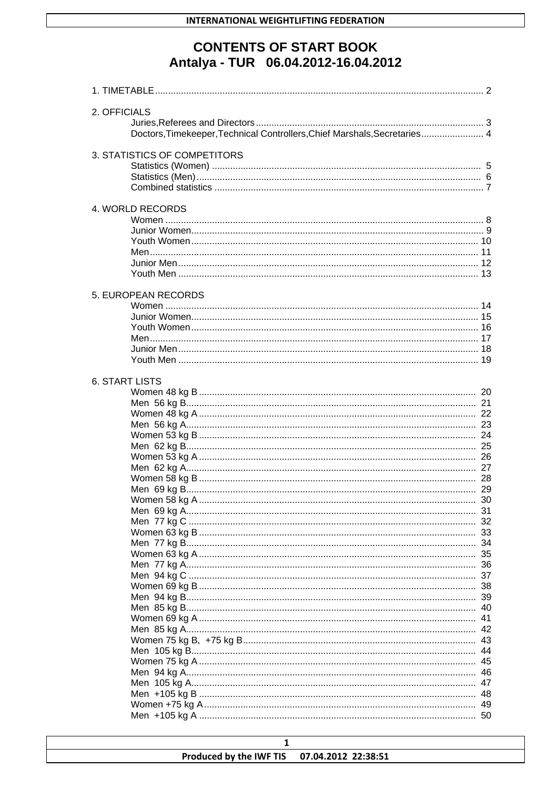# **CONTENTS OF START BOOK** Antalya - TUR 06.04.2012-16.04.2012

| 2. OFFICIALS<br>Doctors, Timekeeper, Technical Controllers, Chief Marshals, Secretaries 4 |                |
|-------------------------------------------------------------------------------------------|----------------|
| 3. STATISTICS OF COMPETITORS                                                              |                |
| 4. WORLD RECORDS                                                                          |                |
| 5. EUROPEAN RECORDS<br><b>6. START LISTS</b>                                              |                |
|                                                                                           | 35<br>36<br>37 |

| Produced by the IWF TIS 07.04.2012 22:38:51 |  |
|---------------------------------------------|--|
|                                             |  |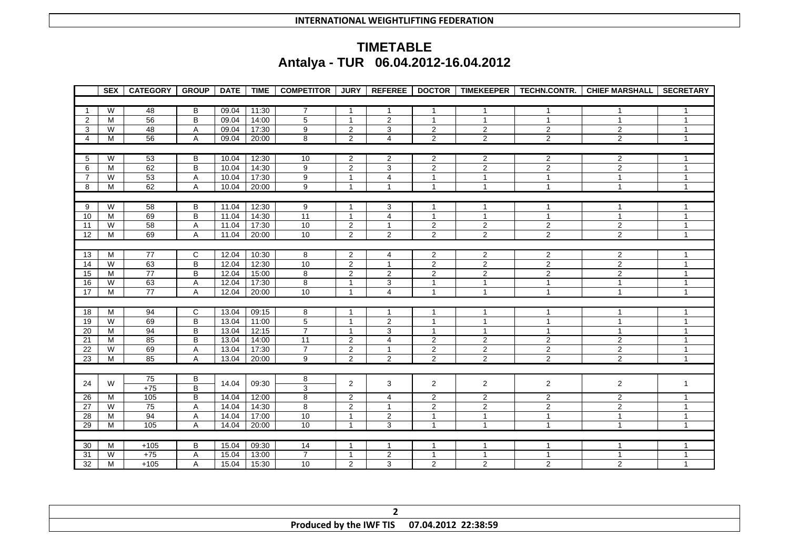# **TIMETABLE Antalya - TUR 06.04.2012-16.04.2012**

|                 | <b>SEX</b> | <b>CATEGORY</b> | <b>GROUP</b>            | <b>DATE</b> | <b>TIME</b> | <b>COMPETITOR</b> | <b>JURY</b>    | <b>REFEREE</b> |                         |                         | DOCTOR   TIMEKEEPER   TECHN.CONTR. | <b>CHIEF MARSHALL</b> | <b>SECRETARY</b> |
|-----------------|------------|-----------------|-------------------------|-------------|-------------|-------------------|----------------|----------------|-------------------------|-------------------------|------------------------------------|-----------------------|------------------|
|                 |            |                 |                         |             |             |                   |                |                |                         |                         |                                    |                       |                  |
| $\overline{1}$  | W          | 48              | B                       | 09.04       | 11:30       | $\overline{7}$    | $\overline{1}$ | 1              | 1                       | -1                      | $\mathbf{1}$                       | $\mathbf{1}$          | 1                |
| 2               | M          | 56              | $\sf B$                 | 09.04       | 14:00       | $\overline{5}$    | $\mathbf{1}$   | $\overline{2}$ | $\mathbf{1}$            | $\mathbf{1}$            | $\mathbf{1}$                       | $\mathbf 1$           | $\mathbf{1}$     |
| 3               | W          | 48              | $\overline{A}$          | 09.04       | 17:30       | $\overline{9}$    | $\overline{2}$ | 3              | $\overline{2}$          | $\overline{2}$          | $\overline{\mathbf{c}}$            | $\overline{2}$        | 1                |
| $\overline{4}$  | M          | 56              | $\mathsf A$             | 09.04       | 20:00       | 8                 | $\overline{2}$ | $\overline{4}$ | $\overline{2}$          | $\overline{2}$          | $\overline{2}$                     | 2                     | $\mathbf{1}$     |
|                 |            |                 |                         |             |             |                   |                |                |                         |                         |                                    |                       |                  |
| 5               | W          | 53              | B                       | 10.04       | 12:30       | 10                | 2              | $\overline{2}$ | $\overline{\mathbf{c}}$ | $\overline{2}$          | $\overline{2}$                     | $\overline{2}$        | 1                |
| 6               | M          | 62              | B                       | 10.04       | 14:30       | $\overline{9}$    | $\overline{c}$ | 3              | $\overline{2}$          | $\overline{2}$          | $\overline{2}$                     | $\overline{2}$        | 1                |
| $\overline{7}$  | W          | 53              | A                       | 10.04       | 17:30       | $\overline{9}$    | $\mathbf{1}$   | 4              | $\mathbf{1}$            | $\mathbf{1}$            | $\mathbf{1}$                       | $\mathbf{1}$          | $\mathbf{1}$     |
| 8               | M          | 62              | $\overline{A}$          | 10.04       | 20:00       | $\overline{9}$    | $\mathbf{1}$   | $\mathbf{1}$   | $\mathbf{1}$            | $\mathbf{1}$            | $\mathbf{1}$                       | $\mathbf{1}$          | $\mathbf{1}$     |
|                 |            |                 |                         |             |             |                   |                |                |                         |                         |                                    |                       |                  |
| 9               | W          | 58              | B                       | 11.04       | 12:30       | 9                 | $\mathbf{1}$   | 3              | $\mathbf{1}$            | $\mathbf{1}$            | $\mathbf{1}$                       | $\mathbf 1$           | 1                |
| 10              | M          | 69              | $\sf B$                 | 11.04       | 14:30       | 11                | $\overline{1}$ | $\overline{4}$ | $\mathbf{1}$            | $\overline{1}$          | $\mathbf{1}$                       | $\mathbf{1}$          | $\mathbf{1}$     |
| 11              | W          | 58              | Α                       | 11.04       | 17:30       | 10                | $\overline{c}$ | $\mathbf{1}$   | $\overline{2}$          | $\overline{\mathbf{c}}$ | $\overline{2}$                     | $\sqrt{2}$            | $\mathbf{1}$     |
| 12              | M          | 69              | A                       | 11.04       | 20:00       | 10                | $\overline{2}$ | $\overline{2}$ | $\mathbf{2}$            | $\overline{c}$          | $\overline{2}$                     | $\overline{c}$        | $\mathbf{1}$     |
|                 |            |                 |                         |             |             |                   |                |                |                         |                         |                                    |                       |                  |
| 13              | M          | 77              | C                       | 12.04       | 10:30       | 8                 | $\overline{c}$ | 4              | 2                       | $\overline{2}$          | 2                                  | $\overline{2}$        | 1                |
| 14              | W          | 63              | $\overline{\mathsf{B}}$ | 12.04       | 12:30       | 10                | $\overline{2}$ | $\mathbf{1}$   | $\overline{2}$          | $\overline{2}$          | $\overline{c}$                     | $\overline{2}$        | $\mathbf{1}$     |
| 15              | M          | 77              | B                       | 12.04       | 15:00       | 8                 | $\overline{2}$ | $\overline{2}$ | $\overline{2}$          | $\overline{\mathbf{c}}$ | $\overline{2}$                     | $\overline{2}$        | 1                |
| 16              | W          | 63              | $\overline{A}$          | 12.04       | 17:30       | $\overline{8}$    | $\mathbf{1}$   | 3              | $\mathbf{1}$            | $\mathbf{1}$            | $\mathbf{1}$                       | $\mathbf{1}$          | $\mathbf{1}$     |
| 17              | M          | $\overline{77}$ | Α                       | 12.04       | 20:00       | 10                | $\mathbf{1}$   | $\overline{4}$ | $\mathbf{1}$            | $\mathbf{1}$            | $\mathbf{1}$                       | $\mathbf{1}$          | $\mathbf{1}$     |
|                 |            |                 |                         |             |             |                   |                |                |                         |                         |                                    |                       |                  |
| 18              | M          | 94              | C                       | 13.04       | 09:15       | 8                 | $\overline{1}$ | $\mathbf{1}$   | $\mathbf 1$             | $\mathbf 1$             | $\mathbf{1}$                       | $\mathbf 1$           | 1                |
| 19              | W          | 69              | $\overline{B}$          | 13.04       | 11:00       | $\overline{5}$    | $\mathbf{1}$   | $\overline{2}$ | $\mathbf{1}$            | $\mathbf{1}$            | $\mathbf{1}$                       | $\mathbf{1}$          | $\mathbf{1}$     |
| 20              | M          | 94              | B                       | 13.04       | 12:15       | $\overline{7}$    | $\mathbf{1}$   | 3              | $\mathbf{1}$            | $\overline{1}$          | $\mathbf{1}$                       | $\mathbf{1}$          | 1                |
| 21              | M          | 85              | B                       | 13.04       | 14:00       | 11                | $\overline{2}$ | $\overline{4}$ | $\overline{\mathbf{c}}$ | $\overline{\mathbf{c}}$ | $\overline{\mathbf{c}}$            | $\sqrt{2}$            | 1                |
| 22              | W          | 69              | A                       | 13.04       | 17:30       | $\overline{7}$    | $\overline{2}$ | $\mathbf{1}$   | $\overline{2}$          | $\overline{2}$          | $\overline{2}$                     | $\overline{2}$        | $\mathbf{1}$     |
| 23              | M          | 85              | A                       | 13.04       | 20:00       | 9                 | $\overline{c}$ | $\overline{2}$ | $\overline{2}$          | $\overline{2}$          | $\overline{2}$                     | $\overline{2}$        | $\mathbf{1}$     |
|                 |            |                 |                         |             |             |                   |                |                |                         |                         |                                    |                       |                  |
| 24              | W          | 75              | В                       | 14.04       | 09:30       | 8                 | $\mathbf 2$    | 3              | $\overline{2}$          | $\boldsymbol{2}$        | $\overline{2}$                     | $\overline{2}$        | 1                |
|                 |            | $+75$           | B                       |             |             | $\overline{3}$    |                |                |                         |                         |                                    |                       |                  |
| 26              | M          | 105             | B                       | 14.04       | 12:00       | $\overline{8}$    | $\overline{2}$ | 4              | $\overline{2}$          | $\overline{2}$          | $\overline{2}$                     | $\sqrt{2}$            | 1                |
| $\overline{27}$ | W          | 75              | $\overline{A}$          | 14.04       | 14:30       | 8                 | $\overline{2}$ | $\mathbf{1}$   | $\overline{2}$          | $\overline{2}$          | $\overline{2}$                     | $\overline{2}$        | $\overline{1}$   |
| $\overline{28}$ | M          | 94              | Α                       | 14.04       | 17:00       | 10                | $\mathbf{1}$   | $\overline{2}$ | $\mathbf{1}$            | $\mathbf{1}$            | $\mathbf{1}$                       | $\mathbf{1}$          | $\mathbf{1}$     |
| 29              | M          | 105             | A                       | 14.04       | 20:00       | 10                | $\mathbf{1}$   | 3              | $\mathbf{1}$            | $\overline{1}$          | $\mathbf{1}$                       | $\mathbf{1}$          | $\mathbf{1}$     |
|                 |            |                 |                         |             |             |                   |                |                |                         |                         |                                    |                       |                  |
| 30              | M          | $+105$          | B                       | 15.04       | 09:30       | 14                | $\mathbf{1}$   | $\mathbf{1}$   | $\mathbf{1}$            | $\mathbf{1}$            | $\mathbf{1}$                       | $\mathbf 1$           | 1                |
| 31              | W          | $+75$           | A                       | 15.04       | 13:00       | $\overline{7}$    | $\mathbf{1}$   | 2              | $\mathbf{1}$            | 1                       | $\mathbf{1}$                       | $\mathbf{1}$          | $\mathbf{1}$     |
| 32              | M          | $+105$          | Α                       | 15.04       | 15:30       | 10                | $\overline{2}$ | 3              | $\overline{2}$          | $\overline{2}$          | $\overline{2}$                     | $\overline{2}$        | $\mathbf{1}$     |

| <b>Produced by the IWF TIS</b> | 22:38:59<br>07.04.2012 |
|--------------------------------|------------------------|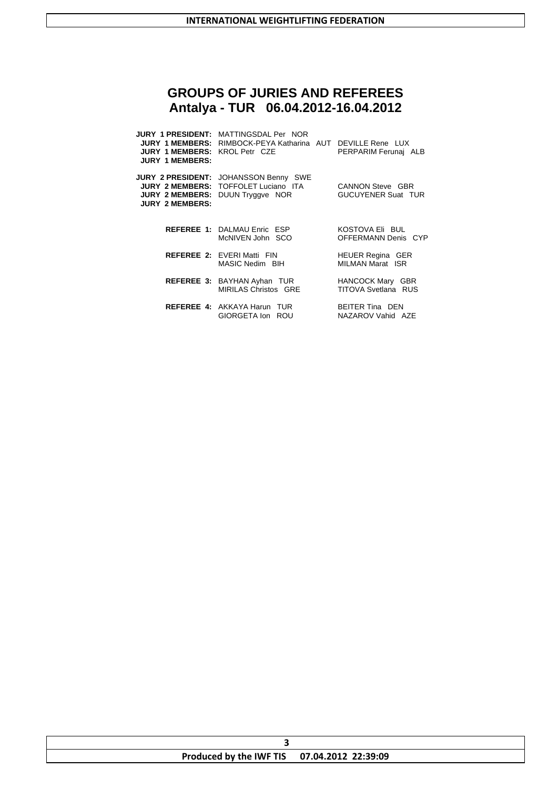# **GROUPS OF JURIES AND REFEREES Antalya - TUR 06.04.2012-16.04.2012**

| <b>JURY 1 MEMBERS: KROL Petr CZE</b><br><b>JURY 1 MEMBERS:</b>             | <b>JURY 1 PRESIDENT: MATTINGSDAL Per NOR</b><br><b>JURY 1 MEMBERS:</b> RIMBOCK-PEYA Katharina AUT DEVILLE Rene LUX | PERPARIM Ferunai ALB                               |
|----------------------------------------------------------------------------|--------------------------------------------------------------------------------------------------------------------|----------------------------------------------------|
| <b>JURY 2 MEMBERS:</b><br><b>JURY 2 MEMBERS:</b><br><b>JURY 2 MEMBERS:</b> | <b>JURY 2 PRESIDENT: JOHANSSON Benny SWE</b><br>TOFFOLET Luciano ITA<br>DUUN Tryggye NOR                           | CANNON Steve GBR<br><b>GUCUYENER Suat TUR</b>      |
|                                                                            | REFEREE 1: DALMAU Enric ESP<br>McNIVEN John SCO                                                                    | KOSTOVA Eli BUL<br>OFFERMANN Denis CYP             |
|                                                                            | <b>REFEREE 2: EVERIMatti FIN</b><br>MASIC Nedim BIH                                                                | <b>HEUER Regina GER</b><br><b>MILMAN Marat ISR</b> |
|                                                                            | <b>REFEREE 3: BAYHAN Ayhan TUR</b><br>MIRILAS Christos GRE                                                         | HANCOCK Mary GBR<br><b>TITOVA Svetlana RUS</b>     |
|                                                                            | <b>REFEREE 4: AKKAYA Harun TUR</b><br>GIORGETA Ion ROU                                                             | BEITER Tina DEN<br>NAZAROV Vahid AZE               |

| Produced by the IWF TIS 07.04.2012 22:39:09 |  |
|---------------------------------------------|--|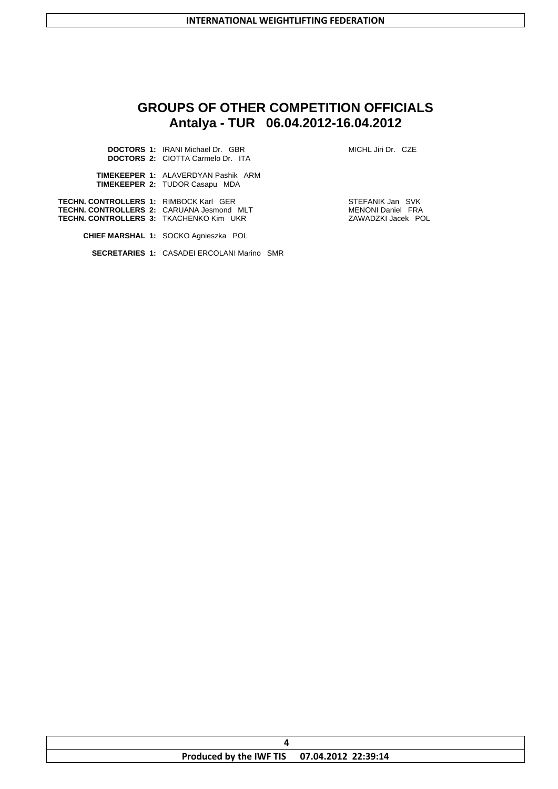# **GROUPS OF OTHER COMPETITION OFFICIALS Antalya - TUR 06.04.2012-16.04.2012**

|                                                                                                                                | <b>DOCTORS 1: IRANI Michael Dr. GBR</b><br><b>DOCTORS 2: CIOTTA Carmelo Dr. ITA</b> | MICHL Jiri Dr. CZE                                                 |
|--------------------------------------------------------------------------------------------------------------------------------|-------------------------------------------------------------------------------------|--------------------------------------------------------------------|
|                                                                                                                                | <b>TIMEKEEPER 1: ALAVERDYAN Pashik ARM</b><br><b>TIMEKEEPER 2: TUDOR Casapu MDA</b> |                                                                    |
| TECHN. CONTROLLERS 1: RIMBOCK Karl GER<br>TECHN. CONTROLLERS 2: CARUANA Jesmond MLT<br>TECHN. CONTROLLERS 3: TKACHENKO Kim UKR |                                                                                     | STEFANIK Jan SVK<br><b>MENONI Daniel FRA</b><br>ZAWADZKI Jacek POL |
|                                                                                                                                | <b>CHIEF MARSHAL 1: SOCKO Agnieszka POL</b>                                         |                                                                    |
|                                                                                                                                | <b>SECRETARIES 1: CASADEI ERCOLANI Marino SMR</b>                                   |                                                                    |
|                                                                                                                                |                                                                                     |                                                                    |

| Produced by the IWF TIS 07.04.2012 22:39:14 |  |
|---------------------------------------------|--|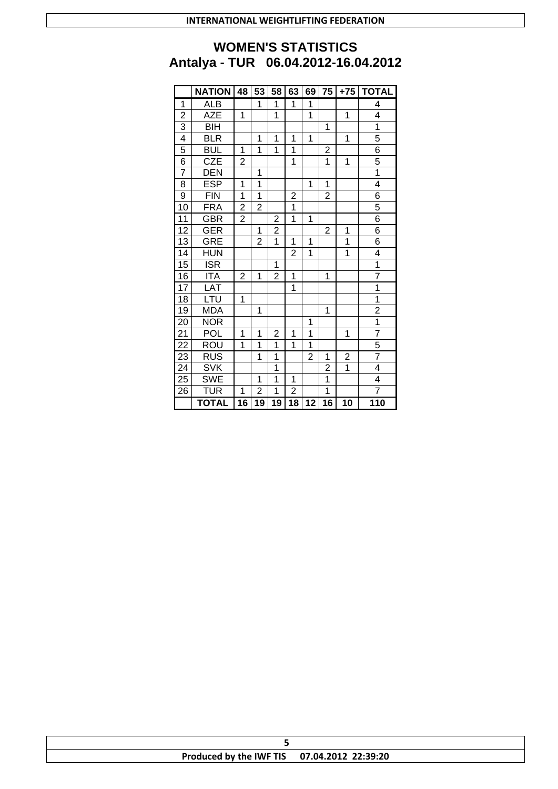# **WOMEN'S STATISTICS Antalya - TUR 06.04.2012-16.04.2012**

|                 | <b>NATION</b>           | 48             | 53              | 58                      | 63                      | 69             | 75                      | $+75$          | <b>TOTAL</b>                |
|-----------------|-------------------------|----------------|-----------------|-------------------------|-------------------------|----------------|-------------------------|----------------|-----------------------------|
| 1               | <b>ALB</b>              |                | 1               | 1                       | 1                       | 1              |                         |                | 4                           |
| $\overline{2}$  | <b>AZE</b>              | 1              |                 | $\overline{1}$          |                         | $\overline{1}$ |                         | 1              | 4                           |
| $\overline{3}$  | <b>BIH</b>              |                |                 |                         |                         |                | 1                       |                | $\frac{1}{5}$               |
| $\overline{4}$  | <b>BLR</b>              |                | 1               | 1                       | 1                       | 1              |                         | 1              |                             |
| 5               | <b>BUL</b>              | 1              | $\overline{1}$  | 1                       | $\overline{\mathbf{1}}$ |                | $\overline{\mathbf{c}}$ |                | $\frac{6}{5}$               |
| $\overline{6}$  | <b>CZE</b>              | $\overline{2}$ |                 |                         | $\overline{1}$          |                | $\overline{1}$          | $\overline{1}$ |                             |
| $\overline{7}$  | DEN                     |                | 1               |                         |                         |                |                         |                |                             |
| 8               | <b>ESP</b>              | 1              | $\overline{1}$  |                         |                         | 1              | 1                       |                | $\overline{4}$              |
| $\overline{9}$  | <b>FIN</b>              | $\overline{1}$ | 1               |                         | $\frac{2}{1}$           |                | $\overline{c}$          |                | $\frac{6}{5}$               |
| 10              | <b>FRA</b>              | $\overline{c}$ | $\overline{2}$  |                         |                         |                |                         |                |                             |
| $\overline{11}$ | GBR                     | $\overline{2}$ |                 | $\overline{\mathbf{c}}$ | $\overline{1}$          | $\overline{1}$ |                         |                | $\overline{6}$              |
| $\overline{12}$ | <b>GER</b>              |                | 1               | $\overline{\mathbf{c}}$ |                         |                | $\overline{c}$          | 1              | $\overline{6}$              |
| 13              | <b>GRE</b>              |                | $\overline{2}$  | $\overline{1}$          | 1                       | 1              |                         | 1              | $\overline{6}$              |
| $\overline{14}$ | HUN                     |                |                 |                         | $\overline{2}$          | $\overline{1}$ |                         | $\overline{1}$ | 4                           |
| $\overline{15}$ | $\overline{\text{ISR}}$ |                |                 | 1                       |                         |                |                         |                | $\frac{1}{7}$               |
| $\overline{16}$ | <b>ITA</b>              | $\overline{2}$ | 1               | $\overline{2}$          | 1                       |                | 1                       |                |                             |
| $\overline{17}$ | LAT                     |                |                 |                         | $\overline{1}$          |                |                         |                | $\overline{1}$              |
| 18              | LTU                     | 1              |                 |                         |                         |                |                         |                | $\frac{1}{2}$               |
| $\overline{19}$ | <b>MDA</b>              |                | 1               |                         |                         |                | 1                       |                |                             |
| $\overline{20}$ | <b>NOR</b>              |                |                 |                         |                         | 1              |                         |                |                             |
| $\overline{21}$ | <b>POL</b>              | 1              | 1               | 2                       | 1                       | $\overline{1}$ |                         | 1              |                             |
| $\overline{22}$ | <b>ROU</b>              | $\overline{1}$ | $\overline{1}$  | $\overline{1}$          | 1                       | $\overline{1}$ |                         |                | $\frac{7}{5}$ $\frac{5}{7}$ |
| $\overline{23}$ | $\overline{RUS}$        |                | 1               | 1                       |                         | $\overline{2}$ | 1                       | $\frac{2}{1}$  |                             |
| $\overline{24}$ | <b>SVK</b>              |                |                 | 1                       |                         |                | 2                       |                | $\overline{4}$              |
| 25              | <b>SWE</b>              |                | 1               | 1                       | 1                       |                | $\overline{1}$          |                | $\overline{4}$              |
| $\overline{26}$ | <b>TUR</b>              | 1              | $\overline{2}$  | 1                       | $\overline{2}$          |                | $\overline{1}$          |                | $\overline{7}$              |
|                 | <b>TOTAL</b>            | 16             | $\overline{19}$ | $\overline{19}$         | $\overline{18}$         | 12             | $\overline{16}$         | 10             | $\overline{110}$            |

| Produced by the IWF TIS 07.04.2012 22:39:20 |  |
|---------------------------------------------|--|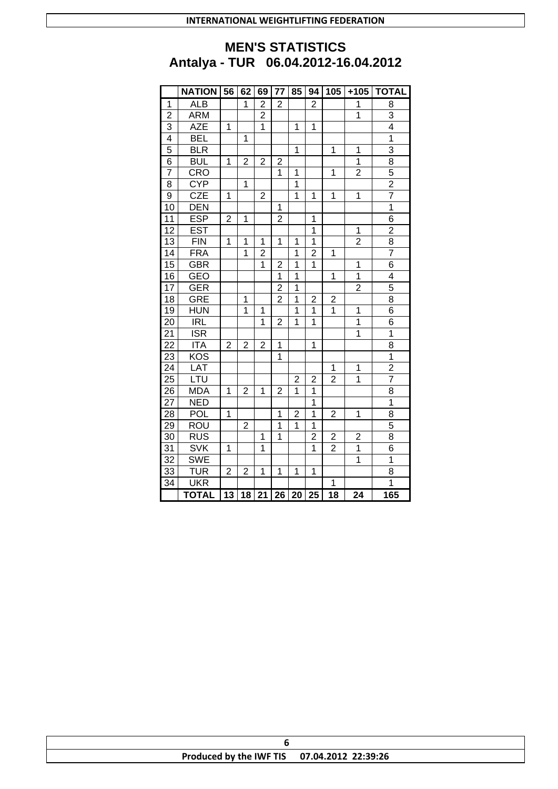# **MEN'S STATISTICS Antalya - TUR 06.04.2012-16.04.2012**

|                 | <b>NATION</b>           | 56             | 62             | 69             | 77             | 85             | 94                      | 105                     | $+105$         | <b>TOTAL</b>            |
|-----------------|-------------------------|----------------|----------------|----------------|----------------|----------------|-------------------------|-------------------------|----------------|-------------------------|
| 1               | <b>ALB</b>              |                | 1              | $\overline{2}$ | $\overline{2}$ |                | $\overline{2}$          |                         | 1              | 8                       |
| $\overline{2}$  | <b>ARM</b>              |                |                | $\overline{2}$ |                |                |                         |                         | $\overline{1}$ | 3                       |
| 3               | <b>AZE</b>              | 1              |                | 1              |                | 1              | 1                       |                         |                | $\overline{\mathbf{4}}$ |
| 4               | <b>BEL</b>              |                | 1              |                |                |                |                         |                         |                | 1                       |
| 5               | BLR                     |                |                |                |                | $\overline{1}$ |                         | $\overline{1}$          | $\overline{1}$ | 3                       |
| 6               | <b>BUL</b>              | 1              | $\overline{2}$ | $\overline{2}$ | $\overline{2}$ |                |                         |                         | $\overline{1}$ | $\overline{8}$          |
| 7               | CRO                     |                |                |                | 1              | 1              |                         | 1                       | $\overline{c}$ | 5                       |
| 8               | <b>CYP</b>              |                | 1              |                |                | $\overline{1}$ |                         |                         |                | $\overline{2}$          |
| 9               | CZE                     | 1              |                | $\overline{2}$ |                | $\overline{1}$ | 1                       | 1                       | 1              | $\overline{7}$          |
| 10              | DEN                     |                |                |                | 1              |                |                         |                         |                | $\overline{1}$          |
| 11              | <b>ESP</b>              | $\overline{2}$ | 1              |                | $\overline{c}$ |                | 1                       |                         |                | $\overline{6}$          |
| 12              | <b>EST</b>              |                |                |                |                |                | 1                       |                         | 1              | $\overline{2}$          |
| 13              | <b>FIN</b>              | 1              | 1              | 1              | 1              | 1              | 1                       |                         | $\overline{2}$ | 8                       |
| $\overline{14}$ | <b>FRA</b>              |                | $\overline{1}$ | $\overline{2}$ |                | $\overline{1}$ | $\overline{2}$          | 1                       |                | $\overline{7}$          |
| $\overline{15}$ | <b>GBR</b>              |                |                | 1              | $\overline{c}$ | 1              | 1                       |                         | 1              | $\overline{6}$          |
| 16              | <b>GEO</b>              |                |                |                | 1              | 1              |                         | 1                       | 1              | 4                       |
| 17              | <b>GER</b>              |                |                |                | $\overline{2}$ | 1              |                         |                         | $\overline{2}$ | 5                       |
| 18              | <b>GRE</b>              |                | 1              |                | $\overline{2}$ | $\overline{1}$ | $\overline{c}$          | $\overline{\mathbf{c}}$ |                | 8                       |
| 19              | <b>HUN</b>              |                | $\overline{1}$ | $\overline{1}$ |                | $\overline{1}$ | 1                       | $\overline{1}$          | $\overline{1}$ | $\overline{6}$          |
| 20              | <b>IRL</b>              |                |                | 1              | $\overline{2}$ | 1              | 1                       |                         | $\overline{1}$ | $\overline{6}$          |
| 21              | $\overline{\text{ISR}}$ |                |                |                |                |                |                         |                         | 1              | $\overline{1}$          |
| 22              | <b>ITA</b>              | 2              | $\overline{2}$ | $\overline{2}$ | 1              |                | 1                       |                         |                | 8                       |
| 23              | KOS                     |                |                |                | $\overline{1}$ |                |                         |                         |                | $\overline{1}$          |
| $\overline{24}$ | LAT                     |                |                |                |                |                |                         | 1                       | 1              | $\overline{2}$          |
| <b>25</b>       | LTU                     |                |                |                |                | 2              | 2                       | 2                       | 1              | $\overline{7}$          |
| 26              | <b>MDA</b>              | 1              | $\overline{2}$ | 1              | $\overline{2}$ | 1              | $\overline{\mathbf{1}}$ |                         |                | $\overline{8}$          |
| 27              | <b>NED</b>              |                |                |                |                |                | $\overline{1}$          |                         |                | $\overline{1}$          |
| 28              | POL                     | 1              |                |                | 1              | $\overline{2}$ | $\overline{1}$          | $\overline{c}$          | 1              | $\overline{8}$          |
| 29              | <b>ROU</b>              |                | $\overline{c}$ |                | $\overline{1}$ | 1              | $\overline{1}$          |                         |                | 5                       |
| 30              | <b>RUS</b>              |                |                | 1              | 1              |                | $\overline{c}$          | $\overline{\mathbf{c}}$ | $\overline{c}$ | 8                       |
| 31              | <b>SVK</b>              | 1              |                | 1              |                |                | 1                       | $\overline{2}$          | 1              | 6                       |
| 32              | <b>SWE</b>              |                |                |                |                |                |                         |                         | $\overline{1}$ | $\overline{1}$          |
| 33              | <b>TUR</b>              | $\overline{2}$ | $\overline{2}$ | 1              | 1              | 1              | 1                       |                         |                | $\overline{8}$          |
| 34              | <b>UKR</b>              |                |                |                |                |                |                         | 1                       |                | $\overline{1}$          |
|                 | <b>TOTAL</b>            | 13             | 18             | 21             | 26             | 20             | 25                      | 18                      | 24             | 165                     |

| Produced by the IWF TIS 07.04.2012 22:39:26 |  |
|---------------------------------------------|--|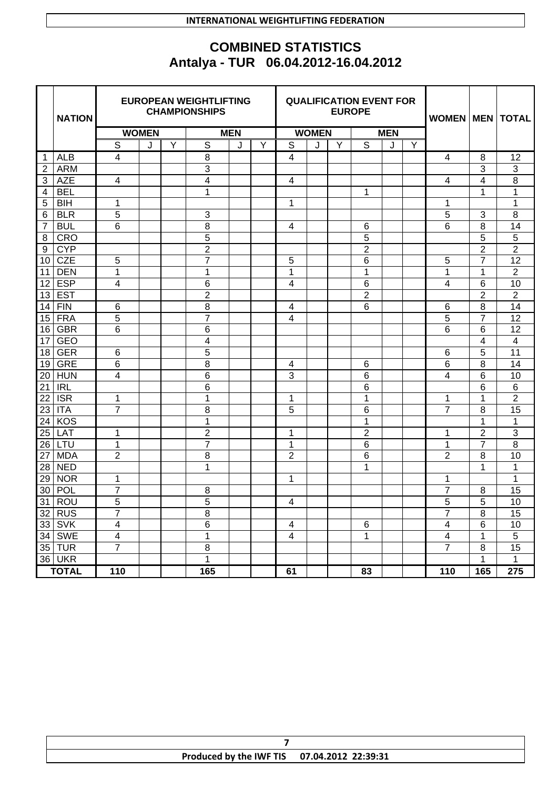### **INTERNATIONAL WEIGHTLIFTING FEDERATION**

# **COMBINED STATISTICS Antalya - TUR 06.04.2012-16.04.2012**

|                | <b>NATION</b> | <b>EUROPEAN WEIGHTLIFTING</b><br><b>CHAMPIONSHIPS</b> |              |   |                |   |              | <b>QUALIFICATION EVENT FOR</b><br><b>EUROPE</b> |            |   |                 | WOMEN   MEN |   | <b>TOTAL</b>            |                |                |
|----------------|---------------|-------------------------------------------------------|--------------|---|----------------|---|--------------|-------------------------------------------------|------------|---|-----------------|-------------|---|-------------------------|----------------|----------------|
|                |               |                                                       | <b>WOMEN</b> |   | <b>MEN</b>     |   | <b>WOMEN</b> |                                                 | <b>MEN</b> |   |                 |             |   |                         |                |                |
|                |               | S                                                     | J            | Y | S              | J | Y            | S                                               | J          | Y | S               | J           | Y |                         |                |                |
| -1             | <b>ALB</b>    | 4                                                     |              |   | 8              |   |              | 4                                               |            |   |                 |             |   | 4                       | 8              | 12             |
| $\overline{2}$ | <b>ARM</b>    |                                                       |              |   | 3              |   |              |                                                 |            |   |                 |             |   |                         | 3              | 3              |
| 3              | <b>AZE</b>    | 4                                                     |              |   | 4              |   |              | 4                                               |            |   |                 |             |   | 4                       | 4              | 8              |
| 4              | <b>BEL</b>    |                                                       |              |   | 1              |   |              |                                                 |            |   | 1               |             |   |                         | 1              | 1              |
| 5              | <b>BIH</b>    | 1                                                     |              |   |                |   |              | 1                                               |            |   |                 |             |   | 1                       |                | 1              |
| 6              | <b>BLR</b>    | 5                                                     |              |   | 3              |   |              |                                                 |            |   |                 |             |   | 5                       | 3              | 8              |
| $\overline{7}$ | <b>BUL</b>    | $\overline{6}$                                        |              |   | 8              |   |              | $\overline{\mathbf{4}}$                         |            |   | 6               |             |   | 6                       | 8              | 14             |
| 8              | <b>CRO</b>    |                                                       |              |   | 5              |   |              |                                                 |            |   | 5               |             |   |                         | 5              | $\overline{5}$ |
| 9              | <b>CYP</b>    |                                                       |              |   | $\overline{2}$ |   |              |                                                 |            |   | $\overline{2}$  |             |   |                         | $\overline{2}$ | $\overline{2}$ |
| 10             | <b>CZE</b>    | 5                                                     |              |   | $\overline{7}$ |   |              | 5                                               |            |   | 6               |             |   | 5                       | $\overline{7}$ | 12             |
| 11             | <b>DEN</b>    | 1                                                     |              |   | 1              |   |              | 1                                               |            |   | 1               |             |   | 1                       | 1              | $\overline{2}$ |
| 12             | <b>ESP</b>    | 4                                                     |              |   | 6              |   |              | 4                                               |            |   | $\,6$           |             |   | 4                       | 6              | 10             |
| 13             | <b>EST</b>    |                                                       |              |   | $\overline{2}$ |   |              |                                                 |            |   | $\overline{2}$  |             |   |                         | $\overline{2}$ | $\overline{2}$ |
| 14             | <b>FIN</b>    | 6                                                     |              |   | 8              |   |              | 4                                               |            |   | 6               |             |   | 6                       | 8              | 14             |
| 15             | <b>FRA</b>    | 5                                                     |              |   | $\overline{7}$ |   |              | 4                                               |            |   |                 |             |   | 5                       | $\overline{7}$ | 12             |
| 16             | <b>GBR</b>    | 6                                                     |              |   | 6              |   |              |                                                 |            |   |                 |             |   | 6                       | 6              | 12             |
| 17             | <b>GEO</b>    |                                                       |              |   | 4              |   |              |                                                 |            |   |                 |             |   |                         | 4              | 4              |
| 18             | <b>GER</b>    | $\,6$                                                 |              |   | 5              |   |              |                                                 |            |   |                 |             |   | 6                       | 5              | 11             |
| 19             | <b>GRE</b>    | $6\phantom{1}6$                                       |              |   | 8              |   |              | 4                                               |            |   | 6               |             |   | 6                       | 8              | 14             |
| 20             | <b>HUN</b>    | 4                                                     |              |   | 6              |   |              | 3                                               |            |   | $\,6$           |             |   | 4                       | 6              | 10             |
| 21             | <b>IRL</b>    |                                                       |              |   | 6              |   |              |                                                 |            |   | 6               |             |   |                         | 6              | 6              |
| 22             | <b>ISR</b>    | 1                                                     |              |   | 1              |   |              | 1                                               |            |   | 1               |             |   | 1                       | 1              | $\overline{2}$ |
| 23             | <b>ITA</b>    | 7                                                     |              |   | 8              |   |              | 5                                               |            |   | 6               |             |   | $\overline{7}$          | 8              | 15             |
| 24             | <b>KOS</b>    |                                                       |              |   | 1              |   |              |                                                 |            |   | 1               |             |   |                         | 1              | 1              |
| 25             | LAT           | 1                                                     |              |   | $\overline{2}$ |   |              | 1                                               |            |   | $\overline{2}$  |             |   | 1                       | $\overline{2}$ | 3              |
| 26             | LTU           | 1                                                     |              |   | $\overline{7}$ |   |              | 1                                               |            |   | $\,6$           |             |   | 1                       | $\overline{7}$ | 8              |
| 27             | <b>MDA</b>    | $\overline{2}$                                        |              |   | 8              |   |              | $\overline{2}$                                  |            |   | 6               |             |   | $\overline{2}$          | 8              | 10             |
| 28             | <b>NED</b>    |                                                       |              |   | 1              |   |              |                                                 |            |   | 1               |             |   |                         | 1              | 1              |
| 29             | <b>NOR</b>    | 1                                                     |              |   |                |   |              | 1                                               |            |   |                 |             |   | 1                       |                | 1              |
| 30             | POL           | 7                                                     |              |   | 8              |   |              |                                                 |            |   |                 |             |   | 7                       | 8              | 15             |
| 31             | <b>ROU</b>    | 5                                                     |              |   | 5              |   |              | 4                                               |            |   |                 |             |   | 5                       | 5              | 10             |
|                | $32$ RUS      | $\overline{7}$                                        |              |   | 8              |   |              |                                                 |            |   |                 |             |   | $\overline{7}$          | 8              | 15             |
|                | $33$ SVK      | $\overline{\mathbf{4}}$                               |              |   | $\,6$          |   |              | $\overline{\mathbf{4}}$                         |            |   | 6               |             |   | 4                       | 6              | 10             |
|                | 34 SWE        | $\overline{\mathbf{4}}$                               |              |   | 1              |   |              | $\overline{\mathbf{4}}$                         |            |   | 1               |             |   | $\overline{\mathbf{4}}$ | $\mathbf 1$    | $\overline{5}$ |
|                | $35$ TUR      | 7                                                     |              |   | $\,8\,$        |   |              |                                                 |            |   |                 |             |   | $\overline{7}$          | $\bf 8$        | 15             |
|                | <b>36 UKR</b> |                                                       |              |   | $\mathbf{1}$   |   |              |                                                 |            |   |                 |             |   |                         | $\mathbf{1}$   | $\mathbf{1}$   |
|                | <b>TOTAL</b>  | $\overline{110}$                                      |              |   | 165            |   |              | 61                                              |            |   | $\overline{83}$ |             |   | 110                     | 165            | 275            |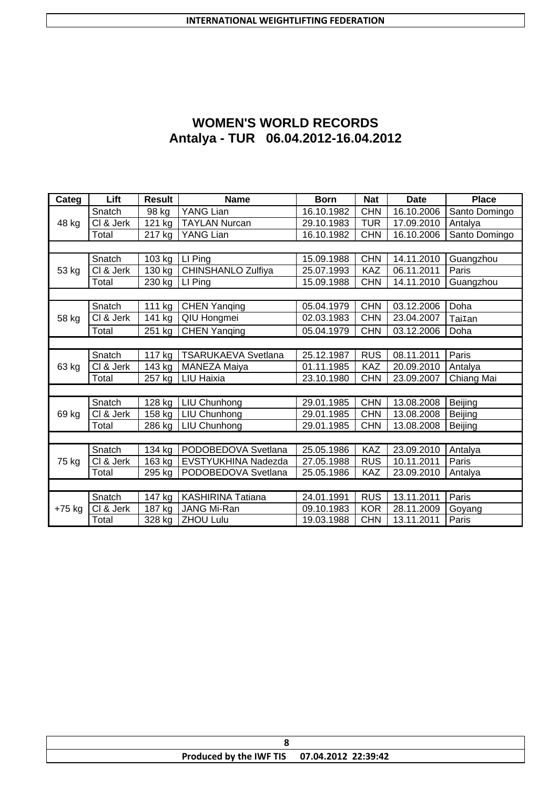| <b>WOMEN'S WORLD RECORDS</b>        |
|-------------------------------------|
| Antalya - TUR 06.04.2012-16.04.2012 |

| Categ    | Lift      | <b>Result</b>        | <b>Name</b>                | <b>Born</b> | <b>Nat</b> | <b>Date</b> | <b>Place</b>       |
|----------|-----------|----------------------|----------------------------|-------------|------------|-------------|--------------------|
|          | Snatch    | 98 kg                | YANG Lian                  | 16.10.1982  | <b>CHN</b> | 16.10.2006  | Santo Domingo      |
| 48 kg    | CI & Jerk | 121 kg               | <b>TAYLAN Nurcan</b>       | 29.10.1983  | <b>TUR</b> | 17.09.2010  | Antalya            |
|          | Total     | 217 kg               | YANG Lian                  | 16.10.1982  | <b>CHN</b> | 16.10.2006  | Santo Domingo      |
|          |           |                      |                            |             |            |             |                    |
|          | Snatch    | 103 kg               | LI Ping                    | 15.09.1988  | <b>CHN</b> | 14.11.2010  | Guangzhou          |
| 53 kg    | CI & Jerk | 130 kg               | CHINSHANLO Zulfiya         | 25.07.1993  | <b>KAZ</b> | 06.11.2011  | Paris              |
|          | Total     | $\overline{2}30$ kg  | LI Ping                    | 15.09.1988  | <b>CHN</b> | 14.11.2010  | Guangzhou          |
|          |           |                      |                            |             |            |             |                    |
|          | Snatch    | 111 kg               | <b>CHEN Yanqing</b>        | 05.04.1979  | <b>CHN</b> | 03.12.2006  | Doha               |
| 58 kg    | CI & Jerk | 141 kg               | QIU Hongmei                | 02.03.1983  | <b>CHN</b> | 23.04.2007  | Tai <sub>Ian</sub> |
|          | Total     | 251 kg               | <b>CHEN Yanging</b>        | 05.04.1979  | <b>CHN</b> | 03.12.2006  | Doha               |
|          |           |                      |                            |             |            |             |                    |
|          | Snatch    | $\overline{117}$ kg  | <b>TSARUKAEVA Svetlana</b> | 25.12.1987  | <b>RUS</b> | 08.11.2011  | Paris              |
| 63 kg    | CI & Jerk | 143 kg               | MANEZA Maiya               | 01.11.1985  | <b>KAZ</b> | 20.09.2010  | Antalya            |
|          | Total     | 257 kg               | <b>LIU Haixia</b>          | 23.10.1980  | <b>CHN</b> | 23.09.2007  | Chiang Mai         |
|          |           |                      |                            |             |            |             |                    |
|          | Snatch    | 128 kg               | LIU Chunhong               | 29.01.1985  | <b>CHN</b> | 13.08.2008  | Beijing            |
| 69 kg    | CI & Jerk | 158 kg               | LIU Chunhong               | 29.01.1985  | <b>CHN</b> | 13.08.2008  | Beijing            |
|          | Total     | 286 kg               | LIU Chunhong               | 29.01.1985  | <b>CHN</b> | 13.08.2008  | <b>Beijing</b>     |
|          |           |                      |                            |             |            |             |                    |
|          | Snatch    | $\overline{134}$ kg  | PODOBEDOVA Svetlana        | 25.05.1986  | KAZ        | 23.09.2010  | Antalya            |
| 75 kg    | CI & Jerk | 163 kg               | EVSTYUKHINA Nadezda        | 27.05.1988  | <b>RUS</b> | 10.11.2011  | Paris              |
|          | Total     | 295 kg               | PODOBEDOVA Svetlana        | 25.05.1986  | <b>KAZ</b> | 23.09.2010  | Antalya            |
|          |           |                      |                            |             |            |             |                    |
|          | Snatch    | $\overline{1}$ 47 kg | <b>KASHIRINA Tatiana</b>   | 24.01.1991  | <b>RUS</b> | 13.11.2011  | Paris              |
| $+75$ kg | CI & Jerk | 187 kg               | <b>JANG Mi-Ran</b>         | 09.10.1983  | <b>KOR</b> | 28.11.2009  | Goyang             |
|          | Total     | 328 kg               | <b>ZHOU Lulu</b>           | 19.03.1988  | <b>CHN</b> | 13.11.2011  | Paris              |

| Produced by the IWF TIS 07.04.2012 22:39:42 |  |
|---------------------------------------------|--|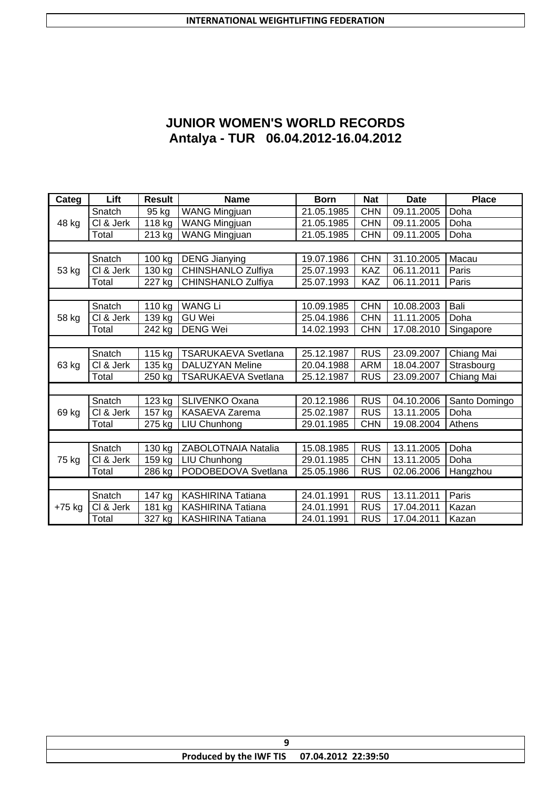# **JUNIOR WOMEN'S WORLD RECORDS Antalya - TUR 06.04.2012-16.04.2012**

| Categ  | Lift                    | <b>Result</b>        | <b>Name</b>                | <b>Born</b> | <b>Nat</b> | <b>Date</b> | <b>Place</b>  |
|--------|-------------------------|----------------------|----------------------------|-------------|------------|-------------|---------------|
|        | Snatch                  | 95 kg                | WANG Mingjuan              | 21.05.1985  | <b>CHN</b> | 09.11.2005  | Doha          |
| 48 kg  | CI & Jerk               | 118 kg               | <b>WANG Mingjuan</b>       | 21.05.1985  | <b>CHN</b> | 09.11.2005  | Doha          |
|        | Total                   | 213 kg               | <b>WANG Mingjuan</b>       | 21.05.1985  | <b>CHN</b> | 09.11.2005  | Doha          |
|        |                         |                      |                            |             |            |             |               |
|        | Snatch                  | 100 kg               | <b>DENG Jianying</b>       | 19.07.1986  | <b>CHN</b> | 31.10.2005  | Macau         |
| 53 kg  | CI & Jerk               | 130 kg               | CHINSHANLO Zulfiya         | 25.07.1993  | <b>KAZ</b> | 06.11.2011  | Paris         |
|        | Total                   | $\overline{2}$ 27 kg | <b>CHINSHANLO Zulfiya</b>  | 25.07.1993  | <b>KAZ</b> | 06.11.2011  | Paris         |
|        |                         |                      |                            |             |            |             |               |
|        | Snatch                  | 110 kg               | <b>WANG Li</b>             | 10.09.1985  | <b>CHN</b> | 10.08.2003  | Bali          |
| 58 kg  | CI & Jerk               | $\overline{1}39$ kg  | <b>GU Wei</b>              | 25.04.1986  | <b>CHN</b> | 11.11.2005  | Doha          |
|        | Total                   | 242 kg               | <b>DENG Wei</b>            | 14.02.1993  | <b>CHN</b> | 17.08.2010  | Singapore     |
|        |                         |                      |                            |             |            |             |               |
|        | Snatch                  | 115 kg               | <b>TSARUKAEVA Svetlana</b> | 25.12.1987  | <b>RUS</b> | 23.09.2007  | Chiang Mai    |
| 63 kg  | CI & Jerk               | 135 kg               | <b>DALUZYAN Meline</b>     | 20.04.1988  | <b>ARM</b> | 18.04.2007  | Strasbourg    |
|        | Total                   | 250 kg               | <b>TSARUKAEVA Svetlana</b> | 25.12.1987  | <b>RUS</b> | 23.09.2007  | Chiang Mai    |
|        |                         |                      |                            |             |            |             |               |
|        | Snatch                  | 123 kg               | SLIVENKO Oxana             | 20.12.1986  | <b>RUS</b> | 04.10.2006  | Santo Domingo |
| 69 kg  | CI & Jerk               | 157 kg               | KASAEVA Zarema             | 25.02.1987  | <b>RUS</b> | 13.11.2005  | Doha          |
|        | Total                   | 275 kg               | LIU Chunhong               | 29.01.1985  | <b>CHN</b> | 19.08.2004  | Athens        |
|        |                         |                      |                            |             |            |             |               |
|        | Snatch                  | 130 kg               | ZABOLOTNAIA Natalia        | 15.08.1985  | <b>RUS</b> | 13.11.2005  | Doha          |
| 75 kg  | $\overline{C}$ l & Jerk | 159 kg               | LIU Chunhong               | 29.01.1985  | <b>CHN</b> | 13.11.2005  | Doha          |
|        | Total                   | 286 kg               | PODOBEDOVA Svetlana        | 25.05.1986  | <b>RUS</b> | 02.06.2006  | Hangzhou      |
|        |                         |                      |                            |             |            |             |               |
|        | Snatch                  | $\overline{1}$ 47 kg | <b>KASHIRINA Tatiana</b>   | 24.01.1991  | <b>RUS</b> | 13.11.2011  | Paris         |
| +75 kg | CI & Jerk               | 181 kg               | <b>KASHIRINA Tatiana</b>   | 24.01.1991  | <b>RUS</b> | 17.04.2011  | Kazan         |
|        | Total                   | 327 kg               | <b>KASHIRINA Tatiana</b>   | 24.01.1991  | <b>RUS</b> | 17.04.2011  | Kazan         |

| Produced by the IWF TIS 07.04.2012 22:39:50 |  |
|---------------------------------------------|--|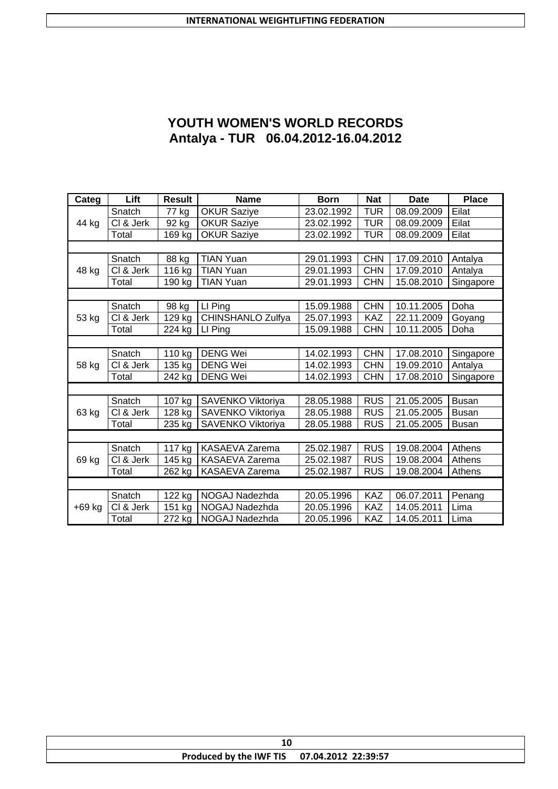# **YOUTH WOMEN'S WORLD RECORDS Antalya - TUR 06.04.2012-16.04.2012**

| Categ  | Lift      | <b>Result</b>        | <b>Name</b>           | <b>Born</b> | <b>Nat</b> | <b>Date</b> | <b>Place</b> |
|--------|-----------|----------------------|-----------------------|-------------|------------|-------------|--------------|
|        | Snatch    | 77 kg                | <b>OKUR Saziye</b>    | 23.02.1992  | <b>TUR</b> | 08.09.2009  | Eilat        |
| 44 kg  | CI & Jerk | 92 kg                | <b>OKUR Saziye</b>    | 23.02.1992  | <b>TUR</b> | 08.09.2009  | Eilat        |
|        | Total     | 169 kg               | <b>OKUR Saziye</b>    | 23.02.1992  | <b>TUR</b> | 08.09.2009  | Eilat        |
|        |           |                      |                       |             |            |             |              |
|        | Snatch    | 88 kg                | <b>TIAN Yuan</b>      | 29.01.1993  | <b>CHN</b> | 17.09.2010  | Antalya      |
| 48 kg  | CI & Jerk | 116 kg               | <b>TIAN Yuan</b>      | 29.01.1993  | <b>CHN</b> | 17.09.2010  | Antalya      |
|        | Total     | 190 kg               | <b>TIAN Yuan</b>      | 29.01.1993  | <b>CHN</b> | 15.08.2010  | Singapore    |
|        |           |                      |                       |             |            |             |              |
|        | Snatch    | 98 kg                | LI Ping               | 15.09.1988  | <b>CHN</b> | 10.11.2005  | Doha         |
| 53 kg  | CI & Jerk | $\overline{1}$ 29 kg | CHINSHANLO Zulfya     | 25.07.1993  | <b>KAZ</b> | 22.11.2009  | Goyang       |
|        | Total     | 224 kg               | LI Ping               | 15.09.1988  | <b>CHN</b> | 10.11.2005  | Doha         |
|        |           |                      |                       |             |            |             |              |
|        | Snatch    | 110 kg               | <b>DENG Wei</b>       | 14.02.1993  | <b>CHN</b> | 17.08.2010  | Singapore    |
| 58 kg  | CI & Jerk | 135 kg               | <b>DENG Wei</b>       | 14.02.1993  | <b>CHN</b> | 19.09.2010  | Antalya      |
|        | Total     | 242 kg               | <b>DENG Wei</b>       | 14.02.1993  | <b>CHN</b> | 17.08.2010  | Singapore    |
|        |           |                      |                       |             |            |             |              |
|        | Snatch    | 107 kg               | SAVENKO Viktoriya     | 28.05.1988  | <b>RUS</b> | 21.05.2005  | <b>Busan</b> |
| 63 kg  | CI & Jerk | 128 kg               | SAVENKO Viktoriya     | 28.05.1988  | <b>RUS</b> | 21.05.2005  | <b>Busan</b> |
|        | Total     | 235 kg               | SAVENKO Viktoriya     | 28.05.1988  | <b>RUS</b> | 21.05.2005  | <b>Busan</b> |
|        |           |                      |                       |             |            |             |              |
|        | Snatch    | $\overline{117}$ kg  | KASAEVA Zarema        | 25.02.1987  | <b>RUS</b> | 19.08.2004  | Athens       |
| 69 kg  | CI & Jerk | 145 kg               | <b>KASAEVA Zarema</b> | 25.02.1987  | <b>RUS</b> | 19.08.2004  | Athens       |
|        | Total     | 262 kg               | KASAEVA Zarema        | 25.02.1987  | <b>RUS</b> | 19.08.2004  | Athens       |
|        |           |                      |                       |             |            |             |              |
|        | Snatch    | 122 kg               | NOGAJ Nadezhda        | 20.05.1996  | <b>KAZ</b> | 06.07.2011  | Penang       |
| +69 kg | CI & Jerk | 151 kg               | NOGAJ Nadezhda        | 20.05.1996  | KAZ        | 14.05.2011  | Lima         |
|        | Total     | 272 kg               | NOGAJ Nadezhda        | 20.05.1996  | <b>KAZ</b> | 14.05.2011  | Lima         |

| Produced by the IWF TIS 07.04.2012 22:39:57 |
|---------------------------------------------|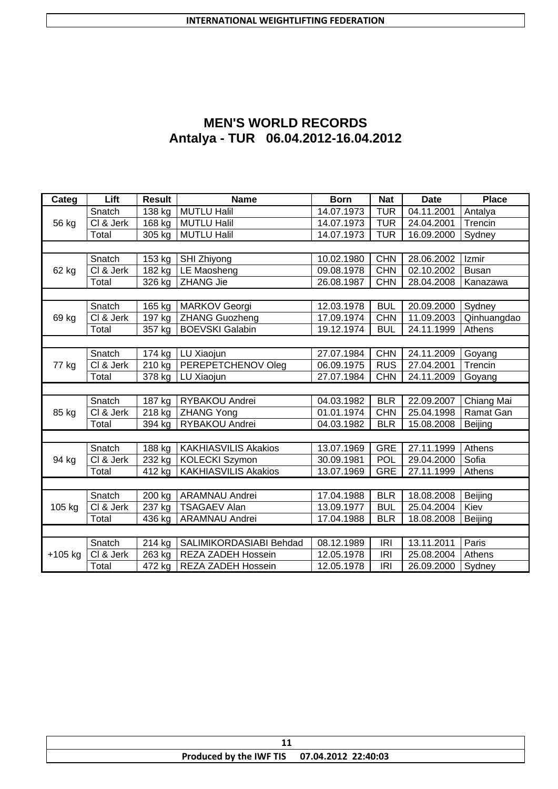| <b>MEN'S WORLD RECORDS</b>          |
|-------------------------------------|
| Antalya - TUR 06.04.2012-16.04.2012 |

| Categ     | Lift                    | <b>Result</b>       | <b>Name</b>                 | <b>Born</b> | <b>Nat</b> | <b>Date</b> | <b>Place</b> |
|-----------|-------------------------|---------------------|-----------------------------|-------------|------------|-------------|--------------|
|           | Snatch                  | 138 kg              | <b>MUTLU Halil</b>          | 14.07.1973  | <b>TUR</b> | 04.11.2001  | Antalya      |
| 56 kg     | CI & Jerk               | 168 kg              | <b>MUTLU Halil</b>          | 14.07.1973  | <b>TUR</b> | 24.04.2001  | Trencin      |
|           | Total                   | 305 kg              | <b>MUTLU Halil</b>          | 14.07.1973  | <b>TUR</b> | 16.09.2000  | Sydney       |
|           |                         |                     |                             |             |            |             |              |
|           | Snatch                  | 153 kg              | SHI Zhiyong                 | 10.02.1980  | CHN        | 28.06.2002  | Izmir        |
| 62 kg     | $\overline{CI}$ & Jerk  | 182 kg              | LE Maosheng                 | 09.08.1978  | <b>CHN</b> | 02.10.2002  | <b>Busan</b> |
|           | Total                   | 326 kg              | <b>ZHANG Jie</b>            | 26.08.1987  | <b>CHN</b> | 28.04.2008  | Kanazawa     |
|           |                         |                     |                             |             |            |             |              |
|           | Snatch                  | 165 kg              | <b>MARKOV</b> Georgi        | 12.03.1978  | <b>BUL</b> | 20.09.2000  | Sydney       |
| 69 kg     | CI & Jerk               | 197 kg              | <b>ZHANG Guozheng</b>       | 17.09.1974  | <b>CHN</b> | 11.09.2003  | Qinhuangdao  |
|           | Total                   | 357 kg              | <b>BOEVSKI Galabin</b>      | 19.12.1974  | <b>BUL</b> | 24.11.1999  | Athens       |
|           |                         |                     |                             |             |            |             |              |
|           | Snatch                  | 174 kg              | LU Xiaojun                  | 27.07.1984  | <b>CHN</b> | 24.11.2009  | Goyang       |
| 77 kg     | $\overline{C}$ l & Jerk | 210 kg              | PEREPETCHENOV Oleg          | 06.09.1975  | <b>RUS</b> | 27.04.2001  | Trencin      |
|           | Total                   | 378 kg              | LU Xiaojun                  | 27.07.1984  | <b>CHN</b> | 24.11.2009  | Goyang       |
|           |                         |                     |                             |             |            |             |              |
|           | Snatch                  | 187 kg              | RYBAKOU Andrei              | 04.03.1982  | <b>BLR</b> | 22.09.2007  | Chiang Mai   |
| 85 kg     | CI & Jerk               | 218 kg              | <b>ZHANG Yong</b>           | 01.01.1974  | <b>CHN</b> | 25.04.1998  | Ramat Gan    |
|           | Total                   | 394 kg              | RYBAKOU Andrei              | 04.03.1982  | <b>BLR</b> | 15.08.2008  | Beijing      |
|           |                         |                     |                             |             |            |             |              |
|           | Snatch                  | $\overline{188}$ kg | <b>KAKHIASVILIS Akakios</b> | 13.07.1969  | <b>GRE</b> | 27.11.1999  | Athens       |
| 94 kg     | CI & Jerk               | 232 kg              | <b>KOLECKI Szymon</b>       | 30.09.1981  | POL        | 29.04.2000  | Sofia        |
|           | Total                   | 412 kg              | <b>KAKHIASVILIS Akakios</b> | 13.07.1969  | <b>GRE</b> | 27.11.1999  | Athens       |
|           |                         |                     |                             |             |            |             |              |
|           | Snatch                  | 200 kg              | <b>ARAMNAU Andrei</b>       | 17.04.1988  | <b>BLR</b> | 18.08.2008  | Beijing      |
| 105 kg    | CI & Jerk               | 237 kg              | <b>TSAGAEV Alan</b>         | 13.09.1977  | <b>BUL</b> | 25.04.2004  | Kiev         |
|           | Total                   | 436 kg              | <b>ARAMNAU Andrei</b>       | 17.04.1988  | <b>BLR</b> | 18.08.2008  | Beijing      |
|           |                         |                     |                             |             |            |             |              |
|           | Snatch                  | 214 kg              | SALIMIKORDASIABI Behdad     | 08.12.1989  | <b>IRI</b> | 13.11.2011  | Paris        |
| $+105$ kg | CI & Jerk               | 263 kg              | REZA ZADEH Hossein          | 12.05.1978  | <b>IRI</b> | 25.08.2004  | Athens       |
|           | Total                   | 472 kg              | REZA ZADEH Hossein          | 12.05.1978  | <b>IRI</b> | 26.09.2000  | Sydney       |

| Produced by the IWF TIS 07.04.2012 22:40:03 |  |
|---------------------------------------------|--|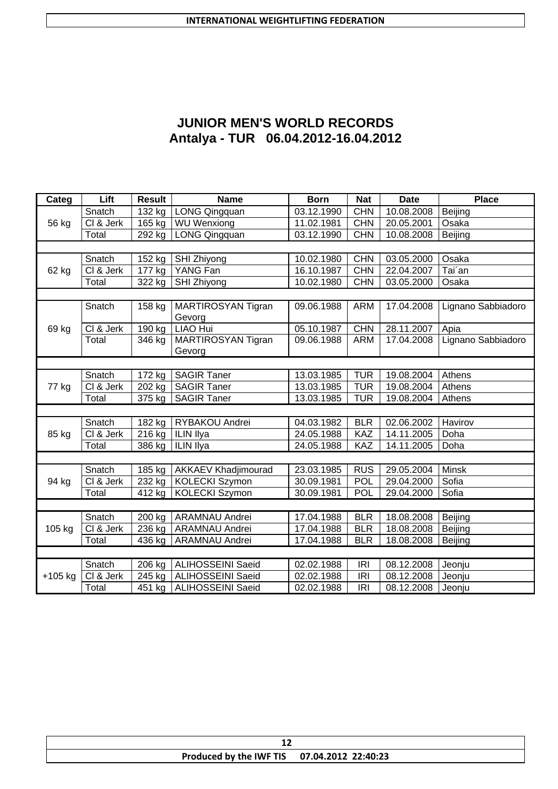| <b>JUNIOR MEN'S WORLD RECORDS</b>   |
|-------------------------------------|
| Antalya - TUR 06.04.2012-16.04.2012 |

| Categ     | Lift                   | <b>Result</b>       | <b>Name</b>                | <b>Born</b> | <b>Nat</b> | <b>Date</b> | <b>Place</b>       |
|-----------|------------------------|---------------------|----------------------------|-------------|------------|-------------|--------------------|
|           | Snatch                 | $\overline{132}$ kg | <b>LONG Qingquan</b>       | 03.12.1990  | <b>CHN</b> | 10.08.2008  | Beijing            |
| 56 kg     | CI & Jerk              | 165 kg              | WU Wenxiong                | 11.02.1981  | <b>CHN</b> | 20.05.2001  | Osaka              |
|           | Total                  | 292 kg              | LONG Qingquan              | 03.12.1990  | <b>CHN</b> | 10.08.2008  | Beijing            |
|           |                        |                     |                            |             |            |             |                    |
|           | Snatch                 | 152 kg              | SHI Zhiyong                | 10.02.1980  | <b>CHN</b> | 03.05.2000  | Osaka              |
| 62 kg     | CI & Jerk              | 177 kg              | YANG Fan                   | 16.10.1987  | <b>CHN</b> | 22.04.2007  | Tai'an             |
|           | Total                  | 322 kg              | SHI Zhiyong                | 10.02.1980  | <b>CHN</b> | 03.05.2000  | Osaka              |
|           |                        |                     |                            |             |            |             |                    |
|           | Snatch                 | 158 kg              | <b>MARTIROSYAN Tigran</b>  | 09.06.1988  | <b>ARM</b> | 17.04.2008  | Lignano Sabbiadoro |
|           |                        |                     | Gevorg                     |             |            |             |                    |
| 69 kg     | CI & Jerk              | $\overline{190}$ kg | <b>LIAO Hui</b>            | 05.10.1987  | <b>CHN</b> | 28.11.2007  | Apia               |
|           | Total                  | 346 kg              | MARTIROSYAN Tigran         | 09.06.1988  | <b>ARM</b> | 17.04.2008  | Lignano Sabbiadoro |
|           |                        |                     | Gevorg                     |             |            |             |                    |
|           |                        |                     |                            |             |            |             |                    |
|           | Snatch                 | 172 kg              | <b>SAGIR Taner</b>         | 13.03.1985  | <b>TUR</b> | 19.08.2004  | Athens             |
| 77 kg     | $\overline{CI}$ & Jerk | $202$ kg            | <b>SAGIR Taner</b>         | 13.03.1985  | <b>TUR</b> | 19.08.2004  | Athens             |
|           | Total                  | 375 kg              | <b>SAGIR Taner</b>         | 13.03.1985  | <b>TUR</b> | 19.08.2004  | Athens             |
|           |                        |                     |                            |             |            |             |                    |
|           | Snatch                 | 182 kg              | RYBAKOU Andrei             | 04.03.1982  | <b>BLR</b> | 02.06.2002  | Havirov            |
| 85 kg     | CI & Jerk              | 216 kg              | ILIN Ilya                  | 24.05.1988  | <b>KAZ</b> | 14.11.2005  | Doha               |
|           | Total                  | 386 kg              | ILIN Ilya                  | 24.05.1988  | KAZ        | 14.11.2005  | Doha               |
|           |                        |                     |                            |             |            |             |                    |
|           | Snatch                 | $\overline{185}$ kg | <b>AKKAEV Khadjimourad</b> | 23.03.1985  | <b>RUS</b> | 29.05.2004  | <b>Minsk</b>       |
| 94 kg     | CI & Jerk              | 232 kg              | <b>KOLECKI Szymon</b>      | 30.09.1981  | POL        | 29.04.2000  | Sofia              |
|           | Total                  | 412 kg              | <b>KOLECKI Szymon</b>      | 30.09.1981  | POL        | 29.04.2000  | Sofia              |
|           |                        |                     |                            |             |            |             |                    |
|           | Snatch                 | 200 kg              | <b>ARAMNAU Andrei</b>      | 17.04.1988  | <b>BLR</b> | 18.08.2008  | Beijing            |
| 105 kg    | CI & Jerk              | 236 kg              | <b>ARAMNAU Andrei</b>      | 17.04.1988  | <b>BLR</b> | 18.08.2008  | Beijing            |
|           | Total                  | 436 kg              | <b>ARAMNAU Andrei</b>      | 17.04.1988  | <b>BLR</b> | 18.08.2008  | Beijing            |
|           |                        |                     |                            |             |            |             |                    |
|           | Snatch                 | 206 kg              | <b>ALIHOSSEINI Saeid</b>   | 02.02.1988  | <b>IRI</b> | 08.12.2008  | Jeonju             |
| $+105$ kg | CI & Jerk              | 245 kg              | <b>ALIHOSSEINI Saeid</b>   | 02.02.1988  | <b>IRI</b> | 08.12.2008  | Jeonju             |
|           | Total                  | 451 kg              | <b>ALIHOSSEINI Saeid</b>   | 02.02.1988  | <b>IRI</b> | 08.12.2008  | Jeonju             |

| ∸                                           |  |  |  |  |
|---------------------------------------------|--|--|--|--|
| Produced by the IWF TIS 07.04.2012 22:40:23 |  |  |  |  |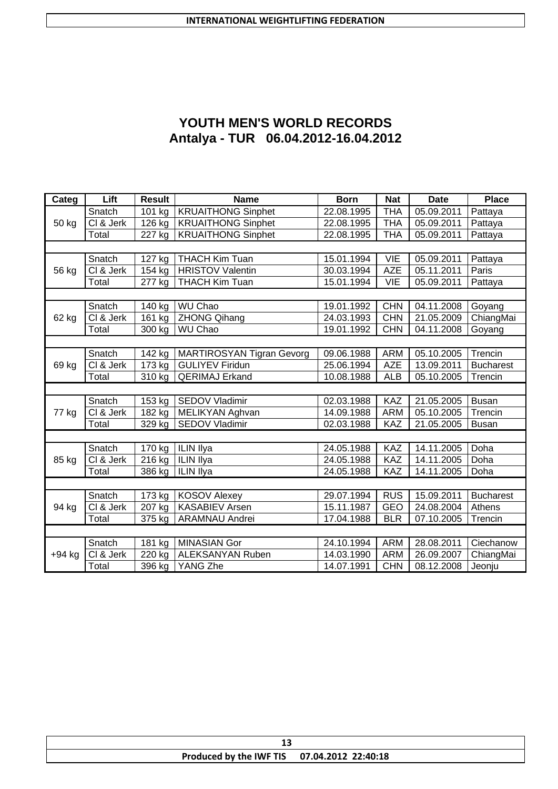# **YOUTH MEN'S WORLD RECORDS Antalya - TUR 06.04.2012-16.04.2012**

| Categ  | Lift                      | <b>Result</b>        | <b>Name</b>                      | <b>Born</b> | <b>Nat</b> | <b>Date</b> | <b>Place</b>     |
|--------|---------------------------|----------------------|----------------------------------|-------------|------------|-------------|------------------|
|        | Snatch                    | 101 kg               | <b>KRUAITHONG Sinphet</b>        | 22.08.1995  | <b>THA</b> | 05.09.2011  | Pattaya          |
| 50 kg  | CI & Jerk                 | 126 kg               | <b>KRUAITHONG Sinphet</b>        | 22.08.1995  | <b>THA</b> | 05.09.2011  | Pattaya          |
|        | Total                     | 227 kg               | <b>KRUAITHONG Sinphet</b>        | 22.08.1995  | <b>THA</b> | 05.09.2011  | Pattaya          |
|        |                           |                      |                                  |             |            |             |                  |
|        | Snatch                    | 127 kg               | <b>THACH Kim Tuan</b>            | 15.01.1994  | <b>VIE</b> | 05.09.2011  | Pattaya          |
| 56 kg  | CI & Jerk                 | 154 kg               | <b>HRISTOV Valentin</b>          | 30.03.1994  | <b>AZE</b> | 05.11.2011  | Paris            |
|        | Total                     | 277 kg               | <b>THACH Kim Tuan</b>            | 15.01.1994  | <b>VIE</b> | 05.09.2011  | Pattaya          |
|        |                           |                      |                                  |             |            |             |                  |
|        | Snatch                    | 140 kg               | <b>WU Chao</b>                   | 19.01.1992  | <b>CHN</b> | 04.11.2008  | Goyang           |
| 62 kg  | CI & Jerk                 | 161 kg               | <b>ZHONG Qihang</b>              | 24.03.1993  | <b>CHN</b> | 21.05.2009  | ChiangMai        |
|        | Total                     | 300 kg               | WU Chao                          | 19.01.1992  | <b>CHN</b> | 04.11.2008  | Goyang           |
|        |                           |                      |                                  |             |            |             |                  |
|        | Snatch                    | $\overline{1}$ 42 kg | <b>MARTIROSYAN Tigran Gevorg</b> | 09.06.1988  | <b>ARM</b> | 05.10.2005  | Trencin          |
| 69 kg  | CI & Jerk                 | 173 kg               | <b>GULIYEV Firidun</b>           | 25.06.1994  | <b>AZE</b> | 13.09.2011  | <b>Bucharest</b> |
|        | Total                     | 310 kg               | <b>QERIMAJ Erkand</b>            | 10.08.1988  | <b>ALB</b> | 05.10.2005  | Trencin          |
|        |                           |                      |                                  |             |            |             |                  |
|        | Snatch                    | 153 kg               | <b>SEDOV Vladimir</b>            | 02.03.1988  | KAZ        | 21.05.2005  | <b>Busan</b>     |
| 77 kg  | $\overline{CI\ & S}$ Jerk | 182 kg               | MELIKYAN Aghvan                  | 14.09.1988  | <b>ARM</b> | 05.10.2005  | Trencin          |
|        | Total                     | 329 kg               | <b>SEDOV Vladimir</b>            | 02.03.1988  | <b>KAZ</b> | 21.05.2005  | <b>Busan</b>     |
|        |                           |                      |                                  |             |            |             |                  |
|        | Snatch                    | 170 kg               | <b>ILIN Ilya</b>                 | 24.05.1988  | KAZ        | 14.11.2005  | Doha             |
| 85 kg  | CI & Jerk                 | 216 kg               | <b>ILIN Ilya</b>                 | 24.05.1988  | <b>KAZ</b> | 14.11.2005  | Doha             |
|        | Total                     | 386 kg               | ILIN Ilya                        | 24.05.1988  | KAZ        | 14.11.2005  | Doha             |
|        |                           |                      |                                  |             |            |             |                  |
|        | Snatch                    | 173 kg               | <b>KOSOV Alexey</b>              | 29.07.1994  | <b>RUS</b> | 15.09.2011  | <b>Bucharest</b> |
| 94 kg  | CI & Jerk                 | 207 kg               | <b>KASABIEV Arsen</b>            | 15.11.1987  | <b>GEO</b> | 24.08.2004  | Athens           |
|        | Total                     | 375 kg               | <b>ARAMNAU Andrei</b>            | 17.04.1988  | <b>BLR</b> | 07.10.2005  | Trencin          |
|        |                           |                      |                                  |             |            |             |                  |
|        | Snatch                    | 181 kg               | <b>MINASIAN Gor</b>              | 24.10.1994  | <b>ARM</b> | 28.08.2011  | Ciechanow        |
| +94 kg | CI & Jerk                 | 220 kg               | ALEKSANYAN Ruben                 | 14.03.1990  | <b>ARM</b> | 26.09.2007  | ChiangMai        |
|        | Total                     | $\overline{396}$ kg  | YANG Zhe                         | 14.07.1991  | <b>CHN</b> | 08.12.2008  | Jeonju           |

| Produced by the IWF TIS 07.04.2012 22:40:18 |  |  |  |  |
|---------------------------------------------|--|--|--|--|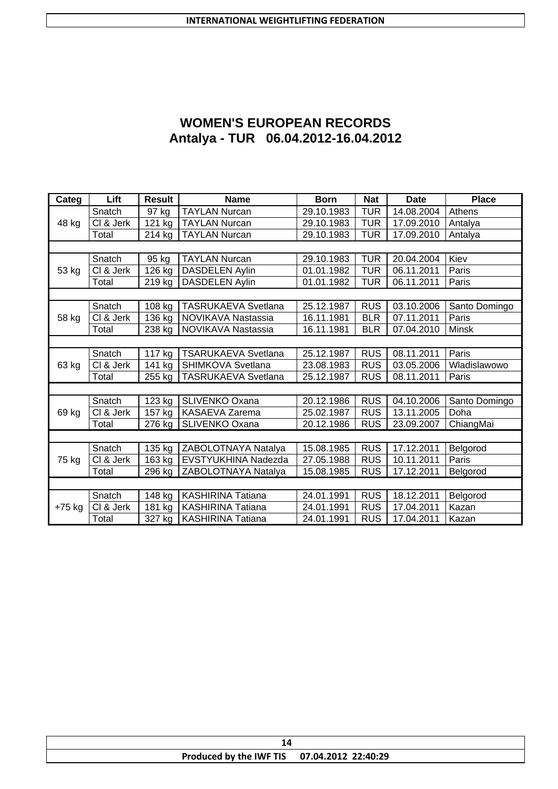| <b>WOMEN'S EUROPEAN RECORDS</b>     |
|-------------------------------------|
| Antalya - TUR 06.04.2012-16.04.2012 |

| Categ  | Lift                   | <b>Result</b>        | <b>Name</b>                | <b>Born</b> | <b>Nat</b> | <b>Date</b> | <b>Place</b>  |
|--------|------------------------|----------------------|----------------------------|-------------|------------|-------------|---------------|
|        | Snatch                 | 97 kg                | <b>TAYLAN Nurcan</b>       | 29.10.1983  | <b>TUR</b> | 14.08.2004  | Athens        |
| 48 kg  | CI & Jerk              | 121 kg               | <b>TAYLAN Nurcan</b>       | 29.10.1983  | <b>TUR</b> | 17.09.2010  | Antalya       |
|        | Total                  | 214 kg               | <b>TAYLAN Nurcan</b>       | 29.10.1983  | <b>TUR</b> | 17.09.2010  | Antalya       |
|        |                        |                      |                            |             |            |             |               |
|        | Snatch                 | 95 kg                | <b>TAYLAN Nurcan</b>       | 29.10.1983  | <b>TUR</b> | 20.04.2004  | Kiev          |
| 53 kg  | CI & Jerk              | 126 kg               | <b>DASDELEN Aylin</b>      | 01.01.1982  | <b>TUR</b> | 06.11.2011  | Paris         |
|        | Total                  | $\overline{2}$ 19 kg | <b>DASDELEN Aylin</b>      | 01.01.1982  | <b>TUR</b> | 06.11.2011  | Paris         |
|        |                        |                      |                            |             |            |             |               |
|        | Snatch                 | 108 kg               | <b>TASRUKAEVA Svetlana</b> | 25.12.1987  | <b>RUS</b> | 03.10.2006  | Santo Domingo |
| 58 kg  | $\overline{CI}$ & Jerk | $\overline{1}36$ kg  | NOVIKAVA Nastassia         | 16.11.1981  | <b>BLR</b> | 07.11.2011  | Paris         |
|        | Total                  | 238 kg               | NOVIKAVA Nastassia         | 16.11.1981  | <b>BLR</b> | 07.04.2010  | Minsk         |
|        |                        |                      |                            |             |            |             |               |
|        | Snatch                 | 117 kg               | <b>TSARUKAEVA Svetlana</b> | 25.12.1987  | <b>RUS</b> | 08.11.2011  | Paris         |
| 63 kg  | CI & Jerk              | 141 kg               | SHIMKOVA Svetlana          | 23.08.1983  | <b>RUS</b> | 03.05.2006  | Wladislawowo  |
|        | Total                  | 255 kg               | <b>TASRUKAEVA Svetlana</b> | 25.12.1987  | <b>RUS</b> | 08.11.2011  | Paris         |
|        |                        |                      |                            |             |            |             |               |
|        | Snatch                 | 123 kg               | SLIVENKO Oxana             | 20.12.1986  | <b>RUS</b> | 04.10.2006  | Santo Domingo |
| 69 kg  | CI & Jerk              | 157 kg               | KASAEVA Zarema             | 25.02.1987  | <b>RUS</b> | 13.11.2005  | Doha          |
|        | Total                  | 276 kg               | <b>SLIVENKO Oxana</b>      | 20.12.1986  | <b>RUS</b> | 23.09.2007  | ChiangMai     |
|        |                        |                      |                            |             |            |             |               |
|        | Snatch                 | $\overline{1}35$ kg  | ZABOLOTNAYA Natalya        | 15.08.1985  | <b>RUS</b> | 17.12.2011  | Belgorod      |
| 75 kg  | CI & Jerk              | 163 kg               | EVSTYUKHINA Nadezda        | 27.05.1988  | <b>RUS</b> | 10.11.2011  | Paris         |
|        | Total                  | 296 kg               | ZABOLOTNAYA Natalya        | 15.08.1985  | <b>RUS</b> | 17.12.2011  | Belgorod      |
|        |                        |                      |                            |             |            |             |               |
|        | Snatch                 | 148 kg               | <b>KASHIRINA Tatiana</b>   | 24.01.1991  | <b>RUS</b> | 18.12.2011  | Belgorod      |
| +75 kg | CI & Jerk              | 181 kg               | <b>KASHIRINA Tatiana</b>   | 24.01.1991  | <b>RUS</b> | 17.04.2011  | Kazan         |
|        | Total                  | 327 kg               | <b>KASHIRINA Tatiana</b>   | 24.01.1991  | <b>RUS</b> | 17.04.2011  | Kazan         |

|  | Produced by the IWF TIS 07.04.2012 22:40:29 |  |  |  |
|--|---------------------------------------------|--|--|--|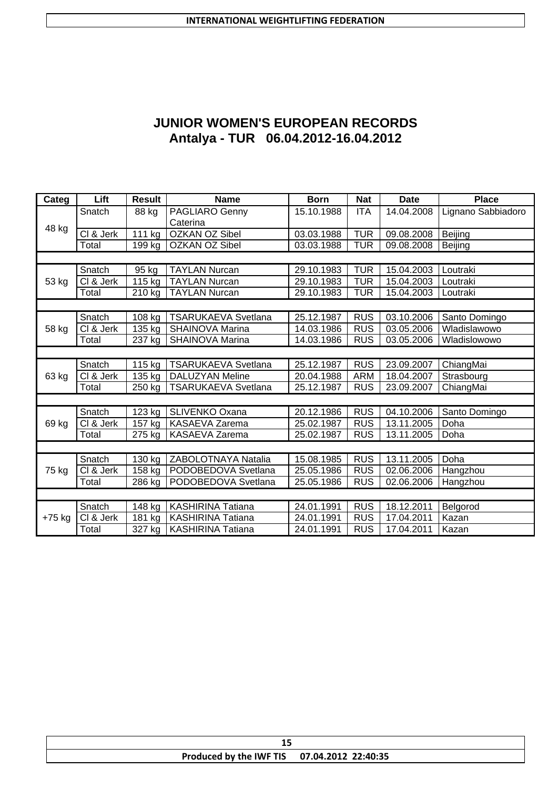| <b>JUNIOR WOMEN'S EUROPEAN RECORDS</b> |
|----------------------------------------|
| Antalya - TUR 06.04.2012-16.04.2012    |

| Categ    | Lift                    | <b>Result</b> | <b>Name</b>                | <b>Born</b> | <b>Nat</b> | <b>Date</b> | <b>Place</b>       |
|----------|-------------------------|---------------|----------------------------|-------------|------------|-------------|--------------------|
|          | Snatch                  | 88 kg         | PAGLIARO Genny             | 15.10.1988  | <b>ITA</b> | 14.04.2008  | Lignano Sabbiadoro |
| 48 kg    |                         |               | Caterina                   |             |            |             |                    |
|          | CI & Jerk               | 111 kg        | <b>OZKAN OZ Sibel</b>      | 03.03.1988  | <b>TUR</b> | 09.08.2008  | Beijing            |
|          | Total                   | 199 kg        | <b>OZKAN OZ Sibel</b>      | 03.03.1988  | <b>TUR</b> | 09.08.2008  | Beijing            |
|          |                         |               |                            |             |            |             |                    |
|          | Snatch                  | 95 kg         | <b>TAYLAN Nurcan</b>       | 29.10.1983  | <b>TUR</b> | 15.04.2003  | Loutraki           |
| 53 kg    | CI & Jerk               | 115 kg        | <b>TAYLAN Nurcan</b>       | 29.10.1983  | <b>TUR</b> | 15.04.2003  | Loutraki           |
|          | Total                   | 210 kg        | <b>TAYLAN Nurcan</b>       | 29.10.1983  | <b>TUR</b> | 15.04.2003  | Loutraki           |
|          |                         |               |                            |             |            |             |                    |
|          | Snatch                  | 108 kg        | <b>TSARUKAEVA Svetlana</b> | 25.12.1987  | <b>RUS</b> | 03.10.2006  | Santo Domingo      |
| 58 kg    | $\overline{C}$ l & Jerk | 135 kg        | SHAINOVA Marina            | 14.03.1986  | <b>RUS</b> | 03.05.2006  | Wladislawowo       |
|          | Total                   | 237 kg        | <b>SHAINOVA Marina</b>     | 14.03.1986  | <b>RUS</b> | 03.05.2006  | Wladislowowo       |
|          |                         |               |                            |             |            |             |                    |
|          | Snatch                  | 115 kg        | <b>TSARUKAEVA Svetlana</b> | 25.12.1987  | <b>RUS</b> | 23.09.2007  | ChiangMai          |
| 63 kg    | CI & Jerk               | 135 kg        | <b>DALUZYAN Meline</b>     | 20.04.1988  | <b>ARM</b> | 18.04.2007  | Strasbourg         |
|          | Total                   | 250 kg        | <b>TSARUKAEVA Svetlana</b> | 25.12.1987  | <b>RUS</b> | 23.09.2007  | ChiangMai          |
|          |                         |               |                            |             |            |             |                    |
|          | Snatch                  | 123 kg        | SLIVENKO Oxana             | 20.12.1986  | <b>RUS</b> | 04.10.2006  | Santo Domingo      |
| 69 kg    | $\overline{CI}$ & Jerk  | 157 kg        | KASAEVA Zarema             | 25.02.1987  | <b>RUS</b> | 13.11.2005  | Doha               |
|          | Total                   | 275 kg        | KASAEVA Zarema             | 25.02.1987  | <b>RUS</b> | 13.11.2005  | Doha               |
|          |                         |               |                            |             |            |             |                    |
|          | Snatch                  | 130 kg        | ZABOLOTNAYA Natalia        | 15.08.1985  | <b>RUS</b> | 13.11.2005  | Doha               |
| 75 kg    | CI & Jerk               | 158 kg        | PODOBEDOVA Svetlana        | 25.05.1986  | <b>RUS</b> | 02.06.2006  | Hangzhou           |
|          | Total                   | 286 kg        | PODOBEDOVA Svetlana        | 25.05.1986  | <b>RUS</b> | 02.06.2006  | Hangzhou           |
|          |                         |               |                            |             |            |             |                    |
|          | Snatch                  | 148 kg        | <b>KASHIRINA Tatiana</b>   | 24.01.1991  | <b>RUS</b> | 18.12.2011  | Belgorod           |
| $+75$ kg | CI & Jerk               | 181 kg        | <b>KASHIRINA Tatiana</b>   | 24.01.1991  | <b>RUS</b> | 17.04.2011  | Kazan              |
|          | Total                   | 327 kg        | KASHIRINA Tatiana          | 24.01.1991  | <b>RUS</b> | 17.04.2011  | Kazan              |

|  | Produced by the IWF TIS 07.04.2012 22:40:35 |  |  |  |
|--|---------------------------------------------|--|--|--|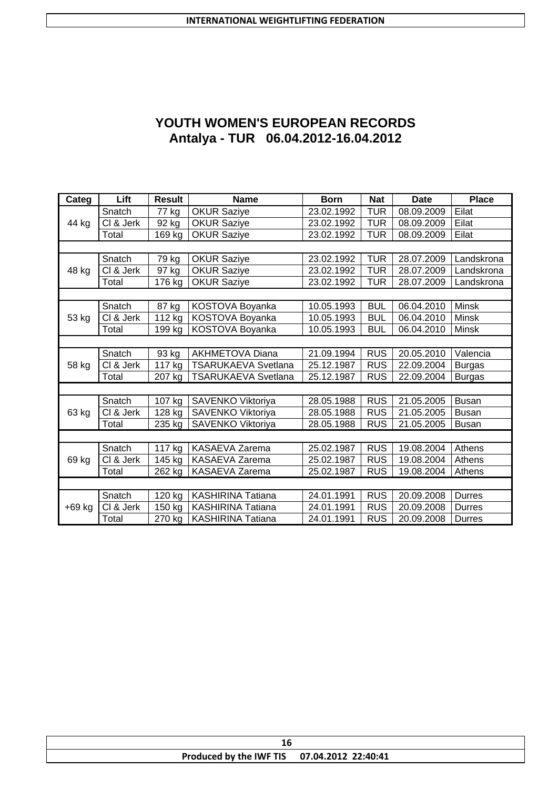# **YOUTH WOMEN'S EUROPEAN RECORDS Antalya - TUR 06.04.2012-16.04.2012**

| Categ    | Lift      | <b>Result</b>        | <b>Name</b>                | <b>Born</b>             | <b>Nat</b> | <b>Date</b> | <b>Place</b>  |
|----------|-----------|----------------------|----------------------------|-------------------------|------------|-------------|---------------|
|          | Snatch    | 77 kg                | <b>OKUR Saziye</b>         | 23.02.1992              | <b>TUR</b> | 08.09.2009  | Eilat         |
| 44 kg    | CI & Jerk | 92 kg                | <b>OKUR Saziye</b>         | 23.02.1992              | <b>TUR</b> | 08.09.2009  | Eilat         |
|          | Total     | 169 kg               | OKUR Saziye                | 23.02.1992              | <b>TUR</b> | 08.09.2009  | Eilat         |
|          |           |                      |                            |                         |            |             |               |
|          | Snatch    | 79 kg                | <b>OKUR Saziye</b>         | 23.02.1992              | <b>TUR</b> | 28.07.2009  | Landskrona    |
| 48 kg    | CI & Jerk | 97 kg                | <b>OKUR Saziye</b>         | 23.02.1992              | <b>TUR</b> | 28.07.2009  | Landskrona    |
|          | Total     | 176 kg               | <b>OKUR Saziye</b>         | 23.02.1992              | <b>TUR</b> | 28.07.2009  | Landskrona    |
|          |           |                      |                            |                         |            |             |               |
|          | Snatch    | 87 kg                | KOSTOVA Boyanka            | 10.05.1993              | <b>BUL</b> | 06.04.2010  | <b>Minsk</b>  |
| 53 kg    | CI & Jerk | 112 kg               | KOSTOVA Boyanka            | $\overline{10.05.1993}$ | <b>BUL</b> | 06.04.2010  | Minsk         |
|          | Total     | 199 kg               | KOSTOVA Boyanka            | 10.05.1993              | <b>BUL</b> | 06.04.2010  | <b>Minsk</b>  |
|          |           |                      |                            |                         |            |             |               |
|          | Snatch    | 93 kg                | <b>AKHMETOVA Diana</b>     | 21.09.1994              | <b>RUS</b> | 20.05.2010  | Valencia      |
| 58 kg    | CI & Jerk | 117 kg               | <b>TSARUKAEVA Svetlana</b> | 25.12.1987              | <b>RUS</b> | 22.09.2004  | <b>Burgas</b> |
|          | Total     | 207 kg               | <b>TSARUKAEVA Svetlana</b> | 25.12.1987              | <b>RUS</b> | 22.09.2004  | <b>Burgas</b> |
|          |           |                      |                            |                         |            |             |               |
|          | Snatch    | 107 kg               | SAVENKO Viktoriya          | 28.05.1988              | <b>RUS</b> | 21.05.2005  | <b>Busan</b>  |
| 63 kg    | CI & Jerk | 128 kg               | SAVENKO Viktoriya          | 28.05.1988              | <b>RUS</b> | 21.05.2005  | <b>Busan</b>  |
|          | Total     | 235 kg               | SAVENKO Viktoriya          | 28.05.1988              | <b>RUS</b> | 21.05.2005  | <b>Busan</b>  |
|          |           |                      |                            |                         |            |             |               |
|          | Snatch    | $\overline{117}$ kg  | <b>KASAEVA Zarema</b>      | 25.02.1987              | <b>RUS</b> | 19.08.2004  | Athens        |
| 69 kg    | CI & Jerk | 145 kg               | KASAEVA Zarema             | 25.02.1987              | <b>RUS</b> | 19.08.2004  | Athens        |
|          | Total     | 262 kg               | <b>KASAEVA Zarema</b>      | 25.02.1987              | <b>RUS</b> | 19.08.2004  | Athens        |
|          |           |                      |                            |                         |            |             |               |
|          | Snatch    | $\overline{1}$ 20 kg | <b>KASHIRINA Tatiana</b>   | 24.01.1991              | <b>RUS</b> | 20.09.2008  | Durres        |
| $+69$ kg | CI & Jerk | 150 kg               | <b>KASHIRINA Tatiana</b>   | 24.01.1991              | <b>RUS</b> | 20.09.2008  | Durres        |
|          | Total     | 270 kg               | <b>KASHIRINA Tatiana</b>   | 24.01.1991              | <b>RUS</b> | 20.09.2008  | <b>Durres</b> |

| Produced by the IWF TIS 07.04.2012 22:40:41 |  |  |  |  |
|---------------------------------------------|--|--|--|--|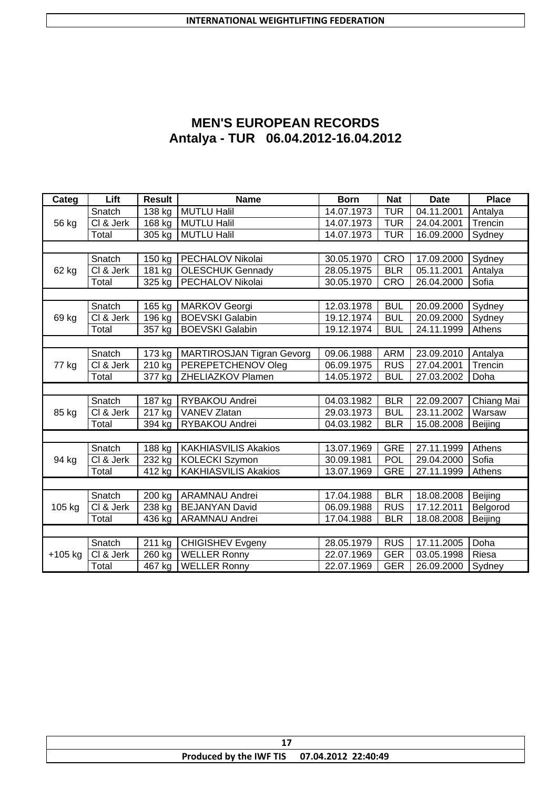| <b>MEN'S EUROPEAN RECORDS</b>       |
|-------------------------------------|
| Antalya - TUR 06.04.2012-16.04.2012 |

| Categ                   | Lift                   | <b>Result</b> | <b>Name</b>                      | <b>Born</b> | <b>Nat</b> | <b>Date</b> | <b>Place</b> |
|-------------------------|------------------------|---------------|----------------------------------|-------------|------------|-------------|--------------|
|                         | Snatch                 | 138 kg        | <b>MUTLU Halil</b>               | 14.07.1973  | <b>TUR</b> | 04.11.2001  | Antalya      |
| 56 kg                   | CI & Jerk              | 168 kg        | <b>MUTLU Halil</b>               | 14.07.1973  | <b>TUR</b> | 24.04.2001  | Trencin      |
|                         | Total                  | 305 kg        | <b>MUTLU Halil</b>               | 14.07.1973  | <b>TUR</b> | 16.09.2000  | Sydney       |
|                         |                        |               |                                  |             |            |             |              |
|                         | Snatch                 | 150 kg        | PECHALOV Nikolai                 | 30.05.1970  | <b>CRO</b> | 17.09.2000  | Sydney       |
| 62 kg                   | $\overline{CI}$ & Jerk | 181 kg        | <b>OLESCHUK Gennady</b>          | 28.05.1975  | <b>BLR</b> | 05.11.2001  | Antalya      |
|                         | Total                  | 325 kg        | PECHALOV Nikolai                 | 30.05.1970  | <b>CRO</b> | 26.04.2000  | Sofia        |
|                         |                        |               |                                  |             |            |             |              |
|                         | Snatch                 | 165 kg        | <b>MARKOV Georgi</b>             | 12.03.1978  | <b>BUL</b> | 20.09.2000  | Sydney       |
| 69 kg                   | $\overline{CI}$ & Jerk | 196 kg        | <b>BOEVSKI Galabin</b>           | 19.12.1974  | <b>BUL</b> | 20.09.2000  | Sydney       |
| 77 kg<br>85 kg<br>94 kg | Total                  | 357 kg        | <b>BOEVSKI Galabin</b>           | 19.12.1974  | <b>BUL</b> | 24.11.1999  | Athens       |
|                         |                        |               |                                  |             |            |             |              |
|                         | Snatch                 | 173 kg        | <b>MARTIROSJAN Tigran Gevorg</b> | 09.06.1988  | <b>ARM</b> | 23.09.2010  | Antalya      |
|                         | CI & Jerk              | 210 kg        | PEREPETCHENOV Oleg               | 06.09.1975  | <b>RUS</b> | 27.04.2001  | Trencin      |
|                         | Total                  | 377 kg        | ZHELIAZKOV Plamen                | 14.05.1972  | <b>BUL</b> | 27.03.2002  | Doha         |
|                         |                        |               |                                  |             |            |             |              |
|                         | Snatch                 | 187 kg        | RYBAKOU Andrei                   | 04.03.1982  | <b>BLR</b> | 22.09.2007  | Chiang Mai   |
|                         | $\overline{CI}$ & Jerk | 217 kg        | <b>VANEV Zlatan</b>              | 29.03.1973  | <b>BUL</b> | 23.11.2002  | Warsaw       |
|                         | Total                  | 394 kg        | RYBAKOU Andrei                   | 04.03.1982  | <b>BLR</b> | 15.08.2008  | Beijing      |
|                         |                        |               |                                  |             |            |             |              |
|                         | Snatch                 | 188 kg        | <b>KAKHIASVILIS Akakios</b>      | 13.07.1969  | <b>GRE</b> | 27.11.1999  | Athens       |
|                         | CI & Jerk              | 232 kg        | <b>KOLECKI Szymon</b>            | 30.09.1981  | POL        | 29.04.2000  | Sofia        |
|                         | Total                  | 412 kg        | <b>KAKHIASVILIS Akakios</b>      | 13.07.1969  | <b>GRE</b> | 27.11.1999  | Athens       |
|                         |                        |               |                                  |             |            |             |              |
|                         | Snatch                 | 200 kg        | <b>ARAMNAU Andrei</b>            | 17.04.1988  | <b>BLR</b> | 18.08.2008  | Beijing      |
| 105 kg                  | CI & Jerk              | 238 kg        | <b>BEJANYAN David</b>            | 06.09.1988  | <b>RUS</b> | 17.12.2011  | Belgorod     |
|                         | Total                  | 436 kg        | <b>ARAMNAU Andrei</b>            | 17.04.1988  | <b>BLR</b> | 18.08.2008  | Beijing      |
|                         |                        |               |                                  |             |            |             |              |
|                         | Snatch                 | 211 kg        | <b>CHIGISHEV Evgeny</b>          | 28.05.1979  | <b>RUS</b> | 17.11.2005  | Doha         |
| $+105$ kg               | CI & Jerk              | 260 kg        | <b>WELLER Ronny</b>              | 22.07.1969  | <b>GER</b> | 03.05.1998  | Riesa        |
|                         | Total                  | 467 kg        | <b>WELLER Ronny</b>              | 22.07.1969  | <b>GER</b> | 26.09.2000  | Sydney       |

| Produced by the IWF TIS 07.04.2012 22:40:49 |  |  |  |  |
|---------------------------------------------|--|--|--|--|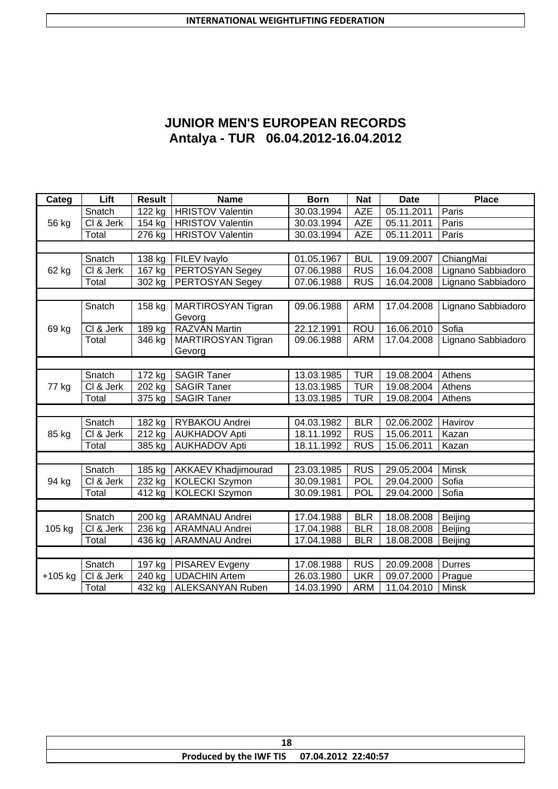# **JUNIOR MEN'S EUROPEAN RECORDS Antalya - TUR 06.04.2012-16.04.2012**

| Categ     | Lift      | <b>Result</b>       | <b>Name</b>                | <b>Born</b> | <b>Nat</b> | <b>Date</b> | <b>Place</b>       |
|-----------|-----------|---------------------|----------------------------|-------------|------------|-------------|--------------------|
|           | Snatch    | 122 kg              | <b>HRISTOV Valentin</b>    | 30.03.1994  | <b>AZE</b> | 05.11.2011  | Paris              |
| 56 kg     | CI & Jerk | 154 kg              | <b>HRISTOV Valentin</b>    | 30.03.1994  | <b>AZE</b> | 05.11.2011  | Paris              |
|           | Total     | 276 kg              | <b>HRISTOV Valentin</b>    | 30.03.1994  | <b>AZE</b> | 05.11.2011  | Paris              |
|           |           |                     |                            |             |            |             |                    |
|           | Snatch    | 138 kg              | FILEV Ivaylo               | 01.05.1967  | <b>BUL</b> | 19.09.2007  | ChiangMai          |
| 62 kg     | CI & Jerk | 167 kg              | PERTOSYAN Segey            | 07.06.1988  | <b>RUS</b> | 16.04.2008  | Lignano Sabbiadoro |
|           | Total     | 302 kg              | PERTOSYAN Segey            | 07.06.1988  | <b>RUS</b> | 16.04.2008  | Lignano Sabbiadoro |
|           |           |                     |                            |             |            |             |                    |
|           | Snatch    | 158 kg              | MARTIROSYAN Tigran         | 09.06.1988  | <b>ARM</b> | 17.04.2008  | Lignano Sabbiadoro |
|           |           |                     | Gevorg                     |             |            |             |                    |
| 69 kg     | CI & Jerk | $189$ kg            | <b>RAZVAN Martin</b>       | 22.12.1991  | ROU        | 16.06.2010  | Sofia              |
|           | Total     | 346 kg              | <b>MARTIROSYAN Tigran</b>  | 09.06.1988  | <b>ARM</b> | 17.04.2008  | Lignano Sabbiadoro |
|           |           |                     | Gevorg                     |             |            |             |                    |
|           |           |                     |                            |             |            |             |                    |
|           | Snatch    | $\overline{172}$ kg | <b>SAGIR Taner</b>         | 13.03.1985  | <b>TUR</b> | 19.08.2004  | Athens             |
| 77 kg     | CI & Jerk | 202 kg              | <b>SAGIR Taner</b>         | 13.03.1985  | <b>TUR</b> | 19.08.2004  | Athens             |
|           | Total     | 375 kg              | <b>SAGIR Taner</b>         | 13.03.1985  | <b>TUR</b> | 19.08.2004  | Athens             |
|           |           |                     |                            |             |            |             |                    |
|           | Snatch    | $\overline{182}$ kg | RYBAKOU Andrei             | 04.03.1982  | <b>BLR</b> | 02.06.2002  | Havirov            |
| 85 kg     | CI & Jerk | 212 kg              | <b>AUKHADOV Apti</b>       | 18.11.1992  | <b>RUS</b> | 15.06.2011  | Kazan              |
|           | Total     | 385 kg              | <b>AUKHADOV Apti</b>       | 18.11.1992  | <b>RUS</b> | 15.06.2011  | Kazan              |
|           |           |                     |                            |             |            |             |                    |
|           | Snatch    | 185 kg              | <b>AKKAEV Khadjimourad</b> | 23.03.1985  | <b>RUS</b> | 29.05.2004  | <b>Minsk</b>       |
| 94 kg     | CI & Jerk | 232 kg              | <b>KOLECKI Szymon</b>      | 30.09.1981  | <b>POL</b> | 29.04.2000  | Sofia              |
|           | Total     | 412 kg              | <b>KOLECKI Szymon</b>      | 30.09.1981  | POL        | 29.04.2000  | Sofia              |
|           |           |                     |                            |             |            |             |                    |
|           | Snatch    | 200 kg              | <b>ARAMNAU Andrei</b>      | 17.04.1988  | <b>BLR</b> | 18.08.2008  | Beijing            |
| 105 kg    | CI & Jerk | 236 kg              | <b>ARAMNAU Andrei</b>      | 17.04.1988  | <b>BLR</b> | 18.08.2008  | Beijing            |
|           | Total     | 436 kg              | <b>ARAMNAU Andrei</b>      | 17.04.1988  | <b>BLR</b> | 18.08.2008  | Beijing            |
|           |           |                     |                            |             |            |             |                    |
|           | Snatch    | $\overline{197}$ kg | PISAREV Evgeny             | 17.08.1988  | <b>RUS</b> | 20.09.2008  | <b>Durres</b>      |
| $+105$ kg | CI & Jerk | $\overline{2}40$ kg | <b>UDACHIN Artem</b>       | 26.03.1980  | <b>UKR</b> | 09.07.2000  | Prague             |
|           | Total     | $432$ kg            | <b>ALEKSANYAN Ruben</b>    | 14.03.1990  | <b>ARM</b> | 11.04.2010  | <b>Minsk</b>       |

| lС                                          |  |  |  |  |
|---------------------------------------------|--|--|--|--|
| Produced by the IWF TIS 07.04.2012 22:40:57 |  |  |  |  |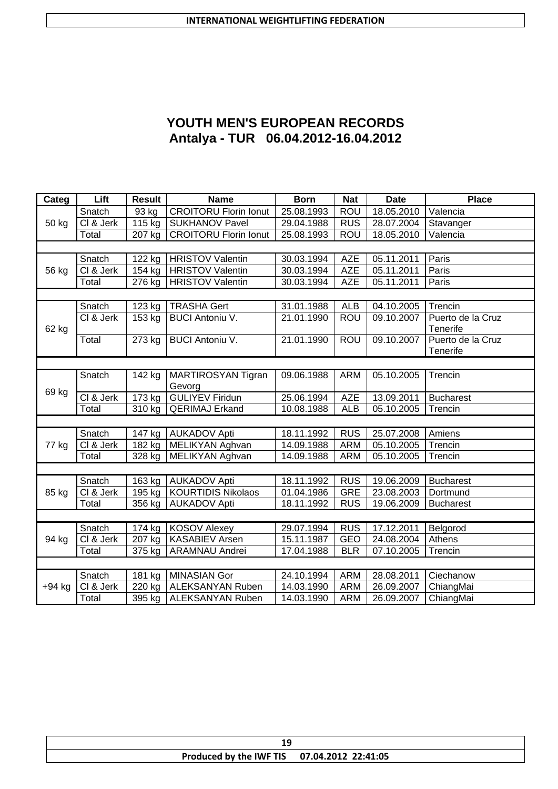# **YOUTH MEN'S EUROPEAN RECORDS Antalya - TUR 06.04.2012-16.04.2012**

| Categ    | Lift                      | <b>Result</b> | <b>Name</b>                  | <b>Born</b> | <b>Nat</b> | <b>Date</b> | <b>Place</b>      |
|----------|---------------------------|---------------|------------------------------|-------------|------------|-------------|-------------------|
|          | Snatch                    | 93 kg         | <b>CROITORU Florin lonut</b> | 25.08.1993  | <b>ROU</b> | 18.05.2010  | Valencia          |
| 50 kg    | CI & Jerk                 | 115 kg        | <b>SUKHANOV Pavel</b>        | 29.04.1988  | <b>RUS</b> | 28.07.2004  | Stavanger         |
|          | Total                     | 207 kg        | <b>CROITORU Florin lonut</b> | 25.08.1993  | ROU        | 18.05.2010  | Valencia          |
|          |                           |               |                              |             |            |             |                   |
|          | Snatch                    | 122 kg        | <b>HRISTOV Valentin</b>      | 30.03.1994  | <b>AZE</b> | 05.11.2011  | Paris             |
| 56 kg    | CI & Jerk                 | 154 kg        | <b>HRISTOV Valentin</b>      | 30.03.1994  | <b>AZE</b> | 05.11.2011  | Paris             |
|          | Total                     | 276 kg        | <b>HRISTOV Valentin</b>      | 30.03.1994  | <b>AZE</b> | 05.11.2011  | Paris             |
|          |                           |               |                              |             |            |             |                   |
|          | Snatch                    | 123 kg        | <b>TRASHA Gert</b>           | 31.01.1988  | <b>ALB</b> | 04.10.2005  | Trencin           |
|          | CI & Jerk                 | 153 kg        | <b>BUCI Antoniu V.</b>       | 21.01.1990  | <b>ROU</b> | 09.10.2007  | Puerto de la Cruz |
| 62 kg    |                           |               |                              |             |            |             | <b>Tenerife</b>   |
|          | Total                     | 273 kg        | <b>BUCI Antoniu V.</b>       | 21.01.1990  | <b>ROU</b> | 09.10.2007  | Puerto de la Cruz |
|          |                           |               |                              |             |            |             | Tenerife          |
|          |                           |               |                              |             |            |             |                   |
|          | Snatch                    | 142 kg        | MARTIROSYAN Tigran           | 09.06.1988  | <b>ARM</b> | 05.10.2005  | Trencin           |
| 69 kg    |                           |               | Gevorg                       |             |            |             |                   |
|          | CI & Jerk                 | 173 kg        | <b>GULIYEV Firidun</b>       | 25.06.1994  | <b>AZE</b> | 13.09.2011  | <b>Bucharest</b>  |
|          | Total                     | 310 kg        | <b>QERIMAJ Erkand</b>        | 10.08.1988  | <b>ALB</b> | 05.10.2005  | Trencin           |
|          |                           |               |                              |             |            |             |                   |
|          | Snatch                    | 147 kg        | <b>AUKADOV Apti</b>          | 18.11.1992  | <b>RUS</b> | 25.07.2008  | Amiens            |
| 77 kg    | CI & Jerk                 | 182 kg        | MELIKYAN Aghvan              | 14.09.1988  | <b>ARM</b> | 05.10.2005  | Trencin           |
|          | Total                     | 328 kg        | MELIKYAN Aghvan              | 14.09.1988  | <b>ARM</b> | 05.10.2005  | Trencin           |
|          |                           |               |                              |             |            |             |                   |
|          | Snatch                    | 163 kg        | <b>AUKADOV Apti</b>          | 18.11.1992  | <b>RUS</b> | 19.06.2009  | <b>Bucharest</b>  |
| 85 kg    | $\overline{CI\ & S}$ Jerk | 195 kg        | <b>KOURTIDIS Nikolaos</b>    | 01.04.1986  | <b>GRE</b> | 23.08.2003  | Dortmund          |
|          | Total                     | 356 kg        | <b>AUKADOV Apti</b>          | 18.11.1992  | <b>RUS</b> | 19.06.2009  | <b>Bucharest</b>  |
|          |                           |               |                              |             |            |             |                   |
|          | Snatch                    | 174 kg        | <b>KOSOV Alexey</b>          | 29.07.1994  | <b>RUS</b> | 17.12.2011  | Belgorod          |
| 94 kg    | CI & Jerk                 | $207$ kg      | <b>KASABIEV Arsen</b>        | 15.11.1987  | <b>GEO</b> | 24.08.2004  | Athens            |
|          | Total                     | 375 kg        | <b>ARAMNAU Andrei</b>        | 17.04.1988  | <b>BLR</b> | 07.10.2005  | Trencin           |
|          |                           |               |                              |             |            |             |                   |
|          | Snatch                    | 181 kg        | <b>MINASIAN Gor</b>          | 24.10.1994  | <b>ARM</b> | 28.08.2011  | Ciechanow         |
| $+94$ kg | CI & Jerk                 | 220 kg        | ALEKSANYAN Ruben             | 14.03.1990  | <b>ARM</b> | 26.09.2007  | ChiangMai         |
|          | Total                     | $395$ kg      | <b>ALEKSANYAN Ruben</b>      | 14.03.1990  | <b>ARM</b> | 26.09.2007  | ChiangMai         |

|  | Produced by the IWF TIS 07.04.2012 22:41:05 |  |  |  |
|--|---------------------------------------------|--|--|--|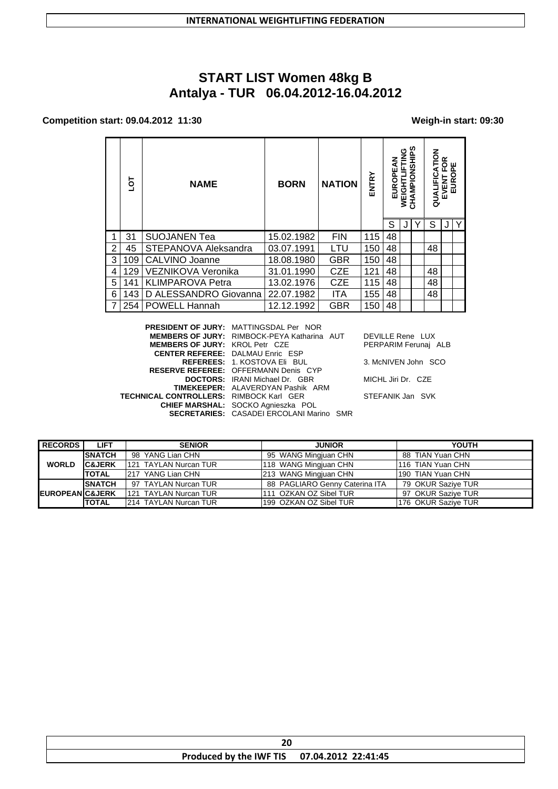# **START LIST Women 48kg B Antalya - TUR 06.04.2012-16.04.2012**

### **Competition start: 09.04.2012 11:30 Weigh-in start: 09:30**

|                | ā   | <b>NAME</b>               | <b>NATION</b><br><b>BORN</b> |            | ENTRY | ທ<br>ပ<br>三92<br><b>DPE</b><br><b>AMPIO</b><br>ᇰ<br>EUR<br>Ň<br>N<br>공 |  |  | る<br>≃<br>ш<br>O<br>正正<br>QUALIFIC<br>EUROI<br>EVENT |  |   |
|----------------|-----|---------------------------|------------------------------|------------|-------|------------------------------------------------------------------------|--|--|------------------------------------------------------|--|---|
|                |     |                           |                              |            |       | S                                                                      |  |  | S                                                    |  | Y |
| 1              | 31  | <b>SUOJANEN Tea</b>       | 15.02.1982                   | <b>FIN</b> | 115   | 48                                                                     |  |  |                                                      |  |   |
| $\overline{2}$ | 45  | STEPANOVA Aleksandra      | 03.07.1991                   | LTU        | 150   | 48                                                                     |  |  | 48                                                   |  |   |
| 3              | 109 | <b>CALVINO Joanne</b>     | 18.08.1980                   | GBR        | 150   | 48                                                                     |  |  |                                                      |  |   |
| 4              | 129 | <b>VEZNIKOVA Veronika</b> | 31.01.1990                   | <b>CZE</b> | 121   | 48                                                                     |  |  | 48                                                   |  |   |
| 5              | 141 | <b>KLIMPAROVA Petra</b>   | 13.02.1976                   | <b>CZE</b> | 115   | 48                                                                     |  |  | 48                                                   |  |   |
| 6              | 143 | D ALESSANDRO Giovanna     | 22.07.1982                   | ITA        | 155   | 48                                                                     |  |  | 48                                                   |  |   |
|                | 254 | POWELL Hannah             | 12.12.1992                   | GBR        | 150   | 48                                                                     |  |  |                                                      |  |   |

|                                                                                                                                                                                                                                                                                                                                                                                        | <b>DEVILLE F</b>                                                                                      |
|----------------------------------------------------------------------------------------------------------------------------------------------------------------------------------------------------------------------------------------------------------------------------------------------------------------------------------------------------------------------------------------|-------------------------------------------------------------------------------------------------------|
|                                                                                                                                                                                                                                                                                                                                                                                        | <b>PERPARIN</b>                                                                                       |
|                                                                                                                                                                                                                                                                                                                                                                                        |                                                                                                       |
|                                                                                                                                                                                                                                                                                                                                                                                        | 3. McNIVE                                                                                             |
|                                                                                                                                                                                                                                                                                                                                                                                        |                                                                                                       |
|                                                                                                                                                                                                                                                                                                                                                                                        | MICHL Jiri                                                                                            |
|                                                                                                                                                                                                                                                                                                                                                                                        |                                                                                                       |
|                                                                                                                                                                                                                                                                                                                                                                                        | <b>STEFANIK</b>                                                                                       |
|                                                                                                                                                                                                                                                                                                                                                                                        |                                                                                                       |
|                                                                                                                                                                                                                                                                                                                                                                                        |                                                                                                       |
| PRESIDENT OF JURY: MATTINGSDAL Per NOR<br>MEMBERS OF JURY: KROL Petr CZE<br><b>CENTER REFEREE: DALMAU Enric ESP</b><br><b>REFEREES: 1. KOSTOVA Eli BUL</b><br><b>RESERVE REFEREE: OFFERMANN Denis CYP</b><br><b>DOCTORS:</b> IRANI Michael Dr. GBR<br><b>TIMEKEEPER: ALAVERDYAN Pashik ARM</b><br><b>TECHNICAL CONTROLLERS: RIMBOCK Karl GER</b><br>CHIEF MARSHAL: SOCKO Agnieszka POL | <b>MEMBERS OF JURY: RIMBOCK-PEYA Katharina AUT</b><br><b>SECRETARIES: CASADEI ERCOLANI Marino SMR</b> |

**Rene LUX M Ferunaj ALB** 

 $RN$  John SCO

Dr. CZE

Jan SVK

| <b>RECORDS</b>             | <b>LIFT</b>       | <b>SENIOR</b>          | <b>JUNIOR</b>                  | YOUTH               |
|----------------------------|-------------------|------------------------|--------------------------------|---------------------|
| <b>WORLD</b>               | <b>SNATCH</b>     | 98 YANG Lian CHN       | 95 WANG Mingjuan CHN           | 88 TIAN Yuan CHN    |
|                            | <b>C&amp;JERK</b> | 121 TAYLAN Nurcan TUR  | 118 WANG Mingjuan CHN          | I116 TIAN Yuan CHN  |
|                            | <b>TOTAL</b>      | 1217 YANG Lian CHN     | 213 WANG Mingjuan CHN          | 190 TIAN Yuan CHN   |
| <b>EUROPEAN C&amp;JERK</b> | <b>SNATCH</b>     | 97 TAYLAN Nurcan TUR   | 88 PAGLIARO Genny Caterina ITA | 79 OKUR Saziye TUR  |
|                            |                   | 121 TAYLAN Nurcan TUR  | 1111 OZKAN OZ Sibel TUR        | 97 OKUR Sazive TUR  |
|                            | <b>TOTAL</b>      | 1214 TAYLAN Nurcan TUR | 199 OZKAN OZ Sibel TUR         | 176 OKUR Saziye TUR |

| δu                                          |  |  |  |  |
|---------------------------------------------|--|--|--|--|
| Produced by the IWF TIS 07.04.2012 22:41:45 |  |  |  |  |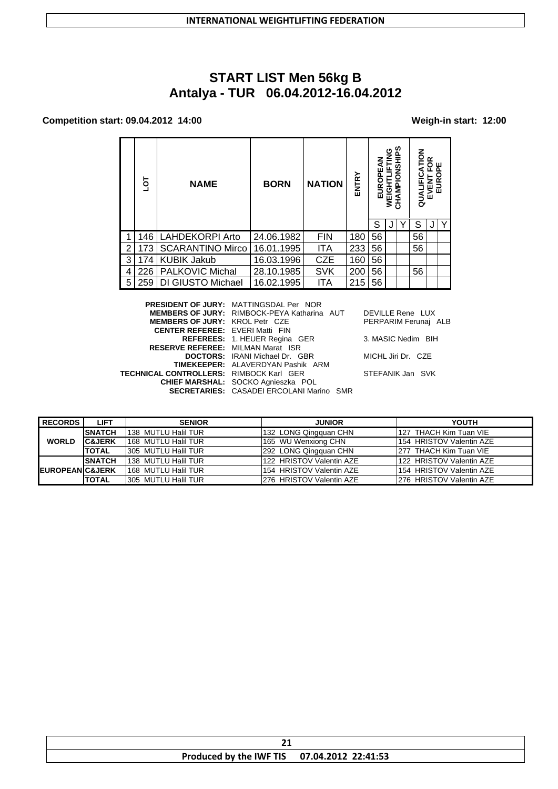# **START LIST Men 56kg B Antalya - TUR 06.04.2012-16.04.2012**

### **Competition start: 09.04.2012 14:00 Weigh-in start: 12:00**

|                | ā   | <b>NAME</b>               | <b>BORN</b>         | <b>NATION</b> | ENTRY | ₹<br>نع<br>6<br>EUR | CHAMPIONSHIPS<br>WEIGHTLIFTING |   | QUALIFICATION<br>≃<br>EVENT FOR<br>EUROPE |  |   |
|----------------|-----|---------------------------|---------------------|---------------|-------|---------------------|--------------------------------|---|-------------------------------------------|--|---|
|                |     |                           |                     |               |       | S                   |                                | Υ | S                                         |  | Υ |
| 1              | 146 | <b>LAHDEKORPI Arto</b>    | 24.06.1982          | <b>FIN</b>    | 180   | 56                  |                                |   | 56                                        |  |   |
| $\overline{2}$ | 173 | <b>SCARANTINO Mirco</b>   | 16.01.1995          | <b>ITA</b>    | 233   | 56                  |                                |   | 56                                        |  |   |
| 3              | 174 | <b>KUBIK Jakub</b>        | 16.03.1996          | <b>CZE</b>    | 160   | 56                  |                                |   |                                           |  |   |
| 4              | 226 | <b>PALKOVIC Michal</b>    | 28.10.1985          | <b>SVK</b>    | 200   | 56                  |                                |   | 56                                        |  |   |
| 5              | 259 | DI GIUSTO Michael         | 16.02.1995          | <b>ITA</b>    | 215   | 56                  |                                |   |                                           |  |   |
|                |     | <b>PRESIDENT OF JURY:</b> | MATTINGSDAI Per NOR |               |       |                     |                                |   |                                           |  |   |

|                                                | <b>PRESIDENT OF JURY: MATTINGSDAL Per NOR</b>      |                      |
|------------------------------------------------|----------------------------------------------------|----------------------|
|                                                | <b>MEMBERS OF JURY: RIMBOCK-PEYA Katharina AUT</b> | DEVILLE Rene LUX     |
| <b>MEMBERS OF JURY: KROL Petr CZE</b>          |                                                    | PERPARIM Ferunai ALB |
| <b>CENTER REFEREE: EVERI Matti FIN</b>         |                                                    |                      |
|                                                | <b>REFEREES: 1. HEUER Regina GER</b>               | 3. MASIC Nedim BIH   |
| <b>RESERVE REFEREE: MILMAN Marat ISR</b>       |                                                    |                      |
|                                                | <b>DOCTORS:</b> IRANI Michael Dr. GBR              | MICHL Jiri Dr. CZE   |
|                                                | <b>TIMEKEEPER: ALAVERDYAN Pashik ARM</b>           |                      |
| <b>TECHNICAL CONTROLLERS: RIMBOCK Karl GER</b> |                                                    | STEFANIK Jan SVK     |
|                                                | <b>CHIEF MARSHAL:</b> SOCKO Agnieszka POL          |                      |
|                                                | <b>SECRETARIES: CASADEI ERCOLANI Marino SMR</b>    |                      |
|                                                |                                                    |                      |

| PERPARIM Ferunaj ALB |  |
|----------------------|--|
| 3. MASIC Nedim BIH   |  |

| <b>RECORDS</b>              | <b>LIFT</b>       | <b>SENIOR</b>              | <b>JUNIOR</b>            | <b>YOUTH</b>             |
|-----------------------------|-------------------|----------------------------|--------------------------|--------------------------|
|                             | <b>ISNATCH</b>    | 1138 MUTLU Halil TUR       | 132 LONG Qingquan CHN    | 127 THACH Kim Tuan VIE   |
| <b>WORLD</b>                | <b>C&amp;JERK</b> | 1168 MUTLU Halil TUR       | 165 WU Wenxiong CHN      | 154 HRISTOV Valentin AZE |
|                             | <b>TOTAL</b>      | <b>305 MUTLU Halil TUR</b> | 292 LONG Qingquan CHN    | 277 THACH Kim Tuan VIE   |
|                             | <b>SNATCH</b>     | 138 MUTLU Halil TUR        | 122 HRISTOV Valentin AZE | 122 HRISTOV Valentin AZE |
| <b>IEUROPEAN C&amp;JERK</b> |                   | 168 MUTLU Halil TUR        | 154 HRISTOV Valentin AZE | 154 HRISTOV Valentin AZE |
|                             | <b>TOTAL</b>      | 1305 MUTLU Halil TUR       | 276 HRISTOV Valentin AZE | 276 HRISTOV Valentin AZE |

| - -                                         |  |  |  |  |  |
|---------------------------------------------|--|--|--|--|--|
| Produced by the IWF TIS 07.04.2012 22:41:53 |  |  |  |  |  |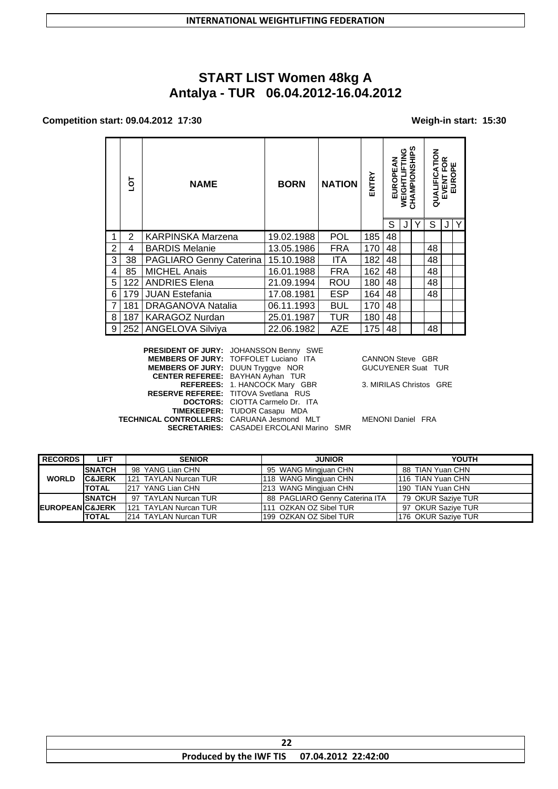# **START LIST Women 48kg A Antalya - TUR 06.04.2012-16.04.2012**

#### **Competition start: 09.04.2012 17:30 Weigh-in start: 15:30**

|                | ā   | <b>NAME</b>              | <b>NATION</b><br><b>BORN</b> |            | ENTRY | EUROPEAN | WEIGHTLIFTING | CHAMPIONSHIPS | 즐<br>₹<br>QUALIFIC | œ<br>O<br>ű.<br>$\mathbf{a}$<br>EVENT | ш<br>EURO    |
|----------------|-----|--------------------------|------------------------------|------------|-------|----------|---------------|---------------|--------------------|---------------------------------------|--------------|
|                |     |                          |                              |            |       | S        |               |               | S                  | J                                     | $\mathsf{Y}$ |
| 1              | 2   | <b>KARPINSKA Marzena</b> | 19.02.1988                   | <b>POL</b> | 185   | 48       |               |               |                    |                                       |              |
| $\overline{2}$ | 4   | <b>BARDIS Melanie</b>    | 13.05.1986                   | <b>FRA</b> | 170   | 48       |               |               | 48                 |                                       |              |
| 3              | 38  | PAGLIARO Genny Caterina  | 15.10.1988                   | <b>ITA</b> | 182   | 48       |               |               | 48                 |                                       |              |
| $\overline{4}$ | 85  | <b>MICHEL Anais</b>      | 16.01.1988                   | <b>FRA</b> | 162   | 48       |               |               | 48                 |                                       |              |
| 5              | 122 | <b>ANDRIES Elena</b>     | 21.09.1994                   | ROU        | 180   | 48       |               |               | 48                 |                                       |              |
| 6              | 179 | <b>JUAN Estefania</b>    | 17.08.1981                   | <b>ESP</b> | 164   | 48       |               |               | 48                 |                                       |              |
| $\overline{7}$ | 181 | <b>DRAGANOVA Natalia</b> | 06.11.1993                   | <b>BUL</b> | 170   | 48       |               |               |                    |                                       |              |
| 8              | 187 | <b>KARAGOZ Nurdan</b>    | 25.01.1987                   | TUR        | 180   | 48       |               |               |                    |                                       |              |
| 9              | 252 | <b>ANGELOVA Silviya</b>  | 22.06.1982                   | AZE        | 175   | 48       |               |               | 48                 |                                       |              |

**PRESIDENT OF JURY:** JOHANSSON Benny SWE **MEMBERS OF JURY:** TOFFOLET Luciano ITA CANNON Steve GBR **MEMBERS OF JURY:** DUUN Tryggve NOR GUCUYENER Suat TUR **CENTER REFEREE:** BAYHAN Ayhan TUR **REFEREES:** 1. HANCOCK Mary GBR 3. MIRILAS Christos GRE **RESERVE REFEREE:** TITOVA Svetlana RUS **DOCTORS:** CIOTTA Carmelo Dr. ITA **TIMEKEEPER:** TUDOR Casapu MDA **TECHNICAL CONTROLLERS:** CARUANA Jesmond MLT MENONI Daniel FRA **SECRETARIES:** CASADEI ERCOLANI Marino SMR

| <b>RECORDS</b>             | <b>LIFT</b>       | <b>SENIOR</b>                | <b>JUNIOR</b>                  | YOUTH               |
|----------------------------|-------------------|------------------------------|--------------------------------|---------------------|
| <b>WORLD</b>               | <b>SNATCH</b>     | 98 YANG Lian CHN             | 95 WANG Mingjuan CHN           | 88 TIAN Yuan CHN    |
|                            | <b>C&amp;JERK</b> | 1121 TAYLAN Nurcan TUR       | 118 WANG Mingjuan CHN          | I116 TIAN Yuan CHN  |
|                            | <b>TOTAL</b>      | 1217 YANG Lian CHN           | 213 WANG Mingjuan CHN          | 190 TIAN Yuan CHN   |
|                            | <b>SNATCH</b>     | 97 TAYLAN Nurcan TUR         | 88 PAGLIARO Genny Caterina ITA | 79 OKUR Saziye TUR  |
| <b>EUROPEAN C&amp;JERK</b> |                   | 121 TAYLAN Nurcan TUR        | 111 OZKAN OZ Sibel TUR         | 97 OKUR Saziye TUR  |
|                            | <b>TOTAL</b>      | <b>214 TAYLAN Nurcan TUR</b> | 1199  OZKAN OZ Sibel TUR       | 176 OKUR Saziye TUR |

| Produced by the IWF TIS 07.04.2012 22:42:00 |  |
|---------------------------------------------|--|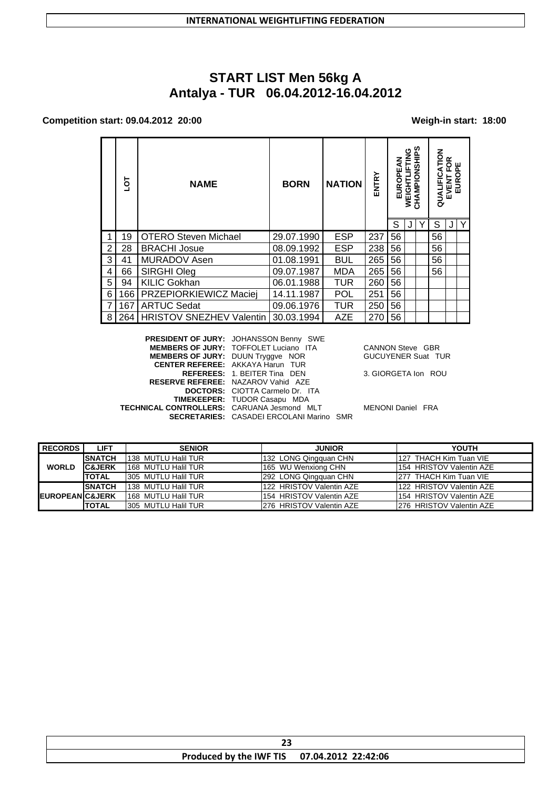# **START LIST Men 56kg A** Antalya - TUR 06.04.2012-16.04.2012

#### Competition start: 09.04.2012 20:00

#### Weigh-in start: 18:00

|   | ā   | <b>NAME</b>                     | <b>BORN</b> | <b>NATION</b> | ENTRY | 모<br>이<br>EUR | <b>UNIT</b><br>WEIGHTLIF | CHAMPIONSHIPS | š<br>E<br>đ<br>QUALIFIC | ≃<br>റ ш<br>EVENT | $\sigma$<br>EUR |
|---|-----|---------------------------------|-------------|---------------|-------|---------------|--------------------------|---------------|-------------------------|-------------------|-----------------|
|   |     |                                 |             |               |       | S             |                          |               | S                       |                   | l Y             |
|   | 19  | <b>OTERO Steven Michael</b>     | 29.07.1990  | <b>ESP</b>    | 237   | 56            |                          |               | 56                      |                   |                 |
| 2 | 28  | <b>BRACHI Josue</b>             | 08.09.1992  | <b>ESP</b>    | 238   | 56            |                          |               | 56                      |                   |                 |
| 3 | 41  | <b>MURADOV Asen</b>             | 01.08.1991  | <b>BUL</b>    | 265   | 56            |                          |               | 56                      |                   |                 |
| 4 | 66  | SIRGHI Oleg                     | 09.07.1987  | <b>MDA</b>    | 265   | 56            |                          |               | 56                      |                   |                 |
| 5 | 94  | <b>KILIC Gokhan</b>             | 06.01.1988  | <b>TUR</b>    | 260   | 56            |                          |               |                         |                   |                 |
| 6 | 166 | PRZEPIORKIEWICZ Maciej          | 14.11.1987  | POL           | 251   | 56            |                          |               |                         |                   |                 |
|   | 167 | <b>ARTUC Sedat</b>              | 09.06.1976  | TUR           | 250   | 56            |                          |               |                         |                   |                 |
| 8 | 264 | <b>HRISTOV SNEZHEV Valentin</b> | 30.03.1994  | <b>AZE</b>    | 270   | 56            |                          |               |                         |                   |                 |

PRESIDENT OF JURY: JOHANSSON Benny SWE MEMBERS OF JURY: TOFFOLET Luciano ITA<br>MEMBERS OF JURY: DUUN Tryggve NOR **CANNON Steve GBR** GUCUYENER Suat TUR CENTER REFEREE: AKKAYA Harun TUR REFEREES: 1. BEITER Tina DEN 3. GIORGETA Ion ROU RESERVE REFEREE: NAZAROV Vahid AZE DOCTORS: CIOTTA Carmelo Dr. ITA TIMEKEEPER: TUDOR Casapu MDA TECHNICAL CONTROLLERS: CARUANA Jesmond MLT MENONI Daniel FRA **SECRETARIES:** CASADEI ERCOLANI Marino SMR

**RECORDS LIFT SENIOR JUNIOR YOUTH SNATCH** 138 MUTLU Halil TUR 127 THACH Kim Tuan VIE 132 LONG Qingquan CHN **WORLD C&JERK** 168 MUTLU Halil TUR 165 WU Wenxiong CHN 154 HRISTOV Valentin AZE 292 LONG Qingquan CHN 277 THACH Kim Tuan VIE **TOTAL** 305 MUTLU Halil TUR **SNATCH** 138 MUTLU Halil TUR 122 HRISTOV Valentin AZE 122 HRISTOV Valentin AZE EUROPEAN C&JERK 168 MUTLU Halil TUR 154 HRISTOV Valentin AZE 154 HRISTOV Valentin AZE **TOTAL** 305 MUTLU Halil TUR 276 HRISTOV Valentin AZE 276 HRISTOV Valentin AZE

| Produced by the IWF TIS 07.04.2012 22:42:06 |  |
|---------------------------------------------|--|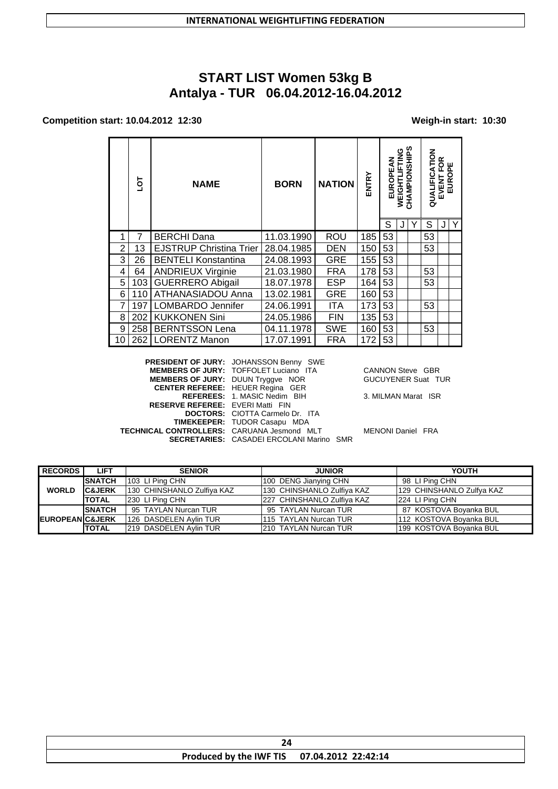# **START LIST Women 53kg B** Antalya - TUR 06.04.2012-16.04.2012

### Competition start: 10.04.2012 12:30

### Weigh-in start: 10:30

|                | ā   | <b>NAME</b>                    | <b>BORN</b> | <b>NATION</b> | ENTRY | ₹<br>EUROPE | 9<br>N<br>뇩<br><b>WEIGHTI</b> | ທ<br>CHAMPIONSHIP | <b>NOLY</b><br>QUALIFIC | ≃<br>EVENT FOI<br>EUROPE |   |
|----------------|-----|--------------------------------|-------------|---------------|-------|-------------|-------------------------------|-------------------|-------------------------|--------------------------|---|
|                |     |                                |             |               |       | S           |                               |                   | S                       |                          | Y |
|                | 7   | BERCHI Dana                    | 11.03.1990  | ROU           | 185   | 53          |                               |                   | 53                      |                          |   |
| $\overline{2}$ | 13  | <b>EJSTRUP Christina Trier</b> | 28.04.1985  | <b>DEN</b>    | 150   | 53          |                               |                   | 53                      |                          |   |
| 3              | 26  | <b>BENTELI Konstantina</b>     | 24.08.1993  | <b>GRE</b>    | 155   | 53          |                               |                   |                         |                          |   |
| 4              | 64  | <b>ANDRIEUX Virginie</b>       | 21.03.1980  | <b>FRA</b>    | 178   | 53          |                               |                   | 53                      |                          |   |
| 5              | 103 | <b>GUERRERO Abigail</b>        | 18.07.1978  | <b>ESP</b>    | 164   | 53          |                               |                   | 53                      |                          |   |
| 6              | 110 | ATHANASIADOU Anna              | 13.02.1981  | <b>GRE</b>    | 160   | 53          |                               |                   |                         |                          |   |
|                | 197 | LOMBARDO Jennifer              | 24.06.1991  | ITA           | 173   | 53          |                               |                   | 53                      |                          |   |
| 8              | 202 | <b>KUKKONEN Sini</b>           | 24.05.1986  | <b>FIN</b>    | 135   | 53          |                               |                   |                         |                          |   |
| 9              | 258 | <b>BERNTSSON Lena</b>          | 04.11.1978  | <b>SWE</b>    | 160   | 53          |                               |                   | 53                      |                          |   |
| 10             |     | 262   LORENTZ Manon            | 17.07.1991  | FRA           | 172   | 53          |                               |                   |                         |                          |   |

|                                                   | PRESIDENT OF JURY: JOHANSSON Benny SWE          |   |
|---------------------------------------------------|-------------------------------------------------|---|
|                                                   | <b>MEMBERS OF JURY: TOFFOLET Luciano ITA</b>    | C |
| MEMBERS OF JURY: DUUN Tryggve NOR                 |                                                 | C |
|                                                   | <b>CENTER REFEREE: HEUER Regina GER</b>         |   |
|                                                   | REFEREES: 1. MASIC Nedim BIH                    | 3 |
| <b>RESERVE REFEREE: EVERI Matti FIN</b>           |                                                 |   |
|                                                   | <b>DOCTORS:</b> CIOTTA Carmelo Dr. ITA          |   |
|                                                   | <b>TIMEKEEPER: TUDOR Casapu MDA</b>             |   |
| <b>TECHNICAL CONTROLLERS: CARUANA Jesmond MLT</b> |                                                 | M |
|                                                   | <b>SECRETARIES: CASADEI ERCOLANI Marino SMR</b> |   |
|                                                   |                                                 |   |

CANNON Steve GBR **SUCUYENER Suat TUR** 

. MILMAN Marat ISR

**IENONI Daniel FRA** 

| <b>RECORDS</b>              | <b>LIFT</b>       | <b>SENIOR</b>              | <b>JUNIOR</b>              | YOUTH                     |
|-----------------------------|-------------------|----------------------------|----------------------------|---------------------------|
|                             | <b>SNATCH</b>     | 103 LI Ping CHN            | 100 DENG Jianying CHN      | 98 LI Ping CHN            |
| <b>WORLD</b>                | <b>C&amp;JERK</b> | 130 CHINSHANLO Zulfiya KAZ | 130 CHINSHANLO Zulfiya KAZ | 129 CHINSHANLO Zulfya KAZ |
|                             | <b>TOTAL</b>      | 230 LI Ping CHN            | 227 CHINSHANLO Zulfiya KAZ | 224 LI Ping CHN           |
|                             | <b>SNATCH</b>     | 95 TAYLAN Nurcan TUR       | 95 TAYLAN Nurcan TUR       | 87 KOSTOVA Boyanka BUL    |
| <b>IEUROPEANIC&amp;JERK</b> |                   | 126 DASDELEN Avlin TUR     | 1115 TAYLAN Nurcan TUR     | 112 KOSTOVA Boyanka BUL   |
|                             | <b>TOTAL</b>      | 219 DASDELEN Avlin TUR     | 210 TAYLAN Nurcan TUR      | 199 KOSTOVA Boyanka BUL   |

| Produced by the IWF TIS 07.04.2012 22:42:14 |  |
|---------------------------------------------|--|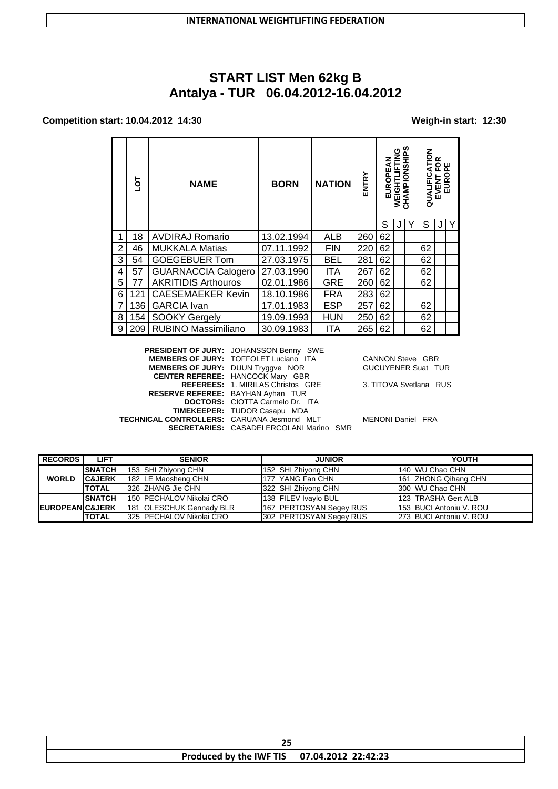# **START LIST Men 62kg B Antalya - TUR 06.04.2012-16.04.2012**

#### **Competition start: 10.04.2012 14:30 Weigh-in start: 12:30**

|                | ā   | <b>NAME</b>                | <b>BORN</b> | <b>NATION</b> | ENTRY | EUROPEAN | 9<br>NG<br>늑<br><b>WEIGHT</b> | CHAMPIONSHIPS | QUALIFICATION | ≃<br>EVENT FOF<br>EUROPE |  |
|----------------|-----|----------------------------|-------------|---------------|-------|----------|-------------------------------|---------------|---------------|--------------------------|--|
|                |     |                            |             |               |       | S        |                               | Υ             | S             |                          |  |
| 1              | 18  | <b>AVDIRAJ Romario</b>     | 13.02.1994  | ALB           | 260   | 62       |                               |               |               |                          |  |
| $\overline{2}$ | 46  | <b>MUKKALA Matias</b>      | 07.11.1992  | <b>FIN</b>    | 220   | 62       |                               |               | 62            |                          |  |
| 3              | 54  | <b>GOEGEBUER Tom</b>       | 27.03.1975  | <b>BEL</b>    | 281   | 62       |                               |               | 62            |                          |  |
| 4              | 57  | <b>GUARNACCIA Calogero</b> | 27.03.1990  | <b>ITA</b>    | 267   | 62       |                               |               | 62            |                          |  |
| 5              | 77  | <b>AKRITIDIS Arthouros</b> | 02.01.1986  | <b>GRE</b>    | 260   | 62       |                               |               | 62            |                          |  |
| 6              | 121 | <b>CAESEMAEKER Kevin</b>   | 18.10.1986  | <b>FRA</b>    | 283   | 62       |                               |               |               |                          |  |
| 7              | 136 | <b>GARCIA</b> Ivan         | 17.01.1983  | <b>ESP</b>    | 257   | 62       |                               |               | 62            |                          |  |
| 8              | 154 | <b>SOOKY Gergely</b>       | 19.09.1993  | <b>HUN</b>    | 250   | 62       |                               |               | 62            |                          |  |
| 9              | 209 | RUBINO Massimiliano        | 30.09.1983  | ITA           | 265   | 62       |                               |               | 62            |                          |  |

**PRESIDENT OF JURY:** JOHANSSON Benny SWE **MEMBERS OF JURY:** TOFFOLET Luciano ITA CANNON Steve GBR **MEMBERS OF JURY:** DUUN Tryggve NOR GUCUYENER Suat TUR **CENTER REFEREE:** HANCOCK Mary GBR **REFEREES:** 1. MIRILAS Christos GRE 3. TITOVA Svetlana RUS **RESERVE REFEREE:** BAYHAN Ayhan TUR **DOCTORS:** CIOTTA Carmelo Dr. ITA **TIMEKEEPER:** TUDOR Casapu MDA **TECHNICAL CONTROLLERS:** CARUANA Jesmond MLT MENONI Daniel FRA **SECRETARIES:** CASADEI ERCOLANI Marino SMR

| <b>RECORDS</b>             | <b>LIFT</b>       | <b>SENIOR</b>             | <b>JUNIOR</b>           | YOUTH                    |
|----------------------------|-------------------|---------------------------|-------------------------|--------------------------|
|                            | <b>SNATCH</b>     | 153 SHI Zhiyong CHN       | 152 SHI Zhiyong CHN     | 140 WU Chao CHN          |
| <b>WORLD</b>               | <b>C&amp;JERK</b> | 182 LE Maosheng CHN       | 177 YANG Fan CHN        | 161 ZHONG Qihang CHN     |
|                            | <b>TOTAL</b>      | 326 ZHANG Jie CHN         | 322 SHI Zhiyong CHN     | 300 WU Chao CHN          |
|                            | <b>SNATCH</b>     | 150 PECHALOV Nikolai CRO  | 138 FILEV Ivavlo BUL    | 123 TRASHA Gert ALB      |
| <b>EUROPEAN C&amp;JERK</b> |                   | 181 OLESCHUK Gennady BLR  | 167 PERTOSYAN Segey RUS | 153 BUCI Antoniu V. ROU  |
|                            | <b>TOTAL</b>      | 1325 PECHALOV Nikolai CRO | 302 PERTOSYAN Segey RUS | 1273 BUCI Antoniu V. ROU |

| Produced by the IWF TIS 07.04.2012 22:42:23 |
|---------------------------------------------|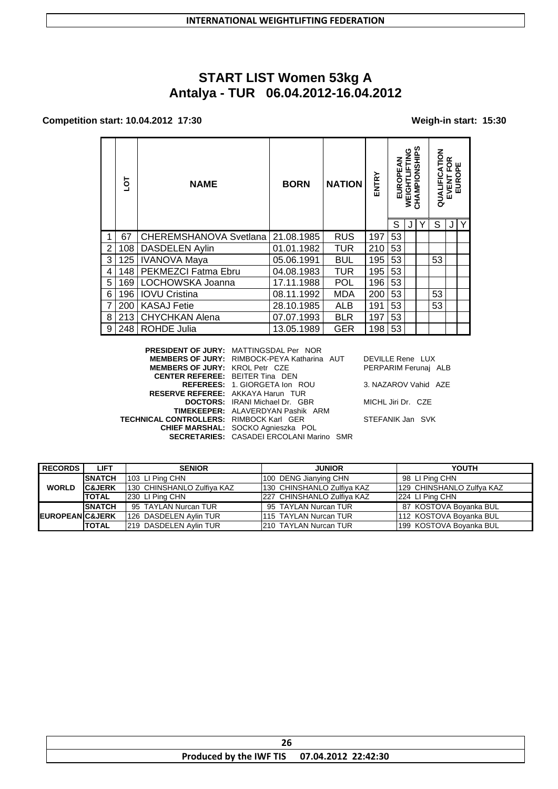# **START LIST Women 53kg A Antalya - TUR 06.04.2012-16.04.2012**

#### **Competition start: 10.04.2012 17:30 Weigh-in start: 15:30**

|   | ā   | <b>NAME</b>                   | <b>BORN</b> | <b>NATION</b> | ENTRY | <b>EUROPEAN</b> | WEIGHTLIFTING | CHAMPIONSHIPS | ᅙ<br>₹<br>QUALIFIC | ≃<br>ű.<br>EVENT | ш<br>$\mathbf{a}$<br>EUROF |
|---|-----|-------------------------------|-------------|---------------|-------|-----------------|---------------|---------------|--------------------|------------------|----------------------------|
|   |     |                               |             |               |       | S               | J             |               | S                  | J                | Y                          |
|   | 67  | <b>CHEREMSHANOVA Svetlana</b> | 21.08.1985  | <b>RUS</b>    | 197   | 53              |               |               |                    |                  |                            |
| 2 | 108 | <b>DASDELEN Aylin</b>         | 01.01.1982  | <b>TUR</b>    | 210   | 53              |               |               |                    |                  |                            |
| 3 | 125 | <b>IVANOVA Maya</b>           | 05.06.1991  | <b>BUL</b>    | 195   | 53              |               |               | 53                 |                  |                            |
| 4 | 148 | PEKMEZCI Fatma Ebru           | 04.08.1983  | <b>TUR</b>    | 195   | 53              |               |               |                    |                  |                            |
| 5 | 169 | LOCHOWSKA Joanna              | 17.11.1988  | <b>POL</b>    | 196   | 53              |               |               |                    |                  |                            |
| 6 | 196 | <b>IOVU Cristina</b>          | 08.11.1992  | <b>MDA</b>    | 200   | 53              |               |               | 53                 |                  |                            |
| 7 | 200 | <b>KASAJ Fetie</b>            | 28.10.1985  | <b>ALB</b>    | 191   | 53              |               |               | 53                 |                  |                            |
| 8 | 213 | <b>CHYCHKAN Alena</b>         | 07.07.1993  | <b>BLR</b>    | 197   | 53              |               |               |                    |                  |                            |
| 9 | 248 | <b>ROHDE Julia</b>            | 13.05.1989  | <b>GER</b>    | 198   | 53              |               |               |                    |                  |                            |

**PRESIDENT OF JURY:** MATTINGSDAL Per NOR **MEMBERS OF JURY:** RIMBOCK-PEYA Katharina AUT DEVILLE Rene LUX **MEMBERS OF JURY:** KROL Petr CZE PERPARIM Ferunaj ALB **CENTER REFEREE:** BEITER Tina DEN **REFEREES:** 1. GIORGETA Ion ROU 3. NAZAROV Vahid AZE **RESERVE REFEREE:** AKKAYA Harun TUR **DOCTORS:** IRANI Michael Dr. GBR MICHL Jiri Dr. CZE **TIMEKEEPER:** ALAVERDYAN Pashik ARM **TECHNICAL CONTROLLERS:** RIMBOCK Karl GER STEFANIK Jan SVK **CHIEF MARSHAL:** SOCKO Agnieszka POL **SECRETARIES:** CASADEI ERCOLANI Marino SMR

| <b>RECORDS</b>              | <b>LIFT</b>       | <b>SENIOR</b>              | <b>JUNIOR</b>               | YOUTH                     |
|-----------------------------|-------------------|----------------------------|-----------------------------|---------------------------|
|                             | <b>SNATCH</b>     | 103 LI Ping CHN            | 100 DENG Jianying CHN       | 98 LI Ping CHN            |
| <b>WORLD</b>                | <b>C&amp;JERK</b> | 130 CHINSHANLO Zulfiya KAZ | 130 CHINSHANLO Zulfiya KAZ  | 129 CHINSHANLO Zulfya KAZ |
|                             | <b>TOTAL</b>      | 230 LI Ping CHN            | 1227 CHINSHANLO Zulfiva KAZ | 224 LI Ping CHN           |
|                             | <b>SNATCH</b>     | 95 TAYLAN Nurcan TUR       | 95 TAYLAN Nurcan TUR        | 87 KOSTOVA Boyanka BUL    |
| <b>IEUROPEANIC&amp;JERK</b> |                   | 126 DASDELEN Aylin TUR     | 1115 TAYLAN Nurcan TUR      | 112 KOSTOVA Boyanka BUL   |
|                             | <b>TOTAL</b>      | 219 DASDELEN Avlin TUR     | 210 TAYLAN Nurcan TUR       | 199 KOSTOVA Boyanka BUL   |

| Produced by the IWF TIS 07.04.2012 22:42:30 |  |
|---------------------------------------------|--|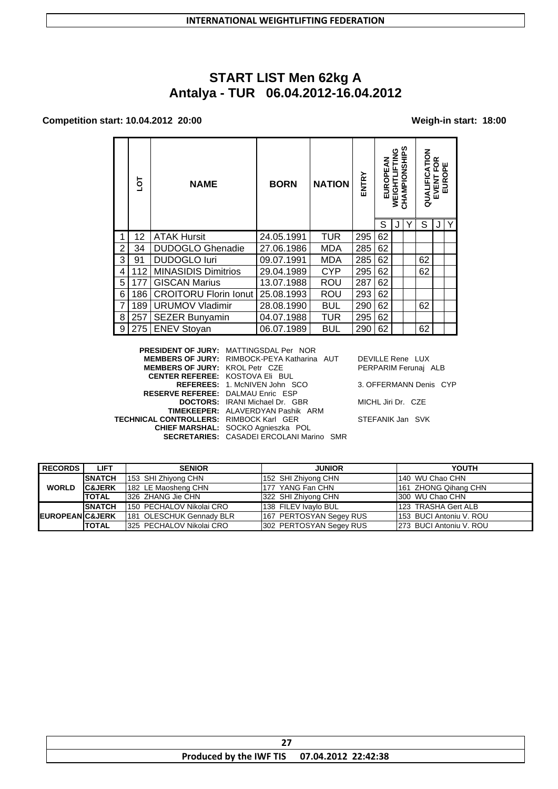# **START LIST Men 62kg A Antalya - TUR 06.04.2012-16.04.2012**

#### **Competition start: 10.04.2012 20:00 Weigh-in start: 18:00**

|   | ō   | <b>NAME</b>                  | <b>BORN</b> | <b>NATION</b> | ENTRY | ℥<br>EUROPE | 9<br>N<br><b>WEIGHT</b> | n<br>CHAMPIONSHI | <b>NOLY</b><br>QUALIFIC | ≃<br>oш<br>正正<br>EVENT I<br>EUROI |   |
|---|-----|------------------------------|-------------|---------------|-------|-------------|-------------------------|------------------|-------------------------|-----------------------------------|---|
|   |     |                              |             |               |       | S           |                         | Y                | S                       |                                   | Y |
|   | 12  | <b>ATAK Hursit</b>           | 24.05.1991  | <b>TUR</b>    | 295   | 62          |                         |                  |                         |                                   |   |
| 2 | 34  | <b>DUDOGLO Ghenadie</b>      | 27.06.1986  | <b>MDA</b>    | 285   | 62          |                         |                  |                         |                                   |   |
| 3 | 91  | <b>DUDOGLO luri</b>          | 09.07.1991  | MDA           | 285   | 62          |                         |                  | 62                      |                                   |   |
| 4 | 112 | <b>MINASIDIS Dimitrios</b>   | 29.04.1989  | <b>CYP</b>    | 295   | 62          |                         |                  | 62                      |                                   |   |
| 5 | 177 | <b>GISCAN Marius</b>         | 13.07.1988  | ROU           | 287   | 62          |                         |                  |                         |                                   |   |
| 6 | 186 | <b>CROITORU Florin lonut</b> | 25.08.1993  | ROU           | 293   | 62          |                         |                  |                         |                                   |   |
| 7 | 189 | <b>URUMOV Vladimir</b>       | 28.08.1990  | <b>BUL</b>    | 290   | 62          |                         |                  | 62                      |                                   |   |
| 8 | 257 | <b>SEZER Bunyamin</b>        | 04.07.1988  | <b>TUR</b>    | 295   | 62          |                         |                  |                         |                                   |   |
| 9 | 275 | <b>ENEV Stoyan</b>           | 06.07.1989  | <b>BUL</b>    | 290   | 62          |                         |                  | 62                      |                                   |   |

**PRESIDENT OF JURY:** MATTINGSDAL Per NOR **MEMBERS OF JURY:** RIMBOCK-PEYA Katharina AUT DEVILLE Rene LUX **MEMBERS OF JURY:** KROL Petr CZE PERPARIM Ferunaj ALB **CENTER REFEREE:** KOSTOVA Eli BUL **REFEREES:** 1. McNIVEN John SCO 3. OFFERMANN Denis CYP **RESERVE REFEREE:** DALMAU Enric ESP **DOCTORS:** IRANI Michael Dr. GBR MICHL Jiri Dr. CZE **TIMEKEEPER:** ALAVERDYAN Pashik ARM **TECHNICAL CONTROLLERS:** RIMBOCK Karl GER STEFANIK Jan SVK **CHIEF MARSHAL:** SOCKO Agnieszka POL **SECRETARIES:** CASADEI ERCOLANI Marino SMR

| <b>LIFT</b>                | <b>SENIOR</b> | <b>JUNIOR</b>                                                                                                                                          | YOUTH                                                                                                                                        |
|----------------------------|---------------|--------------------------------------------------------------------------------------------------------------------------------------------------------|----------------------------------------------------------------------------------------------------------------------------------------------|
| <b>SNATCH</b>              |               |                                                                                                                                                        | 140 WU Chao CHN                                                                                                                              |
| <b>C&amp;JERK</b>          |               |                                                                                                                                                        | 161 ZHONG Qihang CHN                                                                                                                         |
| <b>TOTAL</b>               |               |                                                                                                                                                        | I300 WU Chao CHN                                                                                                                             |
| <b>SNATCH</b>              |               |                                                                                                                                                        | 123 TRASHA Gert ALB                                                                                                                          |
| <b>EUROPEANIC&amp;JERK</b> |               |                                                                                                                                                        | 153 BUCI Antoniu V. ROU                                                                                                                      |
| <b>ITOTAL</b>              |               |                                                                                                                                                        | 273 BUCI Antoniu V. ROU                                                                                                                      |
|                            |               | 153 SHI Zhiyong CHN<br>182 LE Maosheng CHN<br>1326 ZHANG Jie CHN<br>1150 PECHALOV Nikolai CRO<br>181 OLESCHUK Gennady BLR<br>1325 PECHALOV Nikolai CRO | 152 SHI Zhiyong CHN<br>177 YANG Fan CHN<br>322 SHI Zhiyong CHN<br>138 FILEV Ivavlo BUL<br>167 PERTOSYAN Segey RUS<br>302 PERTOSYAN Segey RUS |

| Produced by the IWF TIS 07.04.2012 22:42:38 |  |
|---------------------------------------------|--|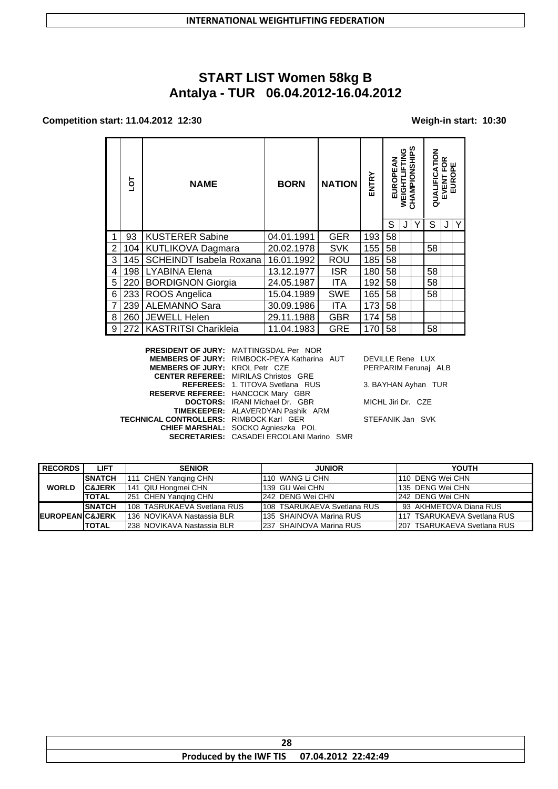# **START LIST Women 58kg B Antalya - TUR 06.04.2012-16.04.2012**

#### **Competition start: 11.04.2012 12:30 Weigh-in start: 10:30**

|   | ā   | <b>NAME</b>                 | <b>BORN</b> | <b>NATION</b> | <b>ENTRY</b> | ξ<br>EUROPE | <b>SNE</b><br><b>WEIGHTI</b> | თ<br>CHAMPIONSHIP | <b>ATION</b><br>QUALIFIC | ≃<br>O<br>正正<br>EVENT | EURO |
|---|-----|-----------------------------|-------------|---------------|--------------|-------------|------------------------------|-------------------|--------------------------|-----------------------|------|
|   |     |                             |             |               |              | S           | J                            |                   | S                        | J                     | Y    |
|   | 93  | <b>KUSTERER Sabine</b>      | 04.01.1991  | <b>GER</b>    | 193          | 58          |                              |                   |                          |                       |      |
| 2 | 104 | KUTLIKOVA Dagmara           | 20.02.1978  | <b>SVK</b>    | 155          | 58          |                              |                   | 58                       |                       |      |
| 3 | 145 | SCHEINDT Isabela Roxana     | 16.01.1992  | <b>ROU</b>    | 185          | 58          |                              |                   |                          |                       |      |
| 4 | 198 | <b>LYABINA Elena</b>        | 13.12.1977  | <b>ISR</b>    | 180          | 58          |                              |                   | 58                       |                       |      |
| 5 | 220 | <b>BORDIGNON Giorgia</b>    | 24.05.1987  | <b>ITA</b>    | 192          | 58          |                              |                   | 58                       |                       |      |
| 6 | 233 | ROOS Angelica               | 15.04.1989  | <b>SWE</b>    | 165          | 58          |                              |                   | 58                       |                       |      |
| 7 | 239 | <b>ALEMANNO Sara</b>        | 30.09.1986  | <b>ITA</b>    | 173          | 58          |                              |                   |                          |                       |      |
| 8 | 260 | <b>JEWELL Helen</b>         | 29.11.1988  | <b>GBR</b>    | 174          | 58          |                              |                   |                          |                       |      |
| 9 | 272 | <b>KASTRITSI Charikleia</b> | 11.04.1983  | <b>GRE</b>    | 170          | 58          |                              |                   | 58                       |                       |      |

**PRESIDENT OF JURY:** MATTINGSDAL Per NOR **MEMBERS OF JURY:** RIMBOCK-PEYA Katharina AUT DEVILLE Rene LUX **MEMBERS OF JURY:** KROL Petr CZE PERPARIM Ferunaj ALB **CENTER REFEREE:** MIRILAS Christos GRE **REFEREES:** 1. TITOVA Svetlana RUS 3. BAYHAN Ayhan TUR **RESERVE REFEREE:** HANCOCK Mary GBR **DOCTORS:** IRANI Michael Dr. GBR MICHL Jiri Dr. CZE **TIMEKEEPER:** ALAVERDYAN Pashik ARM **TECHNICAL CONTROLLERS:** RIMBOCK Karl GER STEFANIK Jan SVK **CHIEF MARSHAL:** SOCKO Agnieszka POL **SECRETARIES:** CASADEI ERCOLANI Marino SMR

| <b>RECORDS</b>              | <b>LIFT</b>       | <b>SENIOR</b>               | <b>JUNIOR</b>                | YOUTH                        |
|-----------------------------|-------------------|-----------------------------|------------------------------|------------------------------|
|                             | <b>SNATCH</b>     | 111 CHEN Yanging CHN        | 1110 WANG Li CHN             | 110 DENG Wei CHN             |
| <b>WORLD</b>                | <b>C&amp;JERK</b> | 141 QIU Hongmei CHN         | 139 GU Wei CHN               | 135 DENG Wei CHN             |
|                             | <b>TOTAL</b>      | 251 CHEN Yanging CHN        | 242 DENG Wei CHN             | 242 DENG Wei CHN             |
|                             | <b>SNATCH</b>     | 108 TASRUKAEVA Svetlana RUS | 1108 TSARUKAEVA Svetlana RUS | 93 AKHMETOVA Diana RUS       |
| <b>IEUROPEANIC&amp;JERK</b> |                   | 1136 NOVIKAVA Nastassia BLR | 1135 SHAINOVA Marina RUS     | 117 TSARUKAEVA Svetlana RUS  |
|                             | <b>TOTAL</b>      | 1238 NOVIKAVA Nastassia BLR | 237 SHAINOVA Marina RUS      | 1207 TSARUKAEVA Svetlana RUS |

| Produced by the IWF TIS 07.04.2012 22:42:49 |  |  |
|---------------------------------------------|--|--|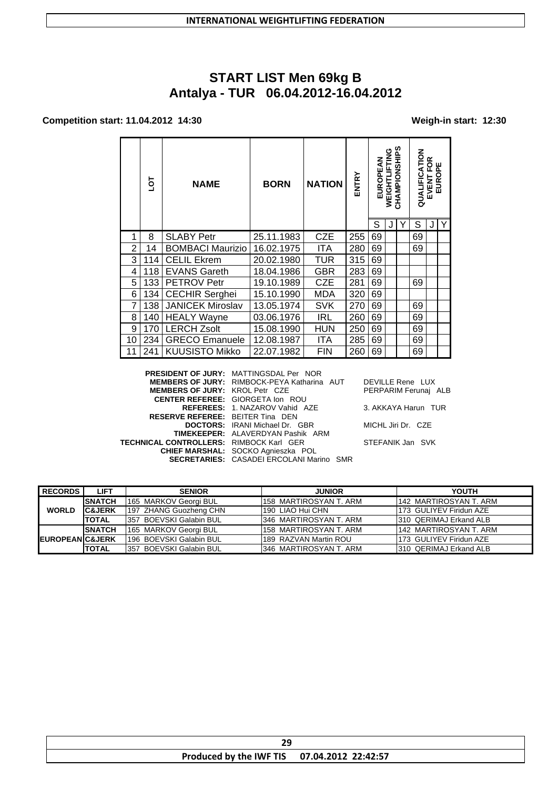# **START LIST Men 69kg B Antalya - TUR 06.04.2012-16.04.2012**

### **Competition start: 11.04.2012 14:30 Weigh-in start: 12:30**

|    | ō   | <b>NAME</b>             | <b>BORN</b> | <b>NATION</b> | ENTRY | EUROPEAN | WEIGHTLIFTING | CHAMPIONSHIPS | QUALIFICATION | EVENT FOR<br>EUROPE |   |
|----|-----|-------------------------|-------------|---------------|-------|----------|---------------|---------------|---------------|---------------------|---|
|    |     |                         |             |               |       | S        |               |               | S             |                     | Y |
| 1  | 8   | <b>SLABY Petr</b>       | 25.11.1983  | <b>CZE</b>    | 255   | 69       |               |               | 69            |                     |   |
| 2  | 14  | <b>BOMBACI Maurizio</b> | 16.02.1975  | <b>ITA</b>    | 280   | 69       |               |               | 69            |                     |   |
| 3  | 114 | <b>CELIL Ekrem</b>      | 20.02.1980  | TUR           | 315   | 69       |               |               |               |                     |   |
| 4  | 118 | <b>EVANS Gareth</b>     | 18.04.1986  | GBR           | 283   | 69       |               |               |               |                     |   |
| 5  | 133 | <b>PETROV Petr</b>      | 19.10.1989  | <b>CZE</b>    | 281   | 69       |               |               | 69            |                     |   |
| 6  | 134 | <b>CECHIR Serghei</b>   | 15.10.1990  | MDA           | 320   | 69       |               |               |               |                     |   |
| 7  | 138 | <b>JANICEK Miroslav</b> | 13.05.1974  | <b>SVK</b>    | 270   | 69       |               |               | 69            |                     |   |
| 8  | 140 | <b>HEALY Wayne</b>      | 03.06.1976  | <b>IRL</b>    | 260   | 69       |               |               | 69            |                     |   |
| 9  | 170 | <b>LERCH Zsolt</b>      | 15.08.1990  | HUN           | 250   | 69       |               |               | 69            |                     |   |
| 10 | 234 | <b>GRECO Emanuele</b>   | 12.08.1987  | ITA           | 285   | 69       |               |               | 69            |                     |   |
| 11 | 241 | <b>KUUSISTO Mikko</b>   | 22.07.1982  | <b>FIN</b>    | 260   | 69       |               |               | 69            |                     |   |

|                                                | <b>PRESIDENT OF JURY: MATTINGSDAL Per NOR</b>      |                      |
|------------------------------------------------|----------------------------------------------------|----------------------|
|                                                | <b>MEMBERS OF JURY: RIMBOCK-PEYA Katharina AUT</b> | DEVILLE Rene LUX     |
| <b>MEMBERS OF JURY: KROL Petr CZE</b>          |                                                    | PERPARIM Ferunaj ALB |
|                                                | <b>CENTER REFEREE: GIORGETA Ion ROU</b>            |                      |
|                                                | <b>REFEREES: 1. NAZAROV Vahid AZE</b>              | 3. AKKAYA Harun TUR  |
| <b>RESERVE REFEREE: BEITER Tina DEN</b>        |                                                    |                      |
|                                                | <b>DOCTORS:</b> IRANI Michael Dr. GBR              | MICHL Jiri Dr. CZE   |
|                                                | <b>TIMEKEEPER: ALAVERDYAN Pashik ARM</b>           |                      |
| <b>TECHNICAL CONTROLLERS: RIMBOCK Karl GER</b> |                                                    | STEFANIK Jan SVK     |
|                                                | CHIEF MARSHAL: SOCKO Agnieszka POL                 |                      |
|                                                | <b>SECRETARIES: CASADEI ERCOLANI Marino SMR</b>    |                      |
|                                                |                                                    |                      |

| <b>RECORDS</b>             | <b>LIFT</b>       | <b>SENIOR</b>            | <b>JUNIOR</b>           | <b>YOUTH</b>            |
|----------------------------|-------------------|--------------------------|-------------------------|-------------------------|
|                            | <b>SNATCH</b>     | 165 MARKOV Georgi BUL    | 1158 MARTIROSYAN T. ARM | 142 MARTIROSYAN T. ARM  |
| <b>WORLD</b>               | <b>C&amp;JERK</b> | 197 ZHANG Guozheng CHN   | 190 LIAO Hui CHN        | 173 GULIYEV Firidun AZE |
|                            | <b>TOTAL</b>      | 357 BOEVSKI Galabin BUL  | 346 MARTIROSYAN T. ARM  | 1310 QERIMAJ Erkand ALB |
|                            | <b>SNATCH</b>     | 165 MARKOV Georgi BUL    | 158 MARTIROSYAN T. ARM  | 142 MARTIROSYAN T. ARM  |
| <b>EUROPEAN C&amp;JERK</b> |                   | 196 BOEVSKI Galabin BUL  | 189 RAZVAN Martin ROU   | 173 GULIYEV Firidun AZE |
|                            | <b>TOTAL</b>      | 1357 BOEVSKI Galabin BUL | 1346 MARTIROSYAN T. ARM | 1310 QERIMAJ Erkand ALB |

| Produced by the IWF TIS 07.04.2012 22:42:57 |  |  |
|---------------------------------------------|--|--|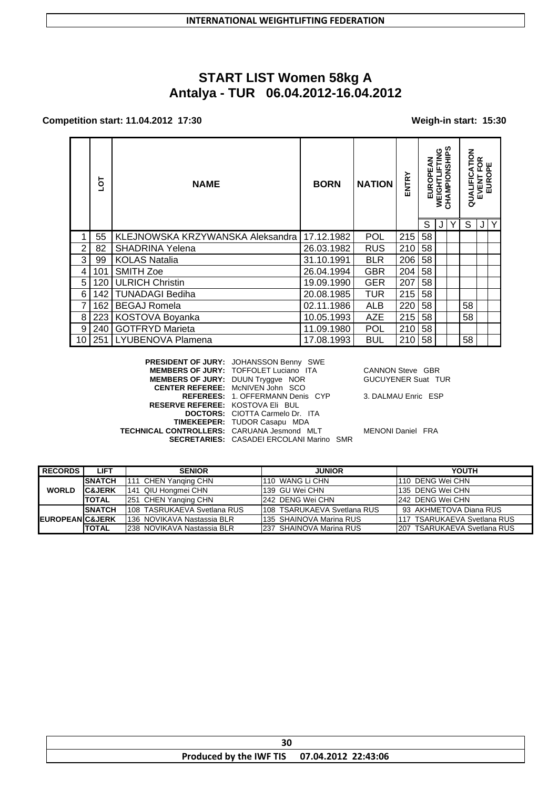# **START LIST Women 58kg A** Antalya - TUR 06.04.2012-16.04.2012

### Competition start: 11.04.2012 17:30

### Weigh-in start: 15:30

|                | TOL | <b>NATION</b><br><b>NAME</b><br><b>BORN</b> |            | ENTRY      | EUROPEAN | WEIGHTLIFTING | CHAMPIONSHIPS | QUALIFICATION | <b>VENT FOR<br/>EUROPE</b><br>EVENT |   |   |
|----------------|-----|---------------------------------------------|------------|------------|----------|---------------|---------------|---------------|-------------------------------------|---|---|
|                | 55  | KLEJNOWSKA KRZYWANSKA Aleksandra            | 17.12.1982 | <b>POL</b> | 215      | S<br>58       | J             |               | S                                   | J | Y |
| $\overline{2}$ | 82  | <b>SHADRINA Yelena</b>                      | 26.03.1982 | <b>RUS</b> | 210      | 58            |               |               |                                     |   |   |
| 3              | 99  | <b>KOLAS Natalia</b>                        | 31.10.1991 | <b>BLR</b> | 206      | 58            |               |               |                                     |   |   |
| 4              | 101 | <b>SMITH Zoe</b>                            | 26.04.1994 | <b>GBR</b> | 204      | 58            |               |               |                                     |   |   |
| 5              | 120 | <b>ULRICH Christin</b>                      | 19.09.1990 | <b>GER</b> | 207      | 58            |               |               |                                     |   |   |
| 6              | 142 | <b>TUNADAGI Bediha</b>                      | 20.08.1985 | <b>TUR</b> | 215      | 58            |               |               |                                     |   |   |
| 7              | 162 | <b>BEGAJ Romela</b>                         | 02.11.1986 | <b>ALB</b> | 220      | 58            |               |               | 58                                  |   |   |
| 8              | 223 | KOSTOVA Boyanka                             | 10.05.1993 | <b>AZE</b> | 215      | 58            |               |               | 58                                  |   |   |
| 9              | 240 | <b>GOTFRYD Marieta</b>                      | 11.09.1980 | <b>POL</b> | 210      | 58            |               |               |                                     |   |   |
| 10             | 251 | LYUBENOVA Plamena                           | 17.08.1993 | <b>BUL</b> | 210      | 58            |               |               | 58                                  |   |   |

|                                                   | PRESIDENT OF JURY: JOHANSSON Benny SWE          |               |
|---------------------------------------------------|-------------------------------------------------|---------------|
|                                                   | <b>MEMBERS OF JURY: TOFFOLET Luciano ITA</b>    | CANNO         |
| MEMBERS OF JURY: DUUN Tryggve NOR                 |                                                 | <b>GUCUYI</b> |
|                                                   | <b>CENTER REFEREE: McNIVEN John SCO</b>         |               |
|                                                   | <b>REFEREES: 1. OFFERMANN Denis CYP</b>         | 3. DALM       |
| <b>RESERVE REFEREE: KOSTOVA EII BUL</b>           |                                                 |               |
|                                                   | <b>DOCTORS:</b> CIOTTA Carmelo Dr. ITA          |               |
|                                                   | <b>TIMEKEEPER: TUDOR Casapu MDA</b>             |               |
| <b>TECHNICAL CONTROLLERS: CARUANA Jesmond MLT</b> |                                                 | <b>MENONI</b> |
|                                                   | <b>SECRETARIES: CASADEI ERCOLANI Marino SMR</b> |               |
|                                                   |                                                 |               |

N Steve GBR ENER Suat TUR

**IAU Enric ESP** 

Daniel FRA

| <b>RECORDS</b>              | LIFT               | <b>SENIOR</b>                | <b>JUNIOR</b>               | <b>YOUTH</b>                 |
|-----------------------------|--------------------|------------------------------|-----------------------------|------------------------------|
|                             | <b>ISNATCH</b>     | 111 CHEN Yanging CHN         | 1110 WANG Li CHN            | 110 DENG Wei CHN             |
| <b>WORLD</b>                | <b>IC&amp;JERK</b> | 141 QIU Hongmei CHN          | 139 GU Wei CHN              | 135 DENG Wei CHN             |
|                             | <b>TOTAL</b>       | 251 CHEN Yanging CHN         | 242 DENG Wei CHN            | 242 DENG Wei CHN             |
|                             | <b>ISNATCH</b>     | 1108 TASRUKAEVA Svetlana RUS | 108 TSARUKAEVA Svetlana RUS | 93 AKHMETOVA Diana RUS       |
| <b>IEUROPEANIC&amp;JERK</b> |                    | 1136 NOVIKAVA Nastassia BLR  | 135 SHAINOVA Marina RUS     | 1117 TSARUKAEVA Svetlana RUS |
|                             | <b>TOTAL</b>       | 1238 NOVIKAVA Nastassia BLR  | 237 SHAINOVA Marina RUS     | 207 TSARUKAEVA Svetlana RUS  |

| Produced by the IWF TIS 07.04.2012 22:43:06 |  |
|---------------------------------------------|--|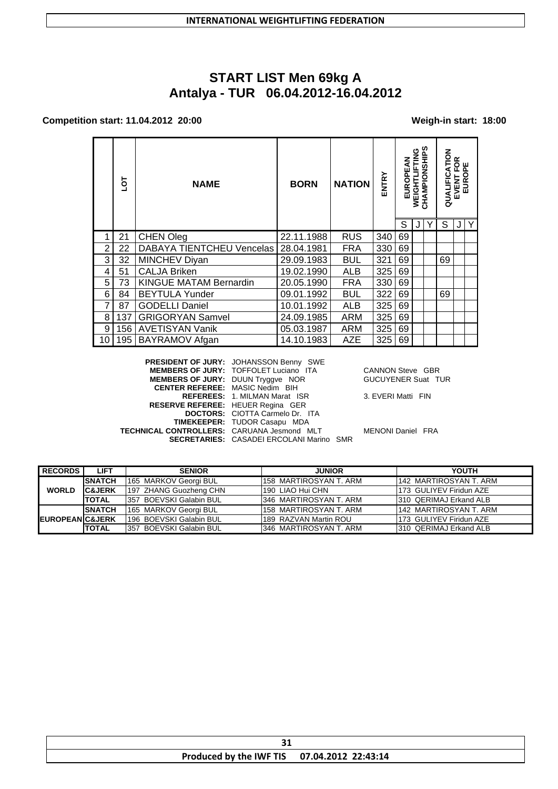# **START LIST Men 69kg A** Antalya - TUR 06.04.2012-16.04.2012

### Competition start: 11.04.2012 20:00

#### Weigh-in start: 18:00

|    | Jo  | <b>NAME</b>                      | <b>NATION</b><br><b>BORN</b> |            | ENTRY | ξ<br>EUROPE | WEIGHTLIFTING | CHAMPIONSHIPS | <b>ATION</b><br>QUALIFIC | FOR<br>EUROPE<br>EVENT |  |
|----|-----|----------------------------------|------------------------------|------------|-------|-------------|---------------|---------------|--------------------------|------------------------|--|
|    |     |                                  |                              |            |       | S           |               |               | S                        | J                      |  |
|    | 21  | <b>CHEN Oleg</b>                 | 22.11.1988                   | <b>RUS</b> | 340   | 69          |               |               |                          |                        |  |
| 2  | 22  | <b>DABAYA TIENTCHEU Vencelas</b> | 28.04.1981                   | <b>FRA</b> | 330   | 69          |               |               |                          |                        |  |
| 3  | 32  | <b>MINCHEV Diyan</b>             | 29.09.1983                   | <b>BUL</b> | 321   | 69          |               |               | 69                       |                        |  |
| 4  | 51  | <b>CALJA Briken</b>              | 19.02.1990                   | <b>ALB</b> | 325   | 69          |               |               |                          |                        |  |
| 5  | 73  | <b>KINGUE MATAM Bernardin</b>    | 20.05.1990                   | <b>FRA</b> | 330   | 69          |               |               |                          |                        |  |
| 6  | 84  | <b>BEYTULA Yunder</b>            | 09.01.1992                   | <b>BUL</b> | 322   | 69          |               |               | 69                       |                        |  |
| 7  | 87  | <b>GODELLI Daniel</b>            | 10.01.1992                   | <b>ALB</b> | 325   | 69          |               |               |                          |                        |  |
| 8  | 137 | <b>GRIGORYAN Samvel</b>          | 24.09.1985                   | ARM        | 325   | 69          |               |               |                          |                        |  |
| 9  | 156 | <b>AVETISYAN Vanik</b>           | 05.03.1987                   | <b>ARM</b> | 325   | 69          |               |               |                          |                        |  |
| 10 |     | 195   BAYRAMOV Afgan             | 14.10.1983                   | <b>AZE</b> | 325   | 69          |               |               |                          |                        |  |

PRESIDENT OF JURY: JOHANSSON Benny SWE **MEMBERS OF JURY: TOFFOLET Luciano ITA** MEMBERS OF JURY: DUUN Tryggve NOR<br>CENTER REFEREE: MASIC Nedim BIH REFEREES: 1. MILMAN Marat ISR<br>RESERVE REFEREE: HEUER Regina GER DOCTORS: CIOTTA Carmelo Dr. ITA TIMEKEEPER: TUDOR Casapu MDA TECHNICAL CONTROLLERS: CARUANA Jesmond MLT **SECRETARIES: CASADEI ERCOLANI Marino SMR** 

**CANNON Steve GBR** GUCUYENER Suat TUR

3. EVERI Matti FIN

MENONI Daniel FRA

| <b>RECORDS</b>             | <b>LIFT</b>       | <b>SENIOR</b>            | <b>JUNIOR</b>          | <b>YOUTH</b>            |
|----------------------------|-------------------|--------------------------|------------------------|-------------------------|
|                            | <b>SNATCH</b>     | 165 MARKOV Georgi BUL    | 158 MARTIROSYAN T. ARM | 142 MARTIROSYAN T. ARM  |
| <b>WORLD</b>               | <b>C&amp;JERK</b> | 197 ZHANG Guozheng CHN   | 190 LIAO Hui CHN       | 173 GULIYEV Firidun AZE |
|                            | <b>TOTAL</b>      | 1357 BOEVSKI Galabin BUL | 346 MARTIROSYAN T. ARM | 310 QERIMAJ Erkand ALB  |
|                            | <b>SNATCH</b>     | 165 MARKOV Georgi BUL    | 158 MARTIROSYAN T. ARM | 142 MARTIROSYAN T. ARM  |
| <b>EUROPEANIC&amp;JERK</b> |                   | 196 BOEVSKI Galabin BUL  | 189 RAZVAN Martin ROU  | 173 GULIYEV Firidun AZE |
|                            | <b>ITOTAL</b>     | 357 BOEVSKI Galabin BUL  | 346 MARTIROSYAN T. ARM | 310 QERIMAJ Erkand ALB  |

| - -<br>--                                   |  |
|---------------------------------------------|--|
| Produced by the IWF TIS 07.04.2012 22:43:14 |  |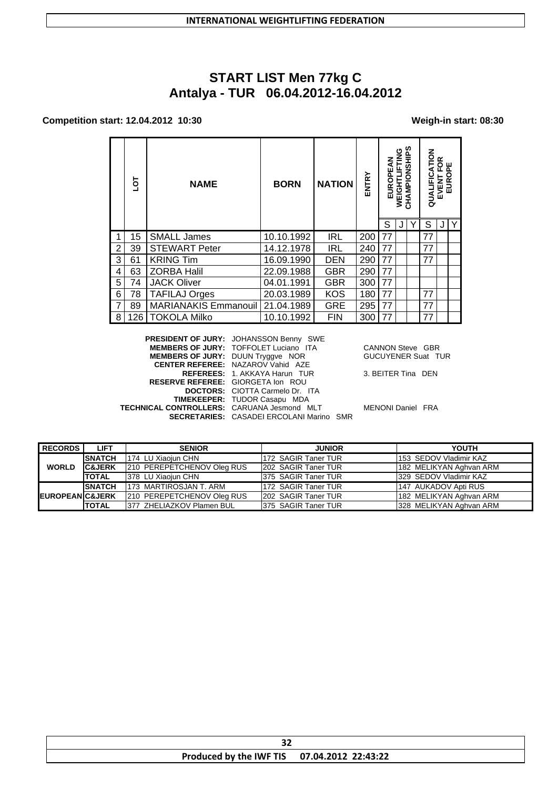# START LIST Men 77kg C<br>Antalya - TUR 06.04.2012-16.04.2012

### Competition start: 12.04.2012 10:30

### Weigh-in start: 08:30

| S<br>Y |                | ō    | <b>NAME</b>                 | <b>BORN</b> | <b>NATION</b> | ENTRY | EUROPEAN | 9<br>NIT<br>녹<br>WEIGHT | ဖာ<br>CHAMPIONSHII | MOLT.<br>QUALIFICA<br>S | ≃<br><b>VENT FOI<br/>EUROPE</b><br>EVENT | Y |
|--------|----------------|------|-----------------------------|-------------|---------------|-------|----------|-------------------------|--------------------|-------------------------|------------------------------------------|---|
|        | 1              | 15   | <b>SMALL James</b>          | 10.10.1992  | <b>IRL</b>    | 200   | 77       |                         |                    | 77                      |                                          |   |
|        | 2              | 39   | <b>STEWART Peter</b>        | 14.12.1978  | <b>IRL</b>    | 240   | 77       |                         |                    | 77                      |                                          |   |
|        | 3              | 61   | <b>KRING Tim</b>            | 16.09.1990  | <b>DEN</b>    | 290   | 77       |                         |                    | 77                      |                                          |   |
|        | 4              | 63   | <b>ZORBA Halil</b>          | 22.09.1988  | <b>GBR</b>    | 290   | 77       |                         |                    |                         |                                          |   |
|        | 5              | 74   | <b>JACK Oliver</b>          | 04.01.1991  | <b>GBR</b>    | 300   | 77       |                         |                    |                         |                                          |   |
|        | 6              | 78   | <b>TAFILAJ Orges</b>        | 20.03.1989  | <b>KOS</b>    | 180   | 77       |                         |                    | 77                      |                                          |   |
|        | $\overline{7}$ | 89   | <b>MARIANAKIS Emmanouil</b> | 21.04.1989  | <b>GRE</b>    | 295   | 77       |                         |                    | 77                      |                                          |   |
|        | 8              | 126. | <b>TOKOLA Milko</b>         | 10.10.1992  | <b>FIN</b>    | 300   | 77       |                         |                    | 77                      |                                          |   |

|                                            | <b>PRESIDENT OF JURY: JOHANSSON Benny SWE</b>   |                           |  |
|--------------------------------------------|-------------------------------------------------|---------------------------|--|
|                                            | <b>MEMBERS OF JURY: TOFFOLET Luciano ITA</b>    | <b>CANNON Steve GBR</b>   |  |
| <b>MEMBERS OF JURY: DUUN Tryggve NOR</b>   |                                                 | <b>GUCUYENER Suat TUR</b> |  |
|                                            | <b>CENTER REFEREE: NAZAROV Vahid AZE</b>        |                           |  |
|                                            | REFEREES: 1. AKKAYA Harun TUR                   | 3. BEITER Tina DEN        |  |
| <b>RESERVE REFEREE: GIORGETA Ion ROU</b>   |                                                 |                           |  |
|                                            | <b>DOCTORS:</b> CIOTTA Carmelo Dr. ITA          |                           |  |
|                                            | <b>TIMEKEEPER: TUDOR Casapu MDA</b>             |                           |  |
| TECHNICAL CONTROLLERS: CARUANA Jesmond MLT |                                                 | <b>MENONI Daniel FRA</b>  |  |
|                                            | <b>SECRETARIES: CASADEI ERCOLANI Marino SMR</b> |                           |  |
|                                            |                                                 |                           |  |

| <b>RECORDS</b>              | <b>LIFT</b>       | <b>SENIOR</b>              | <b>JUNIOR</b>              | YOUTH                   |
|-----------------------------|-------------------|----------------------------|----------------------------|-------------------------|
|                             | <b>SNATCH</b>     | 1174 LU Xiaoiun CHN        | 172 SAGIR Taner TUR        | 153 SEDOV Vladimir KAZ  |
| <b>WORLD</b>                | <b>C&amp;JERK</b> | 210 PEREPETCHENOV Oleg RUS | <b>202 SAGIR Taner TUR</b> | 182 MELIKYAN Aghvan ARM |
|                             | <b>TOTAL</b>      | 378 LU Xiaojun CHN         | 375 SAGIR Taner TUR        | 1329 SEDOV Vladimir KAZ |
|                             | <b>SNATCH</b>     | 173 MARTIROSJAN T. ARM     | 172 SAGIR Taner TUR        | 147 AUKADOV Apti RUS    |
| <b>IEUROPEANIC&amp;JERK</b> |                   | 210 PEREPETCHENOV Oleg RUS | 202 SAGIR Taner TUR        | 182 MELIKYAN Aghvan ARM |
|                             | <b>TOTAL</b>      | 1377 ZHELIAZKOV Plamen BUL | 375 SAGIR Taner TUR        | 328 MELIKYAN Aghvan ARM |

| $\sim$                                      |  |
|---------------------------------------------|--|
| Produced by the IWF TIS 07.04.2012 22:43:22 |  |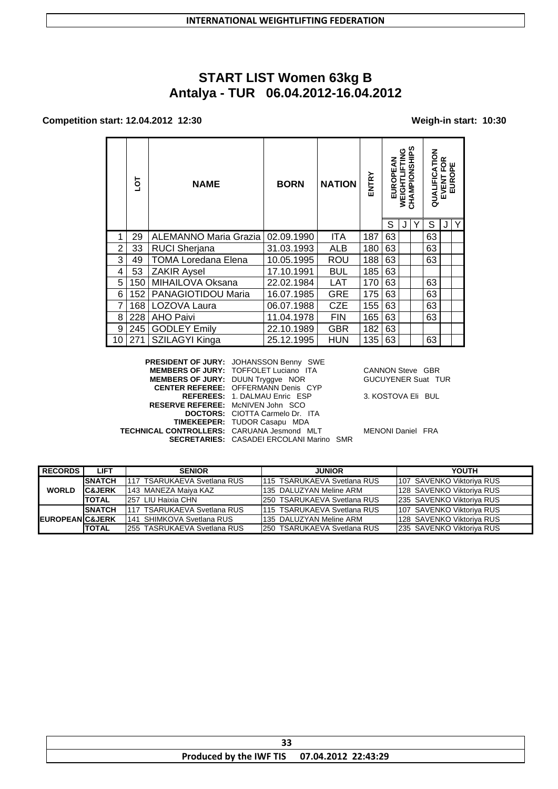# **START LIST Women 63kg B Antalya - TUR 06.04.2012-16.04.2012**

#### **Competition start: 12.04.2012 12:30 Weigh-in start: 10:30**

|    | ā   | <b>NAME</b>                  | <b>BORN</b> | <b>NATION</b> |     | ₹<br>EUROPE | Ē<br>≞<br><b>WEIGHT</b> | ທ<br><b>AMPIONSHI</b><br>공 | QUALIFICATION | ≃<br>EVENT FOR<br>EUROPE |  |
|----|-----|------------------------------|-------------|---------------|-----|-------------|-------------------------|----------------------------|---------------|--------------------------|--|
|    |     |                              |             |               |     | S           |                         |                            | S             |                          |  |
|    | 29  | <b>ALEMANNO Maria Grazia</b> | 02.09.1990  | ITA           | 187 | 63          |                         |                            | 63            |                          |  |
| 2  | 33  | <b>RUCI Sherjana</b>         | 31.03.1993  | <b>ALB</b>    | 180 | 63          |                         |                            | 63            |                          |  |
| 3  | 49  | <b>TOMA Loredana Elena</b>   | 10.05.1995  | <b>ROU</b>    | 188 | 63          |                         |                            | 63            |                          |  |
| 4  | 53  | <b>ZAKIR Aysel</b>           | 17.10.1991  | <b>BUL</b>    | 185 | 63          |                         |                            |               |                          |  |
| 5  | 150 | MIHAILOVA Oksana             | 22.02.1984  | <b>LAT</b>    | 170 | 63          |                         |                            | 63            |                          |  |
| 6  | 152 | PANAGIOTIDOU Maria           | 16.07.1985  | <b>GRE</b>    | 175 | 63          |                         |                            | 63            |                          |  |
| 7  | 168 | LOZOVA Laura                 | 06.07.1988  | CZE           | 155 | 63          |                         |                            | 63            |                          |  |
| 8  | 228 | <b>AHO Paivi</b>             | 11.04.1978  | <b>FIN</b>    | 165 | 63          |                         |                            | 63            |                          |  |
| 9  | 245 | <b>GODLEY Emily</b>          | 22.10.1989  | GBR           | 182 | 63          |                         |                            |               |                          |  |
| 10 | 271 | SZILAGYI Kinga               | 25.12.1995  | <b>HUN</b>    | 135 | 63          |                         |                            | 63            |                          |  |

**PRESIDENT OF JURY:** JOHANSSON Benny SWE **MEMBERS OF JURY:** TOFFOLET Luciano ITA CANNON Steve GBR<br> **MEMBERS OF JURY:** DUUN Tryggve NOR GUCUYENER Suat TUR **MEMBERS OF JURY:** DUUN Tryggve NOR GUCUYENER Suat TUR **CENTER REFEREE:** OFFERMANN Denis CYP **REFEREES:** 1. DALMAU Enric ESP 3. KOSTOVA Eli BUL **RESERVE REFEREE:** McNIVEN John SCO **DOCTORS:** CIOTTA Carmelo Dr. ITA **TIMEKEEPER:** TUDOR Casapu MDA **TECHNICAL CONTROLLERS:** CARUANA Jesmond MLT MENONI Daniel FRA **SECRETARIES:** CASADEI ERCOLANI Marino SMR

| <b>RECORDS</b>              | LIFT              | <b>SENIOR</b>                | <b>JUNIOR</b>                | YOUTH                      |
|-----------------------------|-------------------|------------------------------|------------------------------|----------------------------|
|                             | <b>SNATCH</b>     | 1117 TSARUKAEVA Svetlana RUS | 1115 TSARUKAEVA Svetlana RUS | 1107 SAVENKO Viktoriva RUS |
| <b>WORLD</b>                | <b>C&amp;JERK</b> | 1143 MANEZA Maiva KAZ        | 1135 DALUZYAN Meline ARM     | 128 SAVENKO Viktoriva RUS  |
|                             | <b>TOTAL</b>      | 1257 LIU Haixia CHN          | 1250 TSARUKAEVA Svetlana RUS | 1235 SAVENKO Viktoriva RUS |
|                             | <b>ISNATCH</b>    | 1117 TSARUKAEVA Svetlana RUS | 1115 TSARUKAEVA Svetlana RUS | 1107 SAVENKO Viktoriva RUS |
| <b>IEUROPEANIC&amp;JERK</b> |                   | I141 SHIMKOVA Svetlana RUS   | 1135 DALUZYAN Meline ARM     | 128 SAVENKO Viktoriva RUS  |
|                             | <b>TOTAL</b>      | 1255 TASRUKAEVA Svetlana RUS | 1250 TSARUKAEVA Svetlana RUS | 1235 SAVENKO Viktoriva RUS |

| --<br>33                                    |  |
|---------------------------------------------|--|
| Produced by the IWF TIS 07.04.2012 22:43:29 |  |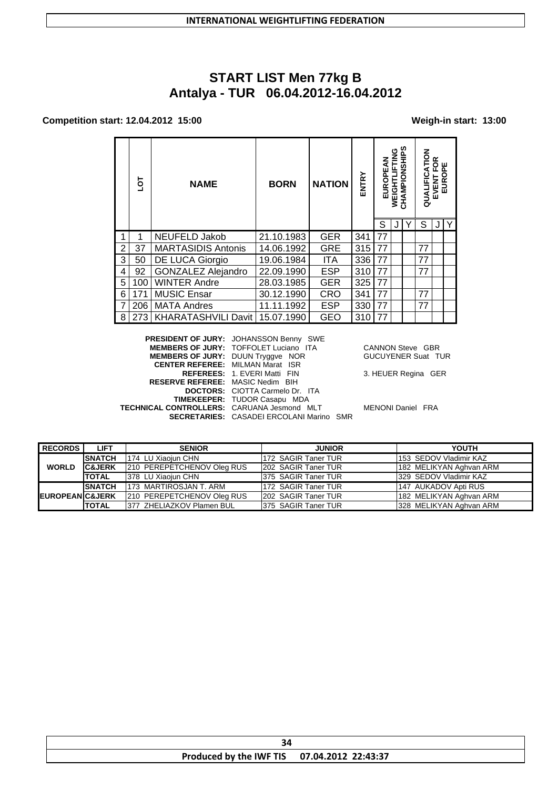# **START LIST Men 77kg B** Antalya - TUR 06.04.2012-16.04.2012

#### Competition start: 12.04.2012 15:00

#### Weigh-in start: 13:00

|   | ā   | <b>NAME</b>               | <b>BORN</b> | <b>NATION</b> | ENTRY | ₹<br>EUROPE | ╩<br><b>WEIGHT</b> | n<br>AMPIONSHIP | る<br>QUALIFIC | ≃<br>EVENT | ш<br>௨<br>o<br><b>EUR</b> |
|---|-----|---------------------------|-------------|---------------|-------|-------------|--------------------|-----------------|---------------|------------|---------------------------|
|   |     |                           |             |               |       | S           |                    |                 | S             |            | $\mathsf{Y}$              |
|   |     | NEUFELD Jakob             | 21.10.1983  | <b>GER</b>    | 341   | 77          |                    |                 |               |            |                           |
| 2 | 37  | <b>MARTASIDIS Antonis</b> | 14.06.1992  | <b>GRE</b>    | 315   | 77          |                    |                 | 77            |            |                           |
| 3 | 50  | DE LUCA Giorgio           | 19.06.1984  | <b>ITA</b>    | 336   | 77          |                    |                 | 77            |            |                           |
| 4 | 92  | <b>GONZALEZ Alejandro</b> | 22.09.1990  | <b>ESP</b>    | 310   | 77          |                    |                 | 77            |            |                           |
| 5 | 100 | <b>WINTER Andre</b>       | 28.03.1985  | <b>GER</b>    | 325   | 77          |                    |                 |               |            |                           |
| 6 | 171 | <b>MUSIC Ensar</b>        | 30.12.1990  | CRO           | 341   | 77          |                    |                 | 77            |            |                           |
| 7 | 206 | <b>MATA Andres</b>        | 11.11.1992  | <b>ESP</b>    | 330   | 77          |                    |                 | 77            |            |                           |
| 8 | 273 | KHARATASHVILI Davit       | 15.07.1990  | GEO           | 310   | 77          |                    |                 |               |            |                           |

PRESIDENT OF JURY: JOHANSSON Benny SWE MEMBERS OF JURY: TOFFOLET Luciano ITA<br>MEMBERS OF JURY: DUUN Tryggve NOR CANNON Steve GBR CENTER REFEREE: MILMAN Marat ISR REFEREES: 1. EVERI Matti FIN 3. HEUER Regina GER RESERVE REFEREE: MASIC Nedim BIH DOCTORS: CIOTTA Carmelo Dr. ITA<br>TIMEKEEPER: TUDOR Casapu MDA TECHNICAL CONTROLLERS: CARUANA Jesmond MLT MENONI Daniel FRA **SECRETARIES:** CASADEI ERCOLANI Marino SMR

GUCUYENER Suat TUR

| <b>RECORDS</b>             | <b>LIFT</b>       | <b>SENIOR</b>              | <b>JUNIOR</b>       | YOUTH                   |
|----------------------------|-------------------|----------------------------|---------------------|-------------------------|
|                            | <b>SNATCH</b>     | 174 LU Xiaojun CHN         | 172 SAGIR Taner TUR | 1153 SEDOV Vladimir KAZ |
| <b>WORLD</b>               | <b>C&amp;JERK</b> | 210 PEREPETCHENOV Oleg RUS | 202 SAGIR Taner TUR | 182 MELIKYAN Aghvan ARM |
|                            | <b>TOTAL</b>      | 378 LU Xiaojun CHN         | 375 SAGIR Taner TUR | 329 SEDOV Vladimir KAZ  |
|                            | <b>SNATCH</b>     | 173 MARTIROSJAN T. ARM     | 172 SAGIR Taner TUR | 147 AUKADOV Apti RUS    |
| <b>EUROPEAN C&amp;JERK</b> |                   | 210 PEREPETCHENOV Oleg RUS | 202 SAGIR Taner TUR | 182 MELIKYAN Aghvan ARM |
|                            | <b>TOTAL</b>      | 1377 ZHELIAZKOV Plamen BUL | 375 SAGIR Taner TUR | 328 MELIKYAN Aghvan ARM |

| 34                                          |  |
|---------------------------------------------|--|
| Produced by the IWF TIS 07.04.2012 22:43:37 |  |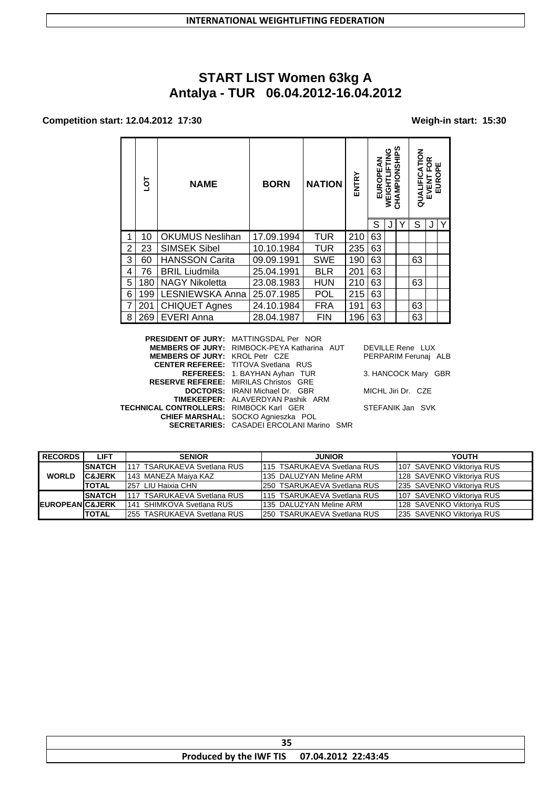# **START LIST Women 63kg A Antalya - TUR 06.04.2012-16.04.2012**

## **Competition start: 12.04.2012 17:30 Weigh-in start: 15:30**

|                | ā   | <b>NAME</b>            | <b>BORN</b> | <b>NATION</b> | <b>ENTRY</b> | ٥P<br>D<br>EUR | 9<br>N<br>⊡<br><b>WEIGHTL</b> | n<br>CHAMPIONSHIP | QUALIFICATION | ≃<br>O<br>ه عا<br>EVENT<br>EURO | ш<br>O |
|----------------|-----|------------------------|-------------|---------------|--------------|----------------|-------------------------------|-------------------|---------------|---------------------------------|--------|
|                |     |                        |             |               |              | S              |                               | Y                 | S             |                                 | Y      |
| 1              | 10  | <b>OKUMUS Neslihan</b> | 17.09.1994  | <b>TUR</b>    | 210          | 63             |                               |                   |               |                                 |        |
| $\overline{2}$ | 23  | <b>SIMSEK Sibel</b>    | 10.10.1984  | <b>TUR</b>    | 235          | 63             |                               |                   |               |                                 |        |
| 3              | 60  | <b>HANSSON Carita</b>  | 09.09.1991  | <b>SWE</b>    | 190          | 63             |                               |                   | 63            |                                 |        |
| 4              | 76  | <b>BRIL Liudmila</b>   | 25.04.1991  | <b>BLR</b>    | 201          | 63             |                               |                   |               |                                 |        |
| 5              | 180 | <b>NAGY Nikoletta</b>  | 23.08.1983  | <b>HUN</b>    | 210          | 63             |                               |                   | 63            |                                 |        |
| 6              | 199 | LESNIEWSKA Anna        | 25.07.1985  | POL           | 215          | 63             |                               |                   |               |                                 |        |
| 7              | 201 | <b>CHIQUET Agnes</b>   | 24.10.1984  | <b>FRA</b>    | 191          | 63             |                               |                   | 63            |                                 |        |
| 8              | 269 | <b>EVERI Anna</b>      | 28.04.1987  | <b>FIN</b>    | 196          | 63             |                               |                   | 63            |                                 |        |

|                                                | <b>PRESIDENT OF JURY: MATTINGSDAL Per NOR</b>      |                      |
|------------------------------------------------|----------------------------------------------------|----------------------|
|                                                | <b>MEMBERS OF JURY: RIMBOCK-PEYA Katharina AUT</b> | DEVILLE Rene LUX     |
| <b>MEMBERS OF JURY: KROL Petr CZE</b>          |                                                    | PERPARIM Ferunai ALB |
|                                                | <b>CENTER REFEREE: TITOVA Svetlana RUS</b>         |                      |
|                                                | REFEREES: 1. BAYHAN Ayhan TUR                      | 3. HANCOCK Mary GBR  |
|                                                | <b>RESERVE REFEREE: MIRILAS Christos GRE</b>       |                      |
|                                                | <b>DOCTORS:</b> IRANI Michael Dr. GBR              | MICHL Jiri Dr. CZE   |
|                                                | <b>TIMEKEEPER: ALAVERDYAN Pashik ARM</b>           |                      |
| <b>TECHNICAL CONTROLLERS: RIMBOCK Karl GER</b> |                                                    | STEFANIK Jan SVK     |
|                                                | CHIEF MARSHAL: SOCKO Agnieszka POL                 |                      |
|                                                | <b>SECRETARIES: CASADEI ERCOLANI Marino SMR</b>    |                      |

| <b>RECORDS</b>              | LIFT              | <b>SENIOR</b>                | <b>JUNIOR</b>                | YOUTH                      |
|-----------------------------|-------------------|------------------------------|------------------------------|----------------------------|
|                             | <b>SNATCH</b>     | 1117 TSARUKAEVA Svetlana RUS | 1115 TSARUKAEVA Svetlana RUS | 1107 SAVENKO Viktoriva RUS |
| <b>WORLD</b>                | <b>C&amp;JERK</b> | 1143 MANEZA Maiva KAZ        | 1135 DALUZYAN Meline ARM     | 128 SAVENKO Viktoriva RUS  |
|                             | <b>TOTAL</b>      | 1257 LIU Haixia CHN          | 1250 TSARUKAEVA Svetlana RUS | 1235 SAVENKO Viktoriva RUS |
|                             | <b>SNATCH</b>     | 1117 TSARUKAEVA Svetlana RUS | 1115 TSARUKAEVA Svetlana RUS | 1107 SAVENKO Viktoriva RUS |
| <b>IEUROPEANIC&amp;JERK</b> |                   | 141 SHIMKOVA Svetlana RUS    | 1135 DALUZYAN Meline ARM     | 128 SAVENKO Viktoriva RUS  |
|                             | <b>TOTAL</b>      | 1255 TASRUKAEVA Svetlana RUS | 1250 TSARUKAEVA Svetlana RUS | 1235 SAVENKO Viktoriva RUS |

| Produced by the IWF TIS 07.04.2012 22:43:45 |  |
|---------------------------------------------|--|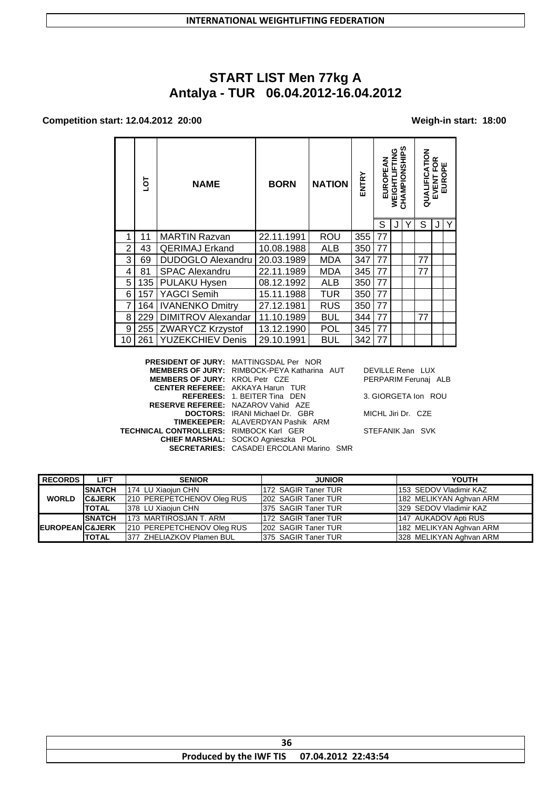# **START LIST Men 77kg A Antalya - TUR 06.04.2012-16.04.2012**

### **Competition start: 12.04.2012 20:00 Weigh-in start: 18:00**

|    | ā   | <b>NAME</b>               | <b>BORN</b> | <b>NATION</b> | ENTRY | EUROPEAN | WEIGHTLIFTING | CHAMPIONSHIPS | QUALIFICATION | EVENT FOR | ш<br>$\mathbf{a}$<br>EURO |
|----|-----|---------------------------|-------------|---------------|-------|----------|---------------|---------------|---------------|-----------|---------------------------|
|    |     |                           |             |               |       | S        |               |               | S             |           | Υ                         |
| 1  | 11  | <b>MARTIN Razvan</b>      | 22.11.1991  | ROU           | 355   | 77       |               |               |               |           |                           |
| 2  | 43  | <b>QERIMAJ Erkand</b>     | 10.08.1988  | ALB           | 350   | 77       |               |               |               |           |                           |
| 3  | 69  | <b>DUDOGLO Alexandru</b>  | 20.03.1989  | MDA           | 347   | 77       |               |               | 77            |           |                           |
| 4  | 81  | <b>SPAC Alexandru</b>     | 22.11.1989  | MDA           | 345   | 77       |               |               | 77            |           |                           |
| 5  | 135 | <b>PULAKU Hysen</b>       | 08.12.1992  | ALB           | 350   | 77       |               |               |               |           |                           |
| 6  | 157 | <b>YAGCI Semih</b>        | 15.11.1988  | <b>TUR</b>    | 350   | 77       |               |               |               |           |                           |
| 7  | 164 | <b>IVANENKO Dmitry</b>    | 27.12.1981  | <b>RUS</b>    | 350   | 77       |               |               |               |           |                           |
| 8  | 229 | <b>DIMITROV Alexandar</b> | 11.10.1989  | <b>BUL</b>    | 344   | 77       |               |               | 77            |           |                           |
| 9  | 255 | ZWARYCZ Krzystof          | 13.12.1990  | POL           | 345   | 77       |               |               |               |           |                           |
| 10 | 261 | <b>YUZEKCHIEV Denis</b>   | 29.10.1991  | <b>BUL</b>    | 342   | 77       |               |               |               |           |                           |

|                                                | <b>PRESIDENT OF JURY: MATTINGSDAL Per NOR</b>      |                      |
|------------------------------------------------|----------------------------------------------------|----------------------|
|                                                | <b>MEMBERS OF JURY: RIMBOCK-PEYA Katharina AUT</b> | DEVILLE Rene LUX     |
| <b>MEMBERS OF JURY: KROL Petr CZE</b>          |                                                    | PERPARIM Ferunai ALB |
|                                                | <b>CENTER REFEREE: AKKAYA Harun TUR</b>            |                      |
|                                                | <b>REFEREES: 1. BEITER Tina DEN</b>                | 3. GIORGETA Ion ROU  |
|                                                | <b>RESERVE REFEREE: NAZAROV Vahid AZE</b>          |                      |
|                                                | <b>DOCTORS:</b> IRANI Michael Dr. GBR              | MICHL Jiri Dr. CZE   |
|                                                | <b>TIMEKEEPER: ALAVERDYAN Pashik ARM</b>           |                      |
| <b>TECHNICAL CONTROLLERS: RIMBOCK Karl GER</b> |                                                    | STEFANIK Jan SVK     |
|                                                | CHIEF MARSHAL: SOCKO Agnieszka POL                 |                      |
|                                                | <b>SECRETARIES: CASADEI ERCOLANI Marino SMR</b>    |                      |
|                                                |                                                    |                      |

| <b>RECORDS</b>             | <b>LIFT</b>       | <b>SENIOR</b>              | <b>JUNIOR</b>       | <b>YOUTH</b>            |
|----------------------------|-------------------|----------------------------|---------------------|-------------------------|
|                            | <b>SNATCH</b>     | 174 LU Xiaoiun CHN         | 172 SAGIR Taner TUR | 153 SEDOV Vladimir KAZ  |
| <b>WORLD</b>               | <b>C&amp;JERK</b> | 210 PEREPETCHENOV Oleg RUS | 202 SAGIR Taner TUR | 182 MELIKYAN Aghvan ARM |
|                            | <b>TOTAL</b>      | 378 LU Xiaojun CHN         | 375 SAGIR Taner TUR | 329 SEDOV Vladimir KAZ  |
|                            | <b>SNATCH</b>     | 173 MARTIROSJAN T. ARM     | 172 SAGIR Taner TUR | 147 AUKADOV Apti RUS    |
| <b>EUROPEANIC&amp;JERK</b> |                   | 210 PEREPETCHENOV Oleg RUS | 202 SAGIR Taner TUR | 182 MELIKYAN Aghvan ARM |
|                            | <b>TOTAL</b>      | 377 ZHELIAZKOV Plamen BUL  | 375 SAGIR Taner TUR | 328 MELIKYAN Aghvan ARM |

| Produced by the IWF TIS 07.04.2012 22:43:54 |  |  |  |  |
|---------------------------------------------|--|--|--|--|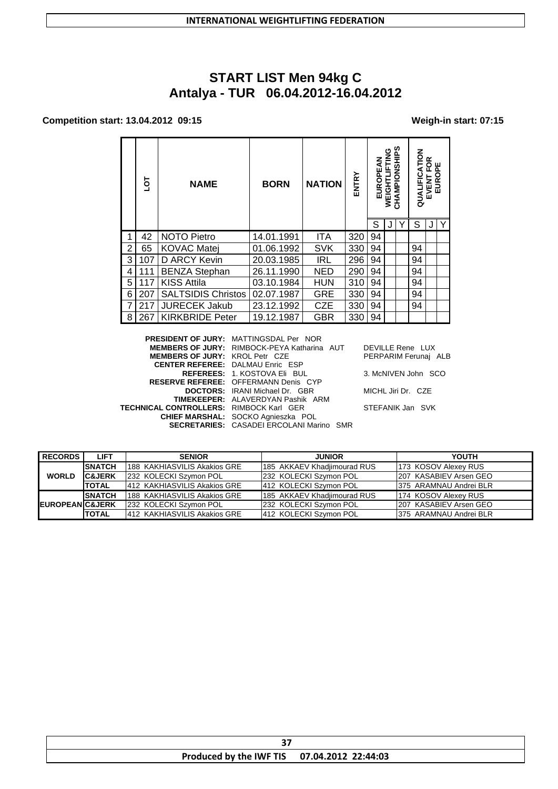# **START LIST Men 94kg C Antalya - TUR 06.04.2012-16.04.2012**

### **Competition start: 13.04.2012 09:15 Weigh-in start: 07:15**

|   | ō   | <b>NAME</b>               | <b>BORN</b> | <b>NATION</b> | ENTRY | EUROPE | 9<br>N<br><b>WEIGHTI</b> | ທ<br>CHAMPIONSHI | QUALIFICATION | ≃<br>© ⊮<br>C<br><b>EVENT I</b><br>EUROI |   |
|---|-----|---------------------------|-------------|---------------|-------|--------|--------------------------|------------------|---------------|------------------------------------------|---|
|   |     |                           |             |               |       | S      |                          |                  | S             |                                          | Y |
|   | 42  | NOTO Pietro               | 14.01.1991  | ITA           | 320   | 94     |                          |                  |               |                                          |   |
| 2 | 65  | <b>KOVAC Matej</b>        | 01.06.1992  | <b>SVK</b>    | 330   | 94     |                          |                  | 94            |                                          |   |
| 3 | 107 | D ARCY Kevin              | 20.03.1985  | <b>IRL</b>    | 296   | 94     |                          |                  | 94            |                                          |   |
| 4 | 111 | <b>BENZA Stephan</b>      | 26.11.1990  | <b>NED</b>    | 290   | 94     |                          |                  | 94            |                                          |   |
| 5 | 117 | <b>KISS Attila</b>        | 03.10.1984  | <b>HUN</b>    | 310   | 94     |                          |                  | 94            |                                          |   |
| 6 | 207 | <b>SALTSIDIS Christos</b> | 02.07.1987  | <b>GRE</b>    | 330   | 94     |                          |                  | 94            |                                          |   |
| 7 | 217 | <b>JURECEK Jakub</b>      | 23.12.1992  | <b>CZE</b>    | 330   | 94     |                          |                  | 94            |                                          |   |
| 8 | 267 | <b>KIRKBRIDE Peter</b>    | 19.12.1987  | <b>GBR</b>    | 330   | 94     |                          |                  |               |                                          |   |

|                                                | <b>PRESIDENT OF JURY: MATTINGSDAL Per NOR</b>      |                      |
|------------------------------------------------|----------------------------------------------------|----------------------|
|                                                |                                                    |                      |
|                                                | <b>MEMBERS OF JURY: RIMBOCK-PEYA Katharina AUT</b> | DEVILLE Rene LUX     |
| <b>MEMBERS OF JURY: KROL Petr CZE</b>          |                                                    | PERPARIM Ferunai ALB |
|                                                | <b>CENTER REFEREE: DALMAU Enric ESP</b>            |                      |
|                                                | <b>REFEREES: 1. KOSTOVA Eli BUL</b>                | 3. McNIVEN John SCO  |
|                                                | <b>RESERVE REFEREE: OFFERMANN Denis CYP</b>        |                      |
|                                                | <b>DOCTORS:</b> IRANI Michael Dr. GBR              | MICHL Jiri Dr. CZE   |
|                                                | <b>TIMEKEEPER: ALAVERDYAN Pashik ARM</b>           |                      |
| <b>TECHNICAL CONTROLLERS: RIMBOCK Karl GER</b> |                                                    | STEFANIK Jan SVK     |
|                                                | CHIEF MARSHAL: SOCKO Agnieszka POL                 |                      |
|                                                | <b>SECRETARIES: CASADEI ERCOLANI Marino SMR</b>    |                      |
|                                                |                                                    |                      |

| <b>RECORDS</b>             | LIFT              | <b>SENIOR</b>                 | <b>JUNIOR</b>                | YOUTH                   |
|----------------------------|-------------------|-------------------------------|------------------------------|-------------------------|
|                            | <b>ISNATCH</b>    | 188 KAKHIASVILIS Akakios GRE  | 1185 AKKAEV Khadiimourad RUS | 173 KOSOV Alexey RUS    |
| <b>WORLD</b>               | <b>C&amp;JERK</b> | 232 KOLECKI Szymon POL        | 232 KOLECKI Szymon POL       | 1207 KASABIEV Arsen GEO |
|                            | <b>ITOTAL</b>     | 1412 KAKHIASVILIS Akakios GRE | 412 KOLECKI Szymon POL       | 1375 ARAMNAU Andrei BLR |
|                            | <b>SNATCH</b>     | 188 KAKHIASVILIS Akakios GRE  | 1185 AKKAEV Khadiimourad RUS | 174 KOSOV Alexey RUS    |
| <b>EUROPEAN C&amp;JERK</b> |                   | 1232 KOLECKI Szymon POL       | 232 KOLECKI Szymon POL       | 207 KASABIEV Arsen GEO  |
|                            | <b>ITOTAL</b>     | 412 KAKHIASVILIS Akakios GRE  | 412 KOLECKI Szymon POL       | 1375 ARAMNAU Andrei BLR |

| Produced by the IWF TIS | 22:44:03<br>07.04.2012 |  |  |  |
|-------------------------|------------------------|--|--|--|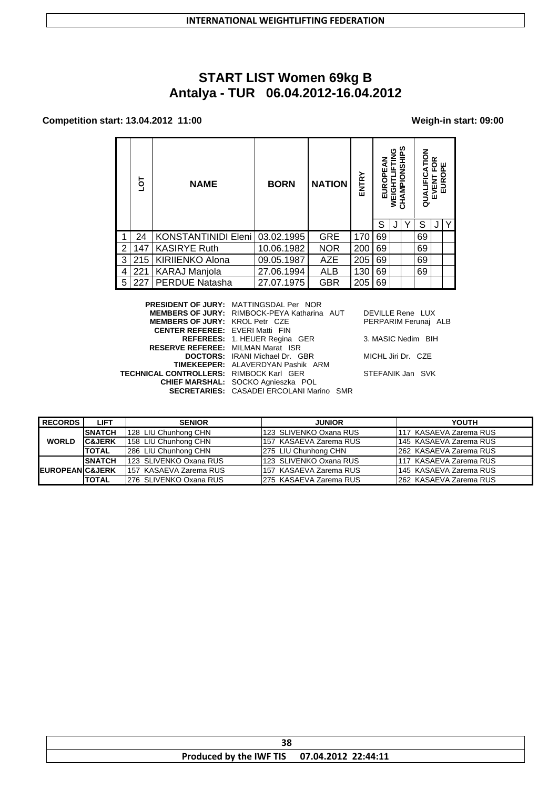# **START LIST Women 69kg B Antalya - TUR 06.04.2012-16.04.2012**

### **Competition start: 13.04.2012 11:00 Weigh-in start: 09:00**

|   | ōJ                                                  | <b>NAME</b>            | <b>BORN</b> | <b>NATION</b> | ENTRY | EUROPEAN | 9<br>N<br>녹<br><b>WEIGHT</b> | CHAMPIONSHIPS | QUALIFICATION | FOR<br>$\mathbf{a}$<br><b>EVENT I</b><br>EUROI | ш |
|---|-----------------------------------------------------|------------------------|-------------|---------------|-------|----------|------------------------------|---------------|---------------|------------------------------------------------|---|
|   |                                                     |                        |             |               |       | S        |                              |               | S             |                                                | Υ |
|   | 24                                                  | KONSTANTINIDI Eleni    | 03.02.1995  | <b>GRE</b>    | 170   | 69       |                              |               | 69            |                                                |   |
| 2 | 147                                                 | <b>KASIRYE Ruth</b>    | 10.06.1982  | <b>NOR</b>    | 200   | 69       |                              |               | 69            |                                                |   |
| 3 | 215                                                 | <b>KIRIIENKO Alona</b> | 09.05.1987  | <b>AZE</b>    | 205   | 69       |                              |               | 69            |                                                |   |
| 4 | 221                                                 | <b>KARAJ Manjola</b>   | 27.06.1994  | <b>ALB</b>    | 130   | 69       |                              |               | 69            |                                                |   |
| 5 | 227                                                 | <b>PERDUE Natasha</b>  | 27.07.1975  | <b>GBR</b>    | 205   | 69       |                              |               |               |                                                |   |
|   | <b>DDFAIDF117</b><br>$\mathbf{M}$<br>$P''$ $\cdots$ |                        |             |               |       |          |                              |               |               |                                                |   |

|                                                | <b>PRESIDENT OF JURY: MATTINGSDAL Per NOR</b>   |                      |
|------------------------------------------------|-------------------------------------------------|----------------------|
|                                                | MEMBERS OF JURY: RIMBOCK-PEYA Katharina AUT     | DEVILLE Rene LUX     |
| <b>MEMBERS OF JURY: KROL Petr CZE</b>          |                                                 | PERPARIM Ferunai ALB |
| <b>CENTER REFEREE: EVERI Matti FIN</b>         |                                                 |                      |
|                                                | <b>REFEREES: 1. HEUER Regina GER</b>            | 3. MASIC Nedim BIH   |
| <b>RESERVE REFEREE: MILMAN Marat ISR</b>       |                                                 |                      |
|                                                | <b>DOCTORS:</b> IRANI Michael Dr. GBR           | MICHL Jiri Dr. CZE   |
|                                                | <b>TIMEKEEPER: ALAVERDYAN Pashik ARM</b>        |                      |
| <b>TECHNICAL CONTROLLERS: RIMBOCK Karl GER</b> |                                                 | STEFANIK Jan SVK     |
|                                                | <b>CHIEF MARSHAL:</b> SOCKO Agnieszka POL       |                      |
|                                                | <b>SECRETARIES:</b> CASADEI ERCOLANI Marino SMR |                      |
|                                                |                                                 |                      |

| DEVILLE Rene LUX     |  |
|----------------------|--|
| PERPARIM Ferunaj ALB |  |

| <b>RECORDS</b>             | <b>LIFT</b>       | <b>SENIOR</b>           | <b>JUNIOR</b>            | <b>YOUTH</b>            |
|----------------------------|-------------------|-------------------------|--------------------------|-------------------------|
|                            | <b>SNATCH</b>     | 128 LIU Chunhong CHN    | 1123 SLIVENKO Oxana RUSI | 1117 KASAEVA Zarema RUS |
| <b>WORLD</b>               | <b>C&amp;JERK</b> | 158 LIU Chunhong CHN    | 157 KASAEVA Zarema RUS   | 145 KASAEVA Zarema RUS  |
|                            | <b>TOTAL</b>      | 286 LIU Chunhong CHN    | 275 LIU Chunhong CHN     | 1262 KASAEVA Zarema RUS |
|                            | <b>SNATCH</b>     | 123 SLIVENKO Oxana RUS  | 123 SLIVENKO Oxana RUS   | 1117 KASAEVA Zarema RUS |
| <b>EUROPEANIC&amp;JERK</b> |                   | 157 KASAEVA Zarema RUS  | 1157 KASAEVA Zarema RUS  | 145 KASAEVA Zarema RUS  |
|                            | <b>TOTAL</b>      | 1276 SLIVENKO Oxana RUS | 1275 KASAEVA Zarema RUS  | 262 KASAEVA Zarema RUS  |

| າດ<br>ЭО                |                     |  |  |  |
|-------------------------|---------------------|--|--|--|
| Produced by the IWF TIS | 07.04.2012 22:44:11 |  |  |  |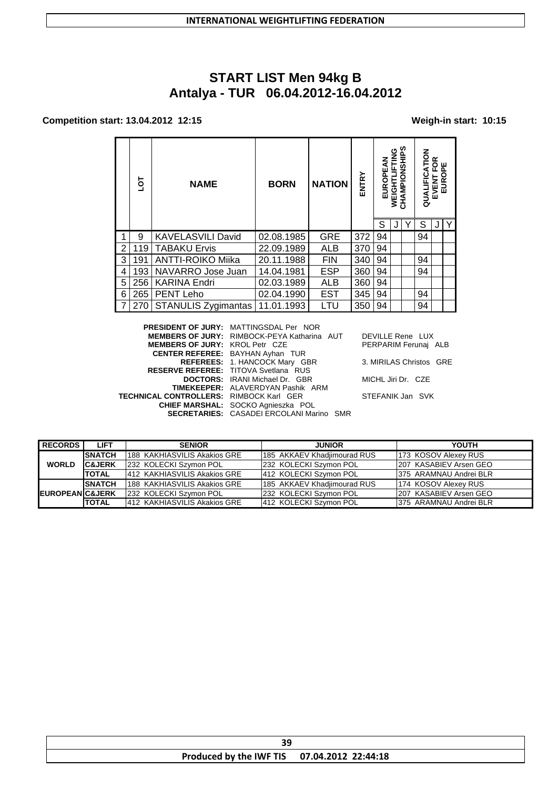# **START LIST Men 94kg B Antalya - TUR 06.04.2012-16.04.2012**

### **Competition start: 13.04.2012 12:15 Weigh-in start: 10:15**

|   | ГOГ | <b>NAME</b>              | <b>BORN</b> | <b>NATION</b> | <b>ENTRY</b> | EUROPEAN | ပ<br>╩<br>WEIGHT | ဖာ<br>CHAMPIONSHIP | QUALIFICATION | ≃<br>Ô<br>ű.<br>௳<br><b>EVENT I</b><br>EUROI | ш |
|---|-----|--------------------------|-------------|---------------|--------------|----------|------------------|--------------------|---------------|----------------------------------------------|---|
|   | 9   | <b>KAVELASVILI David</b> | 02.08.1985  | <b>GRE</b>    | 372          | 94       |                  |                    | 94            |                                              |   |
| 2 | 119 | <b>TABAKU Ervis</b>      | 22.09.1989  | ALB           | 370          | 94       |                  |                    |               |                                              |   |
| 3 | 191 | <b>ANTTI-ROIKO Miika</b> | 20.11.1988  | <b>FIN</b>    | 340          | 94       |                  |                    | 94            |                                              |   |
| 4 | 193 | NAVARRO Jose Juan        | 14.04.1981  | <b>ESP</b>    | 360          | 94       |                  |                    | 94            |                                              |   |
| 5 | 256 | <b>KARINA Endri</b>      | 02.03.1989  | ALB           | 360          | 94       |                  |                    |               |                                              |   |
| 6 | 265 | <b>PENT Leho</b>         | 02.04.1990  | <b>EST</b>    | 345          | 94       |                  |                    | 94            |                                              |   |
|   | 270 | STANULIS Zygimantas      | 11.01.1993  | LTU           | 350          | 94       |                  |                    | 94            |                                              |   |

| <b>PRESIDENT OF JURY: MATTINGSDAL Per NOR</b>  |                                                                                                |
|------------------------------------------------|------------------------------------------------------------------------------------------------|
|                                                | DEVILLE Rene LUX                                                                               |
| <b>MEMBERS OF JURY: KROL Petr CZE</b>          | PERPARIM Ferunai ALB                                                                           |
| <b>CENTER REFEREE:</b> BAYHAN Ayhan TUR        |                                                                                                |
| REFEREES: 1. HANCOCK Mary GBR                  | 3. MIRILAS Christos GRE                                                                        |
| <b>RESERVE REFEREE: TITOVA Svetlana RUS</b>    |                                                                                                |
| <b>DOCTORS:</b> IRANI Michael Dr. GBR          | MICHL Jiri Dr. CZE                                                                             |
| <b>TIMEKEEPER: ALAVERDYAN Pashik ARM</b>       |                                                                                                |
| <b>TECHNICAL CONTROLLERS: RIMBOCK Karl GER</b> | STEFANIK Jan SVK                                                                               |
| CHIEF MARSHAL: SOCKO Agnieszka POL             |                                                                                                |
|                                                |                                                                                                |
|                                                | <b>MEMBERS OF JURY: RIMBOCK-PEYA Katharina AUT</b><br>SECRETARIES: CASADEI ERCOLANI Marino SMR |

| <b>RECORDS</b>              | <b>LIFT</b>       | <b>SENIOR</b>                  | <b>JUNIOR</b>               | <b>YOUTH</b>            |
|-----------------------------|-------------------|--------------------------------|-----------------------------|-------------------------|
|                             | <b>ISNATCH</b>    | 1188  KAKHIASVILIS Akakios GRE | 185 AKKAEV Khadjimourad RUS | 173 KOSOV Alexey RUS    |
| <b>WORLD</b>                | <b>C&amp;JERK</b> | 232 KOLECKI Szymon POL         | 232 KOLECKI Szymon POL      | 207 KASABIEV Arsen GEO  |
|                             | <b>TOTAL</b>      | 412 KAKHIASVILIS Akakios GRE   | 412 KOLECKI Szymon POL      | 1375 ARAMNAU Andrei BLR |
|                             | <b>ISNATCH</b>    | 188 KAKHIASVILIS Akakios GRE   | 185 AKKAEV Khadjimourad RUS | 174 KOSOV Alexey RUS    |
| <b>IEUROPEANIC&amp;JERK</b> |                   | 232 KOLECKI Szymon POL         | 232 KOLECKI Szymon POL      | 207 KASABIEV Arsen GEO  |
|                             | <b>TOTAL</b>      | 1412 KAKHIASVILIS Akakios GRE  | 412 KOLECKI Szymon POL      | 1375 ARAMNAU Andrei BLR |

| 30<br>ວະ                                    |  |  |  |  |  |
|---------------------------------------------|--|--|--|--|--|
| Produced by the IWF TIS 07.04.2012 22:44:18 |  |  |  |  |  |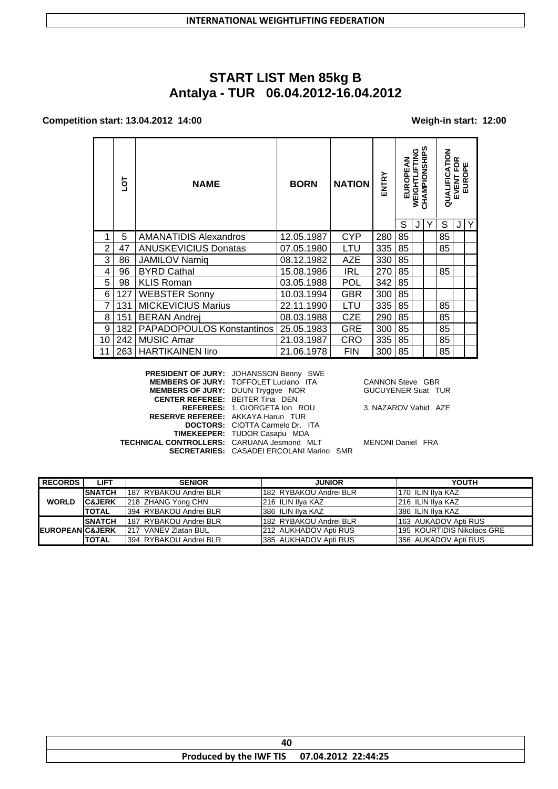# **START LIST Men 85kg B** Antalya - TUR 06.04.2012-16.04.2012

### Competition start: 13.04.2012 14:00

### Weigh-in start: 12:00

|                | ā   | <b>NATION</b><br><b>NAME</b><br><b>BORN</b> |            | ENTRY      | EUROPEAN | <b>WEIGHTLIFTING</b> | CHAMPIONSHIPS | る<br>⋖<br>QUALIFIC | VENT FOR<br>EUROPE<br>EVENT |   |  |
|----------------|-----|---------------------------------------------|------------|------------|----------|----------------------|---------------|--------------------|-----------------------------|---|--|
|                |     |                                             |            |            |          | S                    |               |                    | S                           | J |  |
|                | 5   | AMANATIDIS Alexandros                       | 12.05.1987 | <b>CYP</b> | 280      | 85                   |               |                    | 85                          |   |  |
| $\overline{2}$ | 47  | <b>ANUSKEVICIUS Donatas</b>                 | 07.05.1980 | LTU        | 335      | 85                   |               |                    | 85                          |   |  |
| 3              | 86  | <b>JAMILOV Namiq</b>                        | 08.12.1982 | AZE        | 330      | 85                   |               |                    |                             |   |  |
| 4              | 96  | <b>BYRD Cathal</b>                          | 15.08.1986 | <b>IRL</b> | 270      | 85                   |               |                    | 85                          |   |  |
| 5              | 98  | <b>KLIS Roman</b>                           | 03.05.1988 | <b>POL</b> | 342      | 85                   |               |                    |                             |   |  |
| 6              | 127 | <b>WEBSTER Sonny</b>                        | 10.03.1994 | <b>GBR</b> | 300      | 85                   |               |                    |                             |   |  |
|                | 131 | <b>MICKEVICIUS Marius</b>                   | 22.11.1990 | LTU        | 335      | 85                   |               |                    | 85                          |   |  |
| 8              | 151 | <b>BERAN Andrej</b>                         | 08.03.1988 | <b>CZE</b> | 290      | 85                   |               |                    | 85                          |   |  |
| 9              | 182 | PAPADOPOULOS Konstantinos                   | 25.05.1983 | GRE        | 300      | 85                   |               |                    | 85                          |   |  |
| 10             | 242 | <b>MUSIC Amar</b>                           | 21.03.1987 | CRO        | 335      | 85                   |               |                    | 85                          |   |  |
|                | 263 | <b>HARTIKAINEN liro</b>                     | 21.06.1978 | <b>FIN</b> | 300      | 85                   |               |                    | 85                          |   |  |

|                                                   | <b>PRESIDENT OF JURY: JOHANSSON Benny SWE</b>   |
|---------------------------------------------------|-------------------------------------------------|
|                                                   | <b>MEMBERS OF JURY: TOFFOLET Luciano ITA</b>    |
| <b>MEMBERS OF JURY: DUUN Tryggve NOR</b>          |                                                 |
| <b>CENTER REFEREE: BEITER Tina DEN</b>            |                                                 |
|                                                   | REFEREES: 1. GIORGETA Ion ROU                   |
| <b>RESERVE REFEREE: AKKAYA Harun TUR</b>          |                                                 |
|                                                   | <b>DOCTORS:</b> CIOTTA Carmelo Dr. ITA          |
|                                                   | <b>TIMEKEEPER: TUDOR Casapu MDA</b>             |
| <b>TECHNICAL CONTROLLERS: CARUANA Jesmond MLT</b> |                                                 |
|                                                   | <b>SECRETARIES: CASADEI ERCOLANI Marino SMR</b> |
|                                                   |                                                 |

CANNON Steve GBR<br>GUCUYENER Suat TUR

3. NAZAROV Vahid AZE

MENONI Daniel FRA

| <b>RECORDS</b>              | LIFT              | <b>SENIOR</b>           | <b>JUNIOR</b>          | YOUTH                      |
|-----------------------------|-------------------|-------------------------|------------------------|----------------------------|
|                             | <b>SNATCH</b>     | 187 RYBAKOU Andrei BLR  | 182 RYBAKOU Andrei BLR | 170 ILIN Ilva KAZ          |
| <b>WORLD</b>                | <b>C&amp;JERK</b> | 218 ZHANG Yong CHN      | 1216 ILIN Ilva KAZ     | 216 ILIN Ilva KAZ          |
|                             | <b>TOTAL</b>      | 1394 RYBAKOU Andrei BLR | 386 ILIN IIva KAZ      | 386 ILIN Ilva KAZ          |
|                             | <b>SNATCH</b>     | 187 RYBAKOU Andrei BLR  | 182 RYBAKOU Andrei BLR | 163 AUKADOV Apti RUS       |
| <b>IEUROPEANIC&amp;JERK</b> |                   | 217 VANEV Zlatan BUL    | 212 AUKHADOV Apti RUS  | 195 KOURTIDIS Nikolaos GRE |
|                             | <b>TOTAL</b>      | 1394 RYBAKOU Andrei BLR | 385 AUKHADOV Apti RUS  | I356 AUKADOV Apti RUS      |

| Produced by the IWF TIS 07.04.2012 22:44:25 |  |  |  |  |
|---------------------------------------------|--|--|--|--|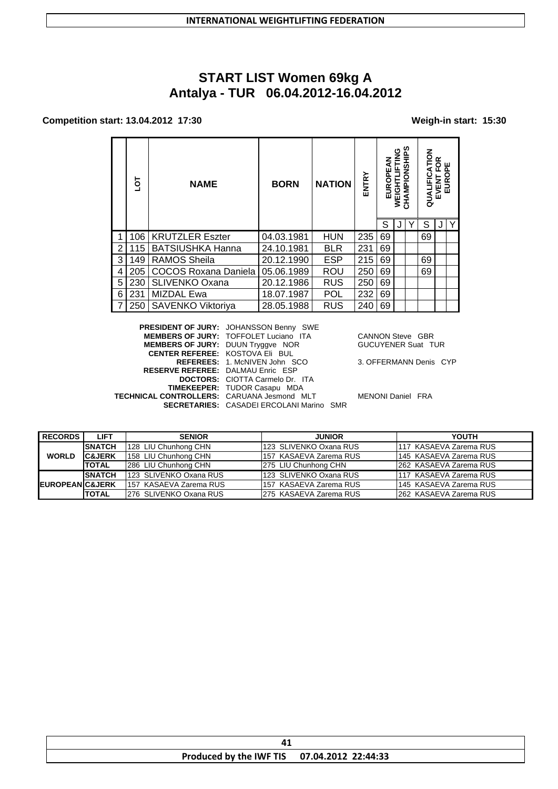# **START LIST Women 69kg A** Antalya - TUR 06.04.2012-16.04.2012

#### Competition start: 13.04.2012 17:30

#### Weigh-in start: 15:30

|   | ā   | <b>NAME</b>             | <b>BORN</b> | <b>NATION</b> | ENTRY | EUROPE | ပ<br><b>WEIGHT</b> | ທ<br>AMPIONSHI | QUALIFICATION | ≃<br>$\circ$<br>EVENT | EUR |
|---|-----|-------------------------|-------------|---------------|-------|--------|--------------------|----------------|---------------|-----------------------|-----|
|   |     |                         |             |               |       | S      |                    |                | S             |                       | Υ   |
|   | 106 | <b>KRUTZLER Eszter</b>  | 04.03.1981  | <b>HUN</b>    | 235   | 69     |                    |                | 69            |                       |     |
| 2 | 115 | <b>BATSIUSHKA Hanna</b> | 24.10.1981  | <b>BLR</b>    | 231   | 69     |                    |                |               |                       |     |
| 3 | 149 | <b>RAMOS Sheila</b>     | 20.12.1990  | <b>ESP</b>    | 215   | 69     |                    |                | 69            |                       |     |
| 4 | 205 | COCOS Roxana Daniela    | 05.06.1989  | ROU           | 250   | 69     |                    |                | 69            |                       |     |
| 5 | 230 | <b>SLIVENKO Oxana</b>   | 20.12.1986  | <b>RUS</b>    | 250   | 69     |                    |                |               |                       |     |
| 6 | 231 | <b>MIZDAL Ewa</b>       | 18.07.1987  | <b>POL</b>    | 232   | 69     |                    |                |               |                       |     |
|   | 250 | SAVENKO Viktoriya       | 28.05.1988  | <b>RUS</b>    | 240   | 69     |                    |                |               |                       |     |

**PRESIDENT OF JURY: JOHANSSON Benny SWE<br>MEMBERS OF JURY: TOFFOLET Luciano ITA** MEMBERS OF JURY: DUUN Tryggve NOR CENTER REFEREE: KOSTOVA Eli BUL REFEREES: 1. McNIVEN John SCO RESERVE REFEREE: DALMAU Enric ESP DOCTORS: CIOTTA Carmelo Dr. ITA<br>TIMEKEEPER: TUDOR Casapu MDA TECHNICAL CONTROLLERS: CARUANA Jesmond MLT SECRETARIES: CASADEI ERCOLANI Marino SMR

CANNON Steve GBR **GUCUYENER Suat TUR** 

3. OFFERMANN Denis CYP

MENONI Daniel FRA

| <b>RECORDS</b>              | <b>LIFT</b>       | <b>SENIOR</b>          | <b>JUNIOR</b>           | <b>YOUTH</b>            |
|-----------------------------|-------------------|------------------------|-------------------------|-------------------------|
|                             | <b>SNATCH</b>     | 128 LIU Chunhong CHN   | 123 SLIVENKO Oxana RUS  | 117 KASAEVA Zarema RUS  |
| <b>WORLD</b>                | <b>C&amp;JERK</b> | 158 LIU Chunhong CHN   | 1157 KASAEVA Zarema RUS | 145 KASAEVA Zarema RUS  |
|                             | <b>ITOTAL</b>     | 286 LIU Chunhong CHN   | 275 LIU Chunhong CHN    | 1262 KASAEVA Zarema RUS |
|                             | <b>SNATCH</b>     | 123 SLIVENKO Oxana RUS | 123 SLIVENKO Oxana RUS  | 1117 KASAEVA Zarema RUS |
| <b>IEUROPEANIC&amp;JERK</b> |                   | 157 KASAEVA Zarema RUS | 157 KASAEVA Zarema RUS  | 145 KASAEVA Zarema RUS  |
|                             | <b>ITOTAL</b>     | 276 SLIVENKO Oxana RUS | 275 KASAEVA Zarema RUS  | 262 KASAEVA Zarema RUS  |

| <b>Produced by the IWF TIS</b> | $07.04.2012$ 22:44:33 |  |  |  |
|--------------------------------|-----------------------|--|--|--|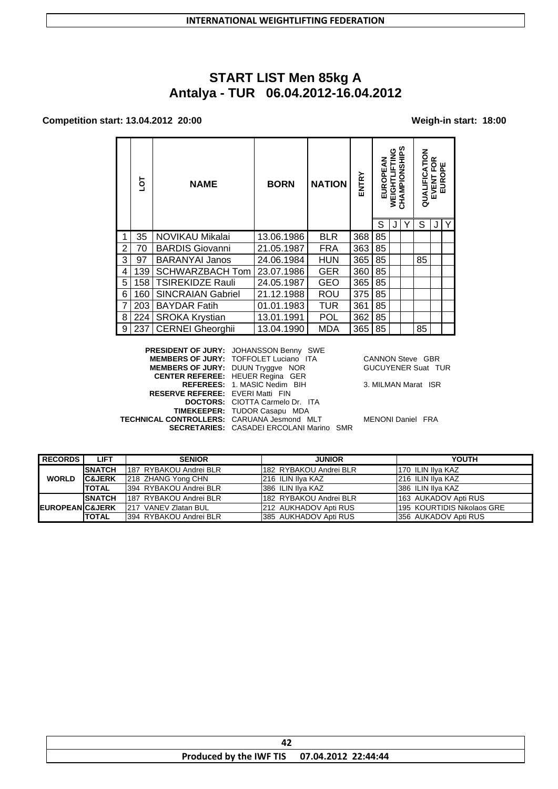# **START LIST Men 85kg A Antalya - TUR 06.04.2012-16.04.2012**

#### **Competition start: 13.04.2012 20:00 Weigh-in start: 18:00**

|   | ō   | <b>NAME</b>              | <b>BORN</b> | <b>NATION</b> | ENTRY | EUROPEAN | WEIGHTLIFTING | CHAMPIONSHIPS | QUALIFICATION | <b>PE</b><br>EVENT F<br>EUROF |   |
|---|-----|--------------------------|-------------|---------------|-------|----------|---------------|---------------|---------------|-------------------------------|---|
|   |     |                          |             |               |       | S        |               | Υ             | S             | J                             | Y |
|   | 35  | NOVIKAU Mikalai          | 13.06.1986  | <b>BLR</b>    | 368   | 85       |               |               |               |                               |   |
| 2 | 70  | <b>BARDIS Giovanni</b>   | 21.05.1987  | <b>FRA</b>    | 363   | 85       |               |               |               |                               |   |
| 3 | 97  | <b>BARANYAI Janos</b>    | 24.06.1984  | <b>HUN</b>    | 365   | 85       |               |               | 85            |                               |   |
| 4 | 139 | <b>SCHWARZBACH Tom</b>   | 23.07.1986  | <b>GER</b>    | 360   | 85       |               |               |               |                               |   |
| 5 | 158 | TSIREKIDZE Rauli         | 24.05.1987  | GEO           | 365   | 85       |               |               |               |                               |   |
| 6 | 160 | <b>SINCRAIAN Gabriel</b> | 21.12.1988  | ROU           | 375   | 85       |               |               |               |                               |   |
| 7 | 203 | <b>BAYDAR Fatih</b>      | 01.01.1983  | <b>TUR</b>    | 361   | 85       |               |               |               |                               |   |
| 8 | 224 | <b>SROKA Krystian</b>    | 13.01.1991  | <b>POL</b>    | 362   | 85       |               |               |               |                               |   |
| 9 | 237 | <b>CERNEI Gheorghii</b>  | 13.04.1990  | <b>MDA</b>    | 365   | 85       |               |               | 85            |                               |   |

**PRESIDENT OF JURY:** JOHANSSON Benny SWE **MEMBERS OF JURY:** TOFFOLET Luciano ITA CANNON Steve GBR **MEMBERS OF JURY:** DUUN Tryggve NOR GUCUYENER Suat TUR **CENTER REFEREE:** HEUER Regina GER **REFEREES:** 1. MASIC Nedim BIH 3. MILMAN Marat ISR **RESERVE REFEREE:** EVERI Matti FIN **DOCTORS:** CIOTTA Carmelo Dr. ITA **TIMEKEEPER:** TUDOR Casapu MDA **TECHNICAL CONTROLLERS:** CARUANA Jesmond MLT MENONI Daniel FRA **SECRETARIES:** CASADEI ERCOLANI Marino SMR

| <b>RECORDS</b>              | <b>LIFT</b>       | <b>SENIOR</b>           | <b>JUNIOR</b>           | YOUTH                      |
|-----------------------------|-------------------|-------------------------|-------------------------|----------------------------|
|                             | <b>SNATCH</b>     | 187 RYBAKOU Andrei BLR  | 1182 RYBAKOU Andrei BLR | I170 ILIN Ilva KAZ         |
| <b>WORLD</b>                | <b>C&amp;JERK</b> | 218 ZHANG Yong CHN      | 216 ILIN Ilya KAZ       | 216 ILIN Ilya KAZ          |
|                             | <b>TOTAL</b>      | 1394 RYBAKOU Andrei BLR | 1386 ILIN IIva KAZ      | 1386 ILIN IIva KAZ         |
|                             | <b>SNATCH</b>     | 187 RYBAKOU Andrei BLR  | 182 RYBAKOU Andrei BLR  | 163 AUKADOV Apti RUS       |
| <b>IEUROPEANIC&amp;JERK</b> |                   | 1217 VANEV Zlatan BUL   | 212 AUKHADOV Apti RUS   | 195 KOURTIDIS Nikolaos GRE |
|                             | <b>TOTAL</b>      | 1394 RYBAKOU Andrei BLR | I385 AUKHADOV Apti RUS  | 356 AUKADOV Apti RUS       |

| Produced by the IWF TIS 07.04.2012 22:44:44 |  |  |  |  |
|---------------------------------------------|--|--|--|--|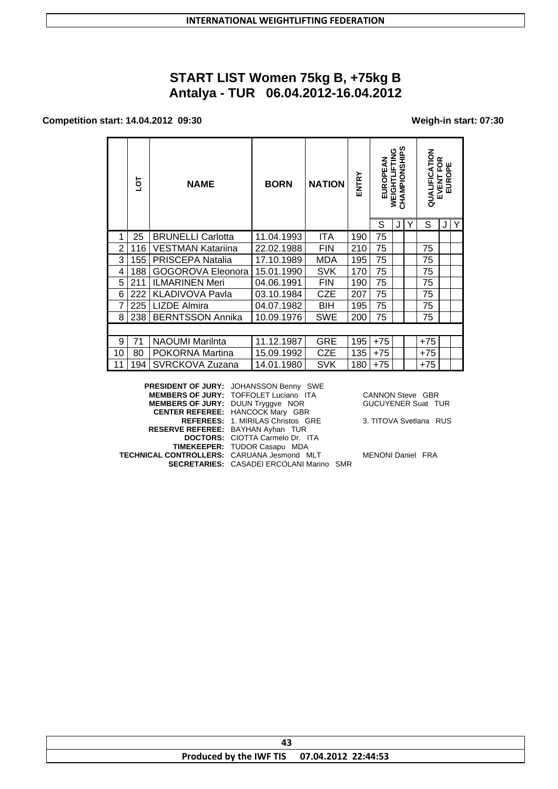# **START LIST Women 75kg B, +75kg B Antalya - TUR 06.04.2012-16.04.2012**

### **Competition start: 14.04.2012 09:30 Weigh-in start: 07:30**

|    | ō٦  | <b>NAME</b>              | <b>BORN</b> | <b>NATION</b> | ENTRY | EUROPEAN | CHAMPIONSHIPS<br>WEIGHTLIFTING |   | QUALIFICATION | ≃<br>O<br>VENT FOI<br>EUROPE<br>EVENT |   |
|----|-----|--------------------------|-------------|---------------|-------|----------|--------------------------------|---|---------------|---------------------------------------|---|
|    |     |                          |             |               |       | S        | J                              | Υ | S             | J                                     | Υ |
| 1  | 25  | <b>BRUNELLI Carlotta</b> | 11.04.1993  | <b>ITA</b>    | 190   | 75       |                                |   |               |                                       |   |
| 2  | 116 | VESTMAN Katariina        | 22.02.1988  | <b>FIN</b>    | 210   | 75       |                                |   | 75            |                                       |   |
| 3  | 155 | PRISCEPA Natalia         | 17.10.1989  | MDA           | 195   | 75       |                                |   | 75            |                                       |   |
| 4  | 188 | GOGOROVA Eleonora        | 15.01.1990  | <b>SVK</b>    | 170   | 75       |                                |   | 75            |                                       |   |
| 5  | 211 | <b>ILMARINEN Meri</b>    | 04.06.1991  | <b>FIN</b>    | 190   | 75       |                                |   | 75            |                                       |   |
| 6  | 222 | <b>KLADIVOVA Pavla</b>   | 03.10.1984  | <b>CZE</b>    | 207   | 75       |                                |   | 75            |                                       |   |
| 7  | 225 | <b>LIZDE Almira</b>      | 04.07.1982  | <b>BIH</b>    | 195   | 75       |                                |   | 75            |                                       |   |
| 8  | 238 | <b>BERNTSSON Annika</b>  | 10.09.1976  | SWE           | 200   | 75       |                                |   | 75            |                                       |   |
|    |     |                          |             |               |       |          |                                |   |               |                                       |   |
| 9  | 71  | <b>NAOUMI Marilnta</b>   | 11.12.1987  | <b>GRE</b>    | 195   | $+75$    |                                |   | $+75$         |                                       |   |
| 10 | 80  | POKORNA Martina          | 15.09.1992  | <b>CZE</b>    | 135   | $+75$    |                                |   | $+75$         |                                       |   |
| 11 | 194 | SVRCKOVA Zuzana          | 14.01.1980  | SVK           | 180   | $+75$    |                                |   | +75           |                                       |   |
|    |     |                          |             |               |       |          |                                |   |               |                                       |   |

|                                                   | PRESIDENT OF JURY: JOHANSSON Benny SWE          |
|---------------------------------------------------|-------------------------------------------------|
|                                                   | <b>MEMBERS OF JURY: TOFFOLET Luciano ITA</b>    |
| <b>MEMBERS OF JURY: DUUN Tryggve NOR</b>          |                                                 |
|                                                   | <b>CENTER REFEREE: HANCOCK Mary GBR</b>         |
|                                                   | REFEREES: 1. MIRILAS Christos GRE               |
| <b>RESERVE REFEREE: BAYHAN Ayhan TUR</b>          |                                                 |
|                                                   | <b>DOCTORS: CIOTTA Carmelo Dr. ITA</b>          |
|                                                   | <b>TIMEKEEPER: TUDOR Casapu MDA</b>             |
| <b>FECHNICAL CONTROLLERS: CARUANA Jesmond MLT</b> |                                                 |
|                                                   | <b>SECRETARIES:</b> CASADEI ERCOLANI Marino SMR |

CANNON Steve GBR GUCUYENER Suat TUR

3. TITOVA Svetlana RUS

**TENONI Daniel FRA**<br> **R** 

| Produced by the IWF TIS 07.04.2012 22:44:53 |  |  |  |  |
|---------------------------------------------|--|--|--|--|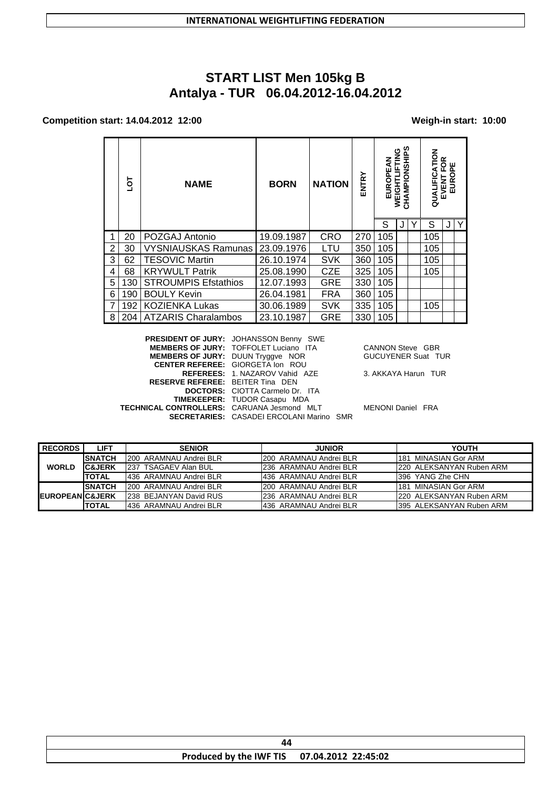# **START LIST Men 105kg B Antalya - TUR 06.04.2012-16.04.2012**

### **Competition start: 14.04.2012 12:00 Weigh-in start: 10:00**

|   | ā   | <b>NAME</b>                 | <b>BORN</b> | <b>NATION</b> | ENTRY | ξ<br>EUROPI | CHAMPIONSHIPS<br>WEIGHTLIFTING | $\overline{6}$<br>QUALI | ≃<br>o<br><b>EUROP</b><br>EVENT |   |
|---|-----|-----------------------------|-------------|---------------|-------|-------------|--------------------------------|-------------------------|---------------------------------|---|
|   |     |                             |             |               |       | S           |                                | S                       |                                 | Y |
|   | 20  | POZGAJ Antonio              | 19.09.1987  | <b>CRO</b>    | 270   | 105         |                                | 105                     |                                 |   |
| 2 | 30  | <b>VYSNIAUSKAS Ramunas</b>  | 23.09.1976  | LTU           | 350   | 105         |                                | 105                     |                                 |   |
| 3 | 62  | <b>TESOVIC Martin</b>       | 26.10.1974  | <b>SVK</b>    | 360   | 105         |                                | 105                     |                                 |   |
| 4 | 68  | <b>KRYWULT Patrik</b>       | 25.08.1990  | <b>CZE</b>    | 325   | 105         |                                | 105                     |                                 |   |
| 5 | 130 | <b>STROUMPIS Efstathios</b> | 12.07.1993  | <b>GRE</b>    | 330   | 105         |                                |                         |                                 |   |
| 6 | 190 | <b>BOULY Kevin</b>          | 26.04.1981  | <b>FRA</b>    | 360   | 105         |                                |                         |                                 |   |
|   | 192 | <b>KOZIENKA Lukas</b>       | 30.06.1989  | <b>SVK</b>    | 335   | 105         |                                | 105                     |                                 |   |
| 8 | 204 | <b>ATZARIS Charalambos</b>  | 23.10.1987  | <b>GRE</b>    | 330   | 105         |                                |                         |                                 |   |

| <b>MEMBERS OF JURY: TOFFOLET Luciano ITA</b>      |                                               | <b>CANNON Steve GBR</b>                         |
|---------------------------------------------------|-----------------------------------------------|-------------------------------------------------|
| <b>MEMBERS OF JURY: DUUN Tryggve NOR</b>          |                                               | <b>GUCUYENER Suat TUR</b>                       |
| <b>CENTER REFEREE: GIORGETA Ion ROU</b>           |                                               |                                                 |
| REFEREES: 1. NAZAROV Vahid AZE                    |                                               | 3. AKKAYA Harun TUR                             |
| <b>RESERVE REFEREE: BEITER Tina DEN</b>           |                                               |                                                 |
| <b>DOCTORS:</b> CIOTTA Carmelo Dr. ITA            |                                               |                                                 |
| <b>TIMEKEEPER: TUDOR Casapu MDA</b>               |                                               |                                                 |
| <b>TECHNICAL CONTROLLERS: CARUANA Jesmond MLT</b> |                                               | <b>MENONI Daniel FRA</b>                        |
|                                                   |                                               |                                                 |
|                                                   | <b>PRESIDENT OF JURY: JOHANSSON Benny SWE</b> | <b>SECRETARIES: CASADEI ERCOLANI Marino SMR</b> |

| <b>RECORDS</b>              | LIFT              | <b>SENIOR</b>           | <b>JUNIOR</b>           | YOUTH                     |
|-----------------------------|-------------------|-------------------------|-------------------------|---------------------------|
|                             | <b>ISNATCH</b>    | 1200 ARAMNAU Andrei BLR | 200 ARAMNAU Andrei BLR  | 1181 MINASIAN Gor ARM     |
| <b>WORLD</b>                | <b>C&amp;JERK</b> | 237 TSAGAEV Alan BUL    | 1236 ARAMNAU Andrei BLR | 220 ALEKSANYAN Ruben ARM  |
|                             | <b>TOTAL</b>      | 1436 ARAMNAU Andrei BLR | 436 ARAMNAU Andrei BLR  | 1396 YANG Zhe CHN         |
|                             | <b>ISNATCH</b>    | 1200 ARAMNAU Andrei BLR | 200 ARAMNAU Andrei BLR  | 1181 MINASIAN Gor ARM     |
| <b>IEUROPEANIC&amp;JERK</b> |                   | 238 BEJANYAN David RUS  | 236 ARAMNAU Andrei BLR  | 220 ALEKSANYAN Ruben ARM  |
|                             | <b>TOTAL</b>      | 1436 ARAMNAU Andrei BLR | 1436 ARAMNAU Andrei BLR | 1395 ALEKSANYAN Ruben ARM |

| Produced by the IWF TIS 07.04.2012 22:45:02 |  |  |  |  |
|---------------------------------------------|--|--|--|--|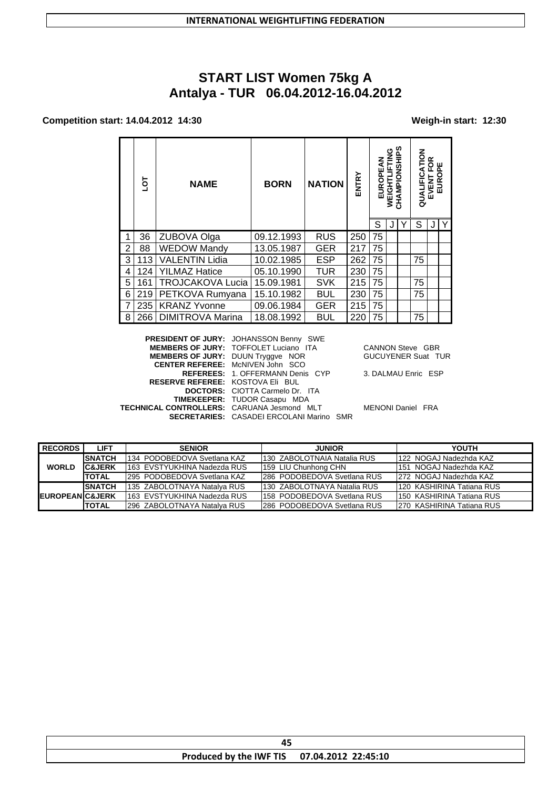# **START LIST Women 75kg A Antalya - TUR 06.04.2012-16.04.2012**

### **Competition start: 14.04.2012 14:30 Weigh-in start: 12:30**

|   | ō   | <b>NAME</b>             | <b>BORN</b> | <b>NATION</b> | ENTRY | <b>EUROPEAN</b> | WEIGHTLIFTING | ທ<br>CHAMPIONSHIP | QUALIFICATION | TFOR<br>10PE<br><b>EVENT</b><br>EUROI |   |
|---|-----|-------------------------|-------------|---------------|-------|-----------------|---------------|-------------------|---------------|---------------------------------------|---|
|   |     |                         |             |               |       | S               |               |                   | S             |                                       | Υ |
| 1 | 36  | ZUBOVA Olga             | 09.12.1993  | <b>RUS</b>    | 250   | 75              |               |                   |               |                                       |   |
| 2 | 88  | <b>WEDOW Mandy</b>      | 13.05.1987  | <b>GER</b>    | 217   | 75              |               |                   |               |                                       |   |
| 3 | 113 | <b>VALENTIN Lidia</b>   | 10.02.1985  | <b>ESP</b>    | 262   | 75              |               |                   | 75            |                                       |   |
| 4 | 124 | <b>YILMAZ Hatice</b>    | 05.10.1990  | <b>TUR</b>    | 230   | 75              |               |                   |               |                                       |   |
| 5 | 161 | <b>TROJCAKOVA Lucia</b> | 15.09.1981  | <b>SVK</b>    | 215   | 75              |               |                   | 75            |                                       |   |
| 6 | 219 | PETKOVA Rumyana         | 15.10.1982  | <b>BUL</b>    | 230   | 75              |               |                   | 75            |                                       |   |
| 7 | 235 | <b>KRANZ Yvonne</b>     | 09.06.1984  | <b>GER</b>    | 215   | 75              |               |                   |               |                                       |   |
| 8 | 266 | <b>DIMITROVA Marina</b> | 18.08.1992  | <b>BUL</b>    | 220   | 75              |               |                   | 75            |                                       |   |

|                                            | <b>PRESIDENT OF JURY: JOHANSSON Benny SWE</b>   |                           |
|--------------------------------------------|-------------------------------------------------|---------------------------|
|                                            | <b>MEMBERS OF JURY: TOFFOLET Luciano ITA</b>    | <b>CANNON Steve GBR</b>   |
| <b>MEMBERS OF JURY: DUUN Tryggve NOR</b>   |                                                 | <b>GUCUYENER Suat TUR</b> |
|                                            | <b>CENTER REFEREE: McNIVEN John SCO</b>         |                           |
|                                            | <b>REFEREES: 1. OFFERMANN Denis CYP</b>         | 3. DALMAU Enric ESP       |
| <b>RESERVE REFEREE: KOSTOVA EII BUL</b>    |                                                 |                           |
|                                            | <b>DOCTORS:</b> CIOTTA Carmelo Dr. ITA          |                           |
|                                            | <b>TIMEKEEPER: TUDOR Casapu MDA</b>             |                           |
| TECHNICAL CONTROLLERS: CARUANA Jesmond MLT |                                                 | <b>MENONI Daniel FRA</b>  |
|                                            | <b>SECRETARIES: CASADEI ERCOLANI Marino SMR</b> |                           |
|                                            |                                                 |                           |

| <b>RECORDS</b>              | <b>LIFT</b>       | <b>SENIOR</b>                | <b>JUNIOR</b>                | YOUTH                      |
|-----------------------------|-------------------|------------------------------|------------------------------|----------------------------|
|                             | <b>ISNATCH</b>    | 134 PODOBEDOVA Svetlana KAZ  | 1130 ZABOLOTNAIA Natalia RUS | 122 NOGAJ Nadezhda KAZ     |
| <b>WORLD</b>                | <b>C&amp;JERK</b> | 1163 EVSTYUKHINA Nadezda RUS | 159 LIU Chunhong CHN         | 1151 NOGAJ Nadezhda KAZ    |
|                             | <b>ITOTAL</b>     | 1295 PODOBEDOVA Svetlana KAZ | 1286 PODOBEDOVA Svetlana RUS | 272 NOGAJ Nadezhda KAZ     |
|                             | <b>ISNATCH</b>    | 135 ZABOLOTNAYA Natalva RUS  | 1130 ZABOLOTNAYA Natalia RUS | 1120 KASHIRINA Tatiana RUS |
| <b>IEUROPEANIC&amp;JERK</b> |                   | 1163 EVSTYUKHINA Nadezda RUS | 1158 PODOBEDOVA Svetlana RUS | 1150 KASHIRINA Tatiana RUS |
|                             | <b>ITOTAL</b>     | 296 ZABOLOTNAYA Natalva RUS  | 286 PODOBEDOVA Svetlana RUS  | 1270 KASHIRINA Tatiana RUS |

| Produced by the IWF TIS 07.04.2012 22:45:10 |  |
|---------------------------------------------|--|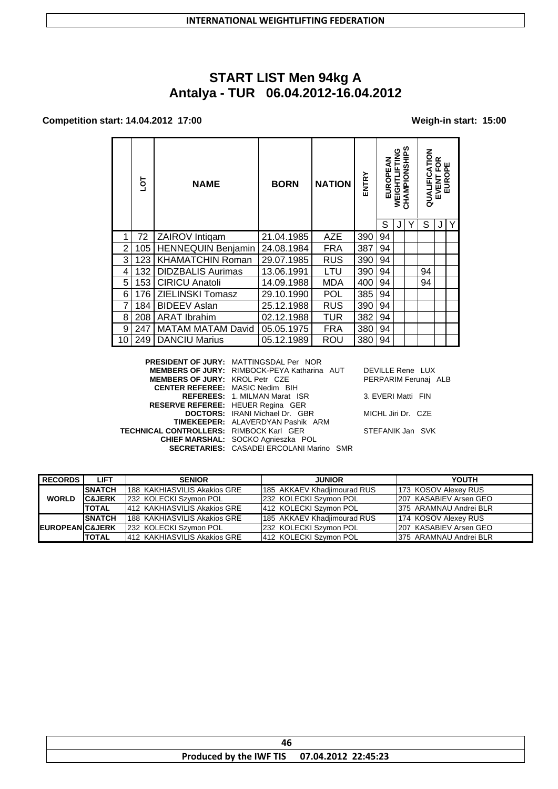# **START LIST Men 94kg A Antalya - TUR 06.04.2012-16.04.2012**

### **Competition start: 14.04.2012 17:00 Weigh-in start: 15:00**

|   | ā   | <b>NAME</b>               | <b>BORN</b> | <b>NATION</b> | ENTRY | ξ<br>EUROPE | DNIL-I<br><b>WEIGHTL</b> | CHAMPIONSHIPS | <b>NOLY</b><br>QUALIFIC | ≃<br>οш<br>EVENT FO<br>EUROPI |  |
|---|-----|---------------------------|-------------|---------------|-------|-------------|--------------------------|---------------|-------------------------|-------------------------------|--|
|   |     |                           |             |               |       | S           |                          |               | S                       |                               |  |
| 1 | 72  | <b>ZAIROV</b> Intigam     | 21.04.1985  | AZE           | 390   | 94          |                          |               |                         |                               |  |
| 2 | 105 | <b>HENNEQUIN Benjamin</b> | 24.08.1984  | <b>FRA</b>    | 387   | 94          |                          |               |                         |                               |  |
| 3 | 123 | <b>KHAMATCHIN Roman</b>   | 29.07.1985  | <b>RUS</b>    | 390   | 94          |                          |               |                         |                               |  |
| 4 | 132 | <b>DIDZBALIS Aurimas</b>  | 13.06.1991  | LTU           | 390   | 94          |                          |               | 94                      |                               |  |
| 5 | 153 | <b>CIRICU Anatoli</b>     | 14.09.1988  | <b>MDA</b>    | 400   | 94          |                          |               | 94                      |                               |  |
| 6 | 176 | ZIELINSKI Tomasz          | 29.10.1990  | POL           | 385   | 94          |                          |               |                         |                               |  |
| 7 | 184 | <b>BIDEEV Aslan</b>       | 25.12.1988  | <b>RUS</b>    | 390   | 94          |                          |               |                         |                               |  |
| 8 | 208 | <b>ARAT Ibrahim</b>       | 02.12.1988  | TUR           | 382   | 94          |                          |               |                         |                               |  |
| 9 | 247 | <b>MATAM MATAM David</b>  | 05.05.1975  | <b>FRA</b>    | 380   | 94          |                          |               |                         |                               |  |
|   | 249 | <b>DANCIU Marius</b>      | 05.12.1989  | ROU           | 380   | 94          |                          |               |                         |                               |  |

|                                                | <b>PRESIDENT OF JURY: MATTINGSDAL Per NOR</b>   |                      |
|------------------------------------------------|-------------------------------------------------|----------------------|
|                                                | MEMBERS OF JURY: RIMBOCK-PEYA Katharina AUT     | DEVILLE Rene LUX     |
| <b>MEMBERS OF JURY: KROL Petr CZE</b>          |                                                 | PERPARIM Ferunai ALB |
| <b>CENTER REFEREE: MASIC Nedim BIH</b>         |                                                 |                      |
|                                                | <b>REFEREES: 1. MILMAN Marat ISR</b>            | 3. EVERI Matti FIN   |
| RESERVE REFEREE: HEUER Regina GER              |                                                 |                      |
|                                                | <b>DOCTORS:</b> IRANI Michael Dr. GBR           | MICHL Jiri Dr. CZE   |
|                                                | TIMEKEEPER: ALAVERDYAN Pashik ARM               |                      |
| <b>TECHNICAL CONTROLLERS: RIMBOCK Karl GER</b> |                                                 | STEFANIK Jan SVK     |
|                                                | CHIEF MARSHAL: SOCKO Agnieszka POL              |                      |
|                                                | <b>SECRETARIES: CASADEI ERCOLANI Marino SMR</b> |                      |
|                                                |                                                 |                      |

| <b>RECORDS</b>             | <b>LIFT</b>       | <b>SENIOR</b>                       | <b>JUNIOR</b>               | <b>YOUTH</b>            |
|----------------------------|-------------------|-------------------------------------|-----------------------------|-------------------------|
|                            | <b>SNATCH</b>     | <b>188 KAKHIASVILIS Akakios GRE</b> | 185 AKKAEV Khadjimourad RUS | 173 KOSOV Alexey RUS    |
| <b>WORLD</b>               | <b>C&amp;JERK</b> | 1232 KOLECKI Szymon POL             | 232 KOLECKI Szymon POL      | 207 KASABIEV Arsen GEO  |
|                            | <b>TOTAL</b>      | 412 KAKHIASVILIS Akakios GRE        | 412 KOLECKI Szymon POL      | 375 ARAMNAU Andrei BLR  |
|                            | <b>SNATCH</b>     | <b>188 KAKHIASVILIS Akakios GRE</b> | 185 AKKAEV Khadjimourad RUS | 174 KOSOV Alexey RUS    |
| <b>EUROPEANIC&amp;JERK</b> |                   | 232 KOLECKI Szymon POL              | 232 KOLECKI Szymon POL      | 207 KASABIEV Arsen GEO  |
|                            | <b>TOTAL</b>      | 412 KAKHIASVILIS Akakios GRE        | 412 KOLECKI Szymon POL      | 1375 ARAMNAU Andrei BLR |

| Produced by the IWF TIS 07.04.2012 22:45:23 |
|---------------------------------------------|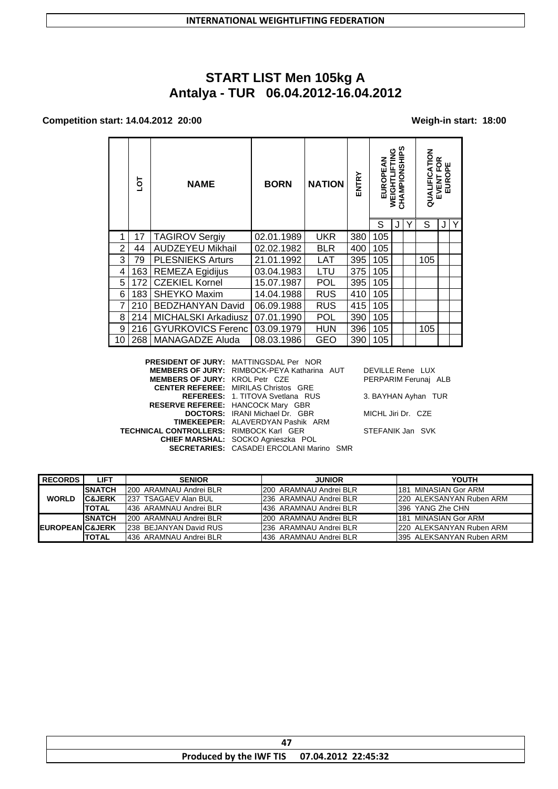# **START LIST Men 105kg A Antalya - TUR 06.04.2012-16.04.2012**

### **Competition start: 14.04.2012 20:00 Weigh-in start: 18:00**

|                | ā   | <b>NAME</b>                | <b>BORN</b> | <b>NATION</b> | ENTRY | EUROPEAN | CHAMPIONSHIPS<br>WEIGHTLIFTING | <b>ATION</b><br>QUALIFIC | ≃<br>O<br>ш<br><b>VENT F(</b><br>EUROPI<br>EVENT |  |
|----------------|-----|----------------------------|-------------|---------------|-------|----------|--------------------------------|--------------------------|--------------------------------------------------|--|
|                |     |                            |             |               |       | S        |                                | S                        |                                                  |  |
| 1              | 17  | <b>TAGIROV Sergiy</b>      | 02.01.1989  | <b>UKR</b>    | 380   | 105      |                                |                          |                                                  |  |
| $\overline{2}$ | 44  | <b>AUDZEYEU Mikhail</b>    | 02.02.1982  | <b>BLR</b>    | 400   | 105      |                                |                          |                                                  |  |
| 3              | 79  | <b>PLESNIEKS Arturs</b>    | 21.01.1992  | LAT           | 395   | 105      |                                | 105                      |                                                  |  |
| 4              | 163 | <b>REMEZA Egidijus</b>     | 03.04.1983  | LTU           | 375   | 105      |                                |                          |                                                  |  |
| 5              | 172 | <b>CZEKIEL Kornel</b>      | 15.07.1987  | <b>POL</b>    | 395   | 105      |                                |                          |                                                  |  |
| 6              | 183 | SHEYKO Maxim               | 14.04.1988  | <b>RUS</b>    | 410   | 105      |                                |                          |                                                  |  |
| 7              | 210 | <b>BEDZHANYAN David</b>    | 06.09.1988  | <b>RUS</b>    | 415   | 105      |                                |                          |                                                  |  |
| 8              | 214 | <b>MICHALSKI Arkadiusz</b> | 07.01.1990  | <b>POL</b>    | 390   | 105      |                                |                          |                                                  |  |
| 9              | 216 | <b>GYURKOVICS Ferenc</b>   | 03.09.1979  | <b>HUN</b>    | 396   | 105      |                                | 105                      |                                                  |  |
| 10             | 268 | MANAGADZE Aluda            | 08.03.1986  | GEO           | 390   | 105      |                                |                          |                                                  |  |

|                                                | <b>PRESIDENT OF JURY: MATTINGSDAL Per NOR</b>   |                      |
|------------------------------------------------|-------------------------------------------------|----------------------|
|                                                | MEMBERS OF JURY: RIMBOCK-PEYA Katharina AUT     | DEVILLE Rene LUX     |
| <b>MEMBERS OF JURY: KROL Petr CZE</b>          |                                                 | PERPARIM Ferunaj ALB |
|                                                | <b>CENTER REFEREE: MIRILAS Christos GRE</b>     |                      |
|                                                | <b>REFEREES: 1. TITOVA Svetlana RUS</b>         | 3. BAYHAN Ayhan TUR  |
|                                                | <b>RESERVE REFEREE: HANCOCK Mary GBR</b>        |                      |
|                                                | <b>DOCTORS:</b> IRANI Michael Dr. GBR           | MICHL Jiri Dr. CZE   |
|                                                | <b>TIMEKEEPER:</b> ALAVERDYAN Pashik ARM        |                      |
| <b>TECHNICAL CONTROLLERS: RIMBOCK Karl GER</b> |                                                 | STEFANIK Jan SVK     |
|                                                | CHIEF MARSHAL: SOCKO Agnieszka POL              |                      |
|                                                | <b>SECRETARIES: CASADEI ERCOLANI Marino SMR</b> |                      |
|                                                |                                                 |                      |

| <b>RECORDS</b>              | LIFT               | <b>SENIOR</b>           | <b>JUNIOR</b>           | <b>YOUTH</b>              |
|-----------------------------|--------------------|-------------------------|-------------------------|---------------------------|
|                             | <b>SNATCH</b>      | I200 ARAMNAU Andrei BLR | 1200 ARAMNAU Andrei BLR | 181 MINASIAN Gor ARM      |
| <b>WORLD</b>                | <b>IC&amp;JERK</b> | 1237 TSAGAEV Alan BUL   | 236 ARAMNAU Andrei BLR  | 220 ALEKSANYAN Ruben ARM  |
|                             | <b>TOTAL</b>       | 436 ARAMNAU Andrei BLR  | 436 ARAMNAU Andrei BLR  | I396 YANG Zhe CHN         |
|                             | <b>ISNATCH</b>     | 200 ARAMNAU Andrei BLR  | 200 ARAMNAU Andrei BLR  | 181 MINASIAN Gor ARM      |
| <b>IEUROPEANIC&amp;JERK</b> |                    | 1238 BEJANYAN David RUS | 236 ARAMNAU Andrei BLR  | 220 ALEKSANYAN Ruben ARM  |
|                             | <b>TOTAL</b>       | 1436 ARAMNAU Andrei BLR | 436 ARAMNAU Andrei BLR  | I395 ALEKSANYAN Ruben ARM |

|  | Produced by the IWF TIS 07.04.2012 22:45:32 |  |  |  |
|--|---------------------------------------------|--|--|--|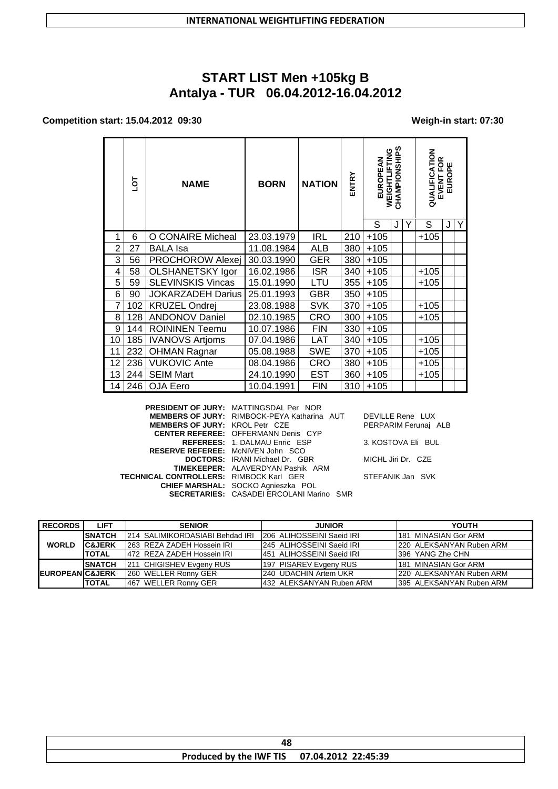# **START LIST Men +105kg B Antalya - TUR 06.04.2012-16.04.2012**

#### **Competition start: 15.04.2012 09:30 Weigh-in start: 07:30**

|                | ā   | <b>NAME</b>              | <b>BORN</b> | <b>NATION</b> | ENTRY | CHAMPIONSHIPS<br>WEIGHTLIFTING<br>EUROPEAN |   | QUALIFICATION | EVENT FOR<br>EUROPE |   |   |
|----------------|-----|--------------------------|-------------|---------------|-------|--------------------------------------------|---|---------------|---------------------|---|---|
|                |     |                          |             |               |       | S                                          | J | Υ             | S                   | J | Y |
| 1              | 6   | O CONAIRE Micheal        | 23.03.1979  | <b>IRL</b>    | 210   | $+105$                                     |   |               | $+105$              |   |   |
| $\overline{2}$ | 27  | <b>BALA</b> Isa          | 11.08.1984  | ALB           | 380   | $+105$                                     |   |               |                     |   |   |
| 3              | 56  | <b>PROCHOROW Alexej</b>  | 30.03.1990  | <b>GER</b>    | 380   | $+105$                                     |   |               |                     |   |   |
| 4              | 58  | <b>OLSHANETSKY Igor</b>  | 16.02.1986  | <b>ISR</b>    | 340   | $+105$                                     |   |               | $+105$              |   |   |
| 5              | 59  | <b>SLEVINSKIS Vincas</b> | 15.01.1990  | LTU           | 355   | $+105$                                     |   |               | +105                |   |   |
| 6              | 90  | <b>JOKARZADEH Darius</b> | 25.01.1993  | <b>GBR</b>    | 350   | $+105$                                     |   |               |                     |   |   |
| 7              | 102 | <b>KRUZEL Ondrej</b>     | 23.08.1988  | <b>SVK</b>    | 370   | $+105$                                     |   |               | $+105$              |   |   |
| 8              | 128 | <b>ANDONOV Daniel</b>    | 02.10.1985  | CRO           | 300   | $+105$                                     |   |               | +105                |   |   |
| 9              | 144 | <b>ROININEN Teemu</b>    | 10.07.1986  | <b>FIN</b>    | 330   | $+105$                                     |   |               |                     |   |   |
| 10             | 185 | <b>IVANOVS Artioms</b>   | 07.04.1986  | <b>LAT</b>    | 340   | $+105$                                     |   |               | $+105$              |   |   |
| 11             | 232 | <b>OHMAN Ragnar</b>      | 05.08.1988  | <b>SWE</b>    | 370   | $+105$                                     |   |               | $+105$              |   |   |
| 12             | 236 | <b>VUKOVIC Ante</b>      | 08.04.1986  | <b>CRO</b>    | 380   | $+105$                                     |   |               | $+105$              |   |   |
| 13             | 244 | <b>SEIM Mart</b>         | 24.10.1990  | <b>EST</b>    | 360   | $+105$                                     |   |               | $+105$              |   |   |
| 14             | 246 | OJA Eero                 | 10.04.1991  | <b>FIN</b>    | 310   | $+105$                                     |   |               |                     |   |   |

**PRESIDENT OF JURY:** MATTINGSDAL Per NOR **MEMBERS OF JURY:** RIMBOCK-PEYA Katharina AUT DEVILLE Rene LUX **MEMBERS OF JURY:** KROL Petr CZE PERPARIM Ferunaj ALB **CENTER REFEREE:** OFFERMANN Denis CYP **REFEREES:** 1. DALMAU Enric ESP 3. KOSTOVA Eli BUL **RESERVE REFEREE:** McNIVEN John SCO **DOCTORS:** IRANI Michael Dr. GBR MICHL Jiri Dr. CZE **TIMEKEEPER:** ALAVERDYAN Pashik ARM **TECHNICAL CONTROLLERS:** RIMBOCK Karl GER STEFANIK Jan SVK **CHIEF MARSHAL:** SOCKO Agnieszka POL **SECRETARIES:** CASADEI ERCOLANI Marino SMR

| <b>RECORDS</b>              | <b>LIFT</b>       | <b>SENIOR</b>                   | <b>JUNIOR</b>              | <b>YOUTH</b>              |
|-----------------------------|-------------------|---------------------------------|----------------------------|---------------------------|
|                             | <b>SNATCH</b>     | 214 SALIMIKORDASIABI Behdad IRI | 1206 ALIHOSSEINI Saeid IRI | 1181 MINASIAN Gor ARM     |
| <b>WORLD</b>                | <b>C&amp;JERK</b> | 1263 REZA ZADEH Hossein IRI     | 1245 ALIHOSSEINI Saeid IRI | 220 ALEKSANYAN Ruben ARM  |
|                             | <b>TOTAL</b>      | 472 REZA ZADEH Hossein IRI      | 451 ALIHOSSEINI Saeid IRI  | 1396 YANG Zhe CHN         |
|                             | <b>SNATCH</b>     | 211 CHIGISHEV Evgeny RUS        | 197 PISAREV Evgeny RUS     | 181 MINASIAN Gor ARM      |
| <b>IEUROPEANIC&amp;JERK</b> |                   | 260 WELLER Ronny GER            | 240 UDACHIN Artem UKR      | 220 ALEKSANYAN Ruben ARM  |
|                             | <b>TOTAL</b>      | 467 WELLER Ronny GER            | 432 ALEKSANYAN Ruben ARM   | 1395 ALEKSANYAN Ruben ARM |

| Produced by the IWF TIS 07.04.2012 22:45:39 |  |  |  |
|---------------------------------------------|--|--|--|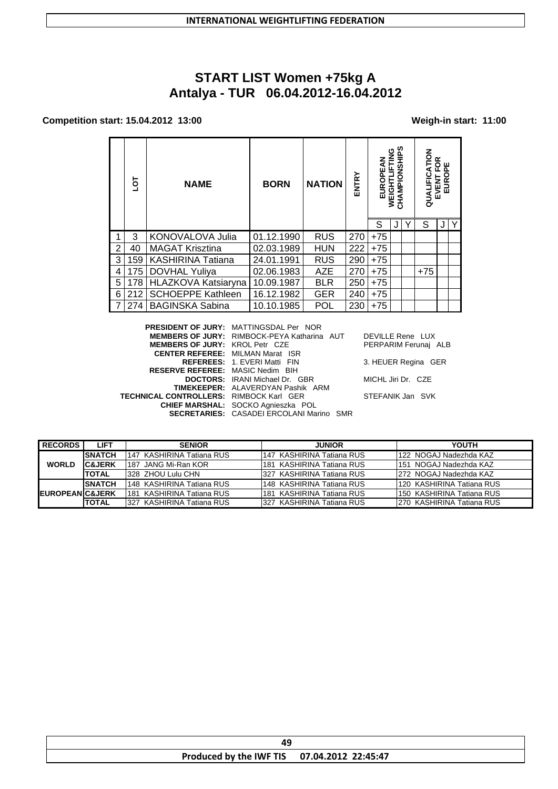# **START LIST Women +75kg A Antalya - TUR 06.04.2012-16.04.2012**

### **Competition start: 15.04.2012 13:00 Weigh-in start: 11:00**

|                | ā   | <b>NAME</b>              | <b>BORN</b> | <b>NATION</b> | ENTRY |       | <b>AMP</b><br>υ<br>Ĭ<br>동 | る<br>QUAI | ≃<br>œ<br>믒<br>íц |   |
|----------------|-----|--------------------------|-------------|---------------|-------|-------|---------------------------|-----------|-------------------|---|
|                |     |                          |             |               |       | S     |                           | S         |                   | Y |
|                | 3   | <b>KONOVALOVA Julia</b>  | 01.12.1990  | <b>RUS</b>    | 270   | $+75$ |                           |           |                   |   |
| $\overline{2}$ | 40  | <b>MAGAT Krisztina</b>   | 02.03.1989  | <b>HUN</b>    | 222   | $+75$ |                           |           |                   |   |
| 3              | 159 | <b>KASHIRINA Tatiana</b> | 24.01.1991  | <b>RUS</b>    | 290   | $+75$ |                           |           |                   |   |
| 4              | 175 | DOVHAL Yuliya            | 02.06.1983  | <b>AZE</b>    | 270   | $+75$ |                           | $+75$     |                   |   |
| 5              | 178 | HLAZKOVA Katsiaryna      | 10.09.1987  | <b>BLR</b>    | 250   | $+75$ |                           |           |                   |   |
| 6              | 212 | <b>SCHOEPPE Kathleen</b> | 16.12.1982  | <b>GER</b>    | 240   | $+75$ |                           |           |                   |   |
|                | 274 | <b>BAGINSKA Sabina</b>   | 10.10.1985  | POL           | 230   | $+75$ |                           |           |                   |   |

|                                                | <b>PRESIDENT OF JURY: MATTINGSDAL Per NOR</b>      |                      |
|------------------------------------------------|----------------------------------------------------|----------------------|
|                                                | <b>MEMBERS OF JURY: RIMBOCK-PEYA Katharina AUT</b> | DEVILLE Rene LUX     |
| <b>MEMBERS OF JURY: KROL Petr CZE</b>          |                                                    | PERPARIM Ferunai ALB |
| <b>CENTER REFEREE: MILMAN Marat ISR</b>        |                                                    |                      |
|                                                | <b>REFEREES: 1. EVERI Matti FIN</b>                | 3. HEUER Regina GER  |
| <b>RESERVE REFEREE: MASIC Nedim BIH</b>        |                                                    |                      |
|                                                | <b>DOCTORS:</b> IRANI Michael Dr. GBR              | MICHL Jiri Dr. CZE   |
|                                                | <b>TIMEKEEPER:</b> ALAVERDYAN Pashik ARM           |                      |
| <b>FECHNICAL CONTROLLERS: RIMBOCK Karl GER</b> |                                                    | STEFANIK Jan SVK     |
|                                                | CHIEF MARSHAL: SOCKO Agnieszka POL                 |                      |
|                                                | <b>SECRETARIES: CASADEI ERCOLANI Marino SMR</b>    |                      |
|                                                |                                                    |                      |

| DEVILLE Rene LUX     |  |
|----------------------|--|
| PERPARIM Ferunaj ALB |  |

| <b>RECORDS</b>             | LIFT              | <b>SENIOR</b>               | <b>JUNIOR</b>              | YOUTH                      |
|----------------------------|-------------------|-----------------------------|----------------------------|----------------------------|
|                            | <b>ISNATCH</b>    | 1147 KASHIRINA Tatiana RUS  | 1147 KASHIRINA Tatiana RUS | 122 NOGAJ Nadezhda KAZ     |
| <b>WORLD</b>               | <b>C&amp;JERK</b> | 1187 JANG Mi-Ran KOR        | 1181 KASHIRINA Tatiana RUS | 151 NOGAJ Nadezhda KAZ     |
|                            | <b>TOTAL</b>      | 1328 ZHOU Lulu CHN          | 1327 KASHIRINA Tatiana RUS | 1272 NOGAJ Nadezhda KAZ    |
|                            | <b>SNATCH</b>     | 148 KASHIRINA Tatiana RUS   | 1148 KASHIRINA Tatiana RUS | 120 KASHIRINA Tatiana RUS  |
| <b>EUROPEANIC&amp;JERK</b> |                   | l181  KASHIRINA Tatiana RUS | 1181 KASHIRINA Tatiana RUS | 150 KASHIRINA Tatiana RUS  |
|                            | <b>TOTAL</b>      | 1327 KASHIRINA Tatiana RUS  | 1327 KASHIRINA Tatiana RUS | 1270 KASHIRINA Tatiana RUS |

| Produced by the IWF TIS 07.04.2012 22:45:47 |  |  |
|---------------------------------------------|--|--|